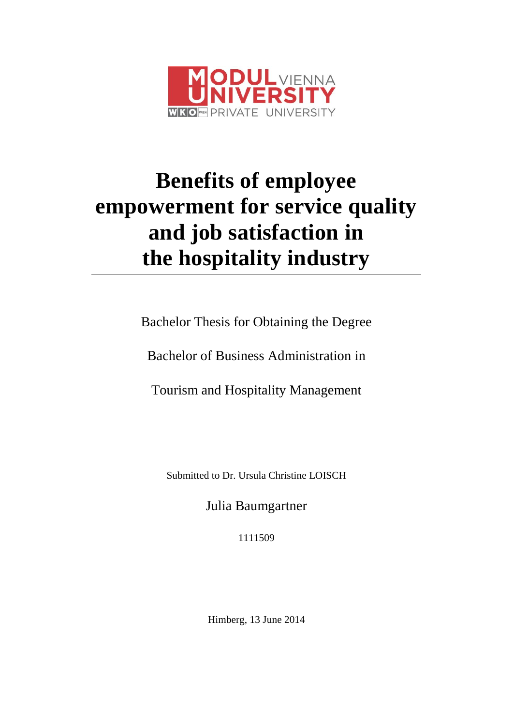

# **Benefits of employee empowerment for service quality and job satisfaction in the hospitality industry**

Bachelor Thesis for Obtaining the Degree

Bachelor of Business Administration in

Tourism and Hospitality Management

Submitted to Dr. Ursula Christine LOISCH

Julia Baumgartner

1111509

Himberg, 13 June 2014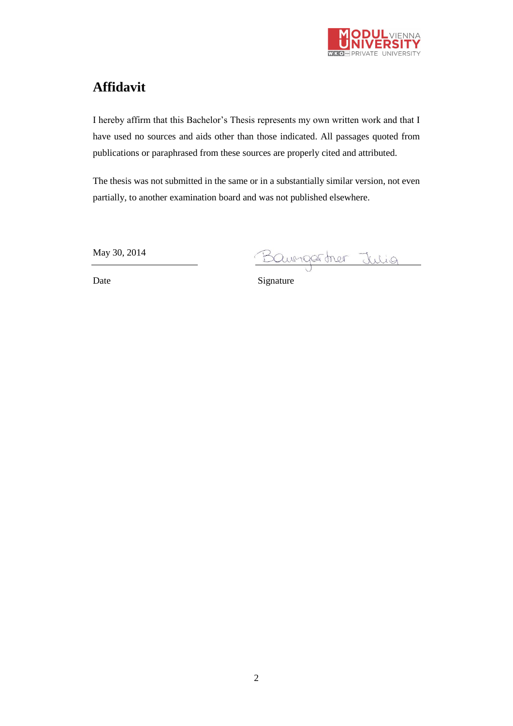

# <span id="page-1-0"></span>**Affidavit**

I hereby affirm that this Bachelor's Thesis represents my own written work and that I have used no sources and aids other than those indicated. All passages quoted from publications or paraphrased from these sources are properly cited and attributed.

The thesis was not submitted in the same or in a substantially similar version, not even partially, to another examination board and was not published elsewhere.

May 30, 2014

May 30, 2014<br>Date Signature Signature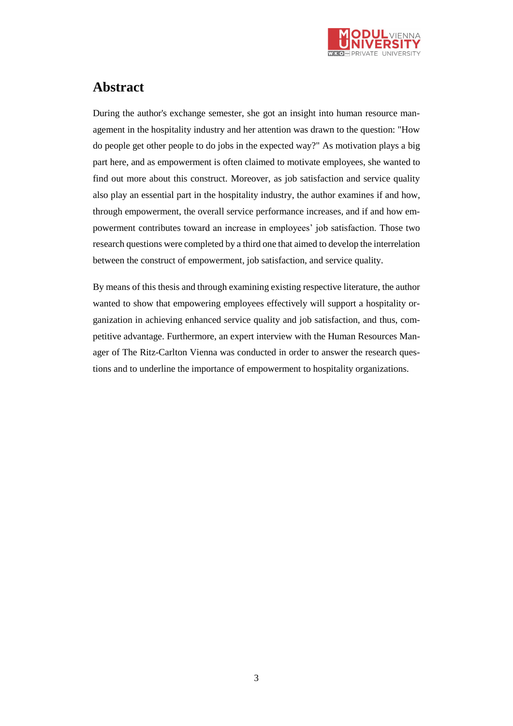

# <span id="page-2-0"></span>**Abstract**

During the author's exchange semester, she got an insight into human resource management in the hospitality industry and her attention was drawn to the question: "How do people get other people to do jobs in the expected way?" As motivation plays a big part here, and as empowerment is often claimed to motivate employees, she wanted to find out more about this construct. Moreover, as job satisfaction and service quality also play an essential part in the hospitality industry, the author examines if and how, through empowerment, the overall service performance increases, and if and how empowerment contributes toward an increase in employees' job satisfaction. Those two research questions were completed by a third one that aimed to develop the interrelation between the construct of empowerment, job satisfaction, and service quality.

By means of this thesis and through examining existing respective literature, the author wanted to show that empowering employees effectively will support a hospitality organization in achieving enhanced service quality and job satisfaction, and thus, competitive advantage. Furthermore, an expert interview with the Human Resources Manager of The Ritz-Carlton Vienna was conducted in order to answer the research questions and to underline the importance of empowerment to hospitality organizations.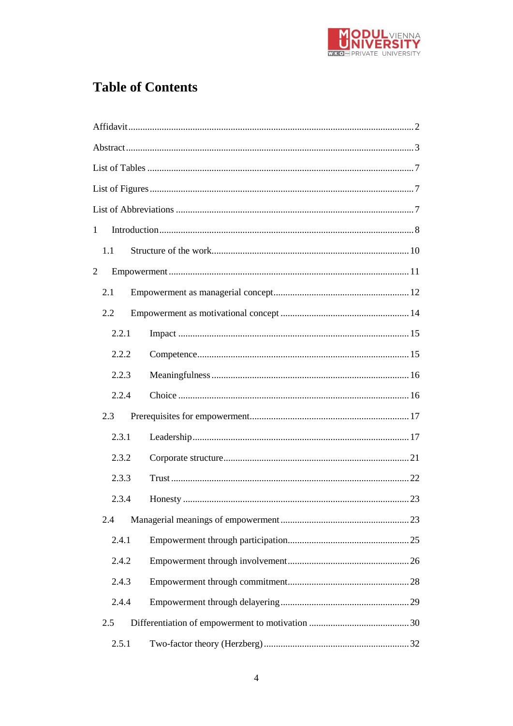

# **Table of Contents**

| $\mathbf{1}$   |       |  |  |  |  |
|----------------|-------|--|--|--|--|
|                | 1.1   |  |  |  |  |
| $\overline{2}$ |       |  |  |  |  |
|                | 2.1   |  |  |  |  |
|                | 2.2   |  |  |  |  |
|                | 2.2.1 |  |  |  |  |
|                | 2.2.2 |  |  |  |  |
|                | 2.2.3 |  |  |  |  |
|                | 2.2.4 |  |  |  |  |
|                | 2.3   |  |  |  |  |
|                | 2.3.1 |  |  |  |  |
|                | 2.3.2 |  |  |  |  |
|                | 2.3.3 |  |  |  |  |
|                | 2.3.4 |  |  |  |  |
|                | 2.4   |  |  |  |  |
|                | 2.4.1 |  |  |  |  |
|                | 2.4.2 |  |  |  |  |
|                | 2.4.3 |  |  |  |  |
|                | 2.4.4 |  |  |  |  |
|                | 2.5   |  |  |  |  |
|                | 2.5.1 |  |  |  |  |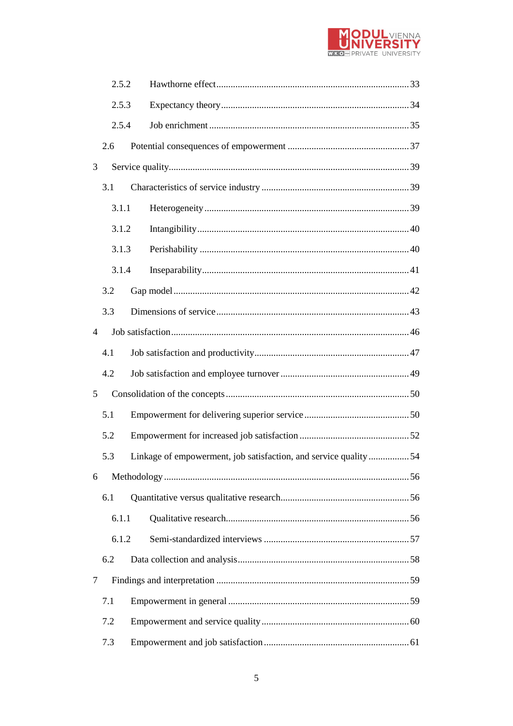

| 2.5.2 |                                                                 |  |
|-------|-----------------------------------------------------------------|--|
| 2.5.3 |                                                                 |  |
| 2.5.4 |                                                                 |  |
| 2.6   |                                                                 |  |
| 3     |                                                                 |  |
| 3.1   |                                                                 |  |
| 3.1.1 |                                                                 |  |
| 3.1.2 |                                                                 |  |
| 3.1.3 |                                                                 |  |
| 3.1.4 |                                                                 |  |
| 3.2   |                                                                 |  |
| 3.3   |                                                                 |  |
| 4     |                                                                 |  |
| 4.1   |                                                                 |  |
| 4.2   |                                                                 |  |
| 5     |                                                                 |  |
| 5.1   |                                                                 |  |
| 5.2   |                                                                 |  |
| 5.3   | Linkage of empowerment, job satisfaction, and service quality54 |  |
| 6     |                                                                 |  |
| 6.1   |                                                                 |  |
| 6.1.1 |                                                                 |  |
| 6.1.2 |                                                                 |  |
| 6.2   |                                                                 |  |
| 7     |                                                                 |  |
| 7.1   |                                                                 |  |
| 7.2   |                                                                 |  |
| 7.3   |                                                                 |  |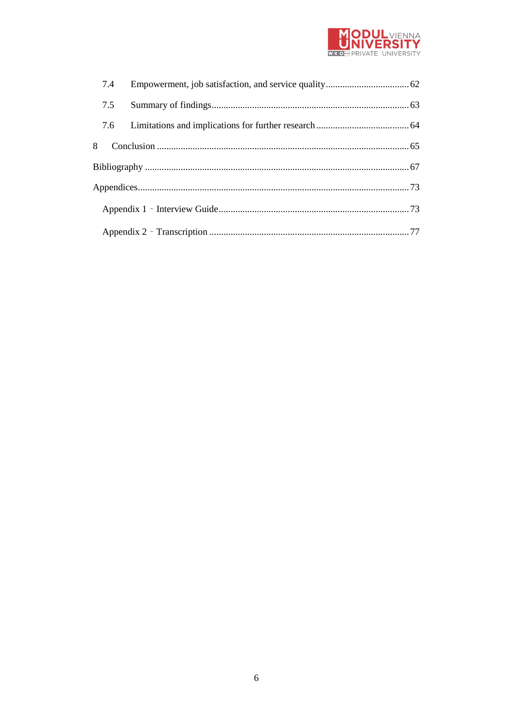

| 7.4 |  |  |  |
|-----|--|--|--|
| 7.5 |  |  |  |
|     |  |  |  |
| 8   |  |  |  |
|     |  |  |  |
|     |  |  |  |
|     |  |  |  |
|     |  |  |  |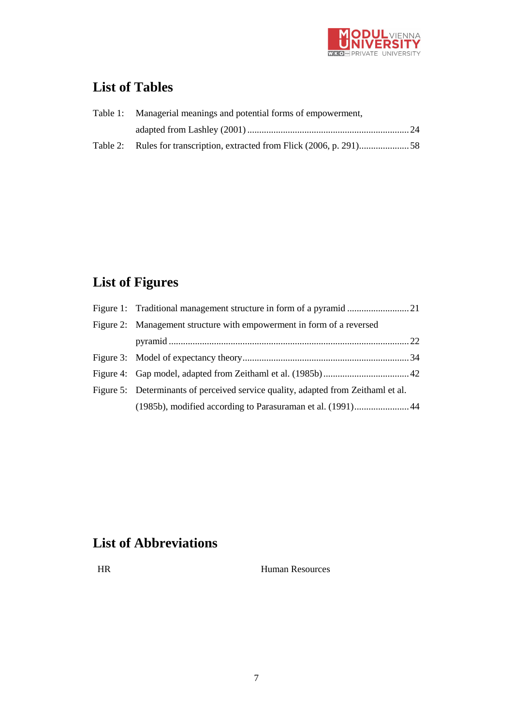

# <span id="page-6-0"></span>**List of Tables**

| Table 1: Managerial meanings and potential forms of empowerment, |  |
|------------------------------------------------------------------|--|
|                                                                  |  |
|                                                                  |  |

# <span id="page-6-1"></span>**List of Figures**

| Figure 2: Management structure with empowerment in form of a reversed             |  |
|-----------------------------------------------------------------------------------|--|
|                                                                                   |  |
|                                                                                   |  |
|                                                                                   |  |
| Figure 5: Determinants of perceived service quality, adapted from Zeithaml et al. |  |
| (1985b), modified according to Parasuraman et al. (1991) 44                       |  |

# <span id="page-6-2"></span>**List of Abbreviations**

HR Human Resources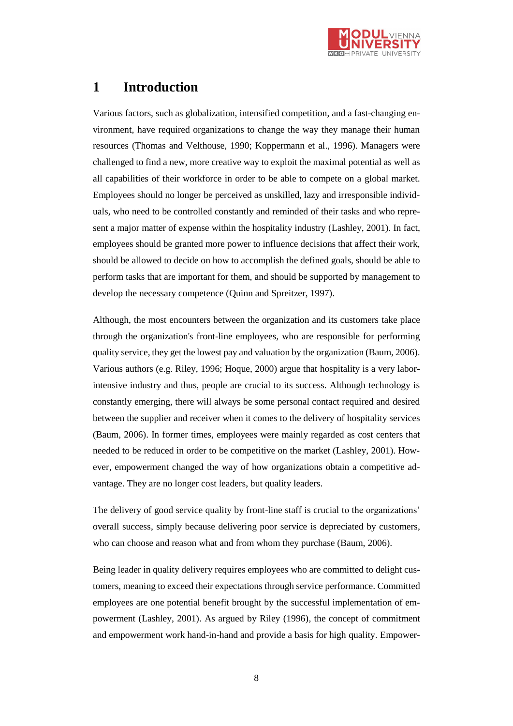

# <span id="page-7-0"></span>**1 Introduction**

Various factors, such as globalization, intensified competition, and a fast-changing environment, have required organizations to change the way they manage their human resources (Thomas and Velthouse, 1990; Koppermann et al., 1996). Managers were challenged to find a new, more creative way to exploit the maximal potential as well as all capabilities of their workforce in order to be able to compete on a global market. Employees should no longer be perceived as unskilled, lazy and irresponsible individuals, who need to be controlled constantly and reminded of their tasks and who represent a major matter of expense within the hospitality industry (Lashley, 2001). In fact, employees should be granted more power to influence decisions that affect their work, should be allowed to decide on how to accomplish the defined goals, should be able to perform tasks that are important for them, and should be supported by management to develop the necessary competence (Quinn and Spreitzer, 1997).

Although, the most encounters between the organization and its customers take place through the organization's front-line employees, who are responsible for performing quality service, they get the lowest pay and valuation by the organization (Baum, 2006). Various authors (e.g. Riley, 1996; Hoque, 2000) argue that hospitality is a very laborintensive industry and thus, people are crucial to its success. Although technology is constantly emerging, there will always be some personal contact required and desired between the supplier and receiver when it comes to the delivery of hospitality services (Baum, 2006). In former times, employees were mainly regarded as cost centers that needed to be reduced in order to be competitive on the market (Lashley, 2001). However, empowerment changed the way of how organizations obtain a competitive advantage. They are no longer cost leaders, but quality leaders.

The delivery of good service quality by front-line staff is crucial to the organizations' overall success, simply because delivering poor service is depreciated by customers, who can choose and reason what and from whom they purchase (Baum, 2006).

Being leader in quality delivery requires employees who are committed to delight customers, meaning to exceed their expectations through service performance. Committed employees are one potential benefit brought by the successful implementation of empowerment (Lashley, 2001). As argued by Riley (1996), the concept of commitment and empowerment work hand-in-hand and provide a basis for high quality. Empower-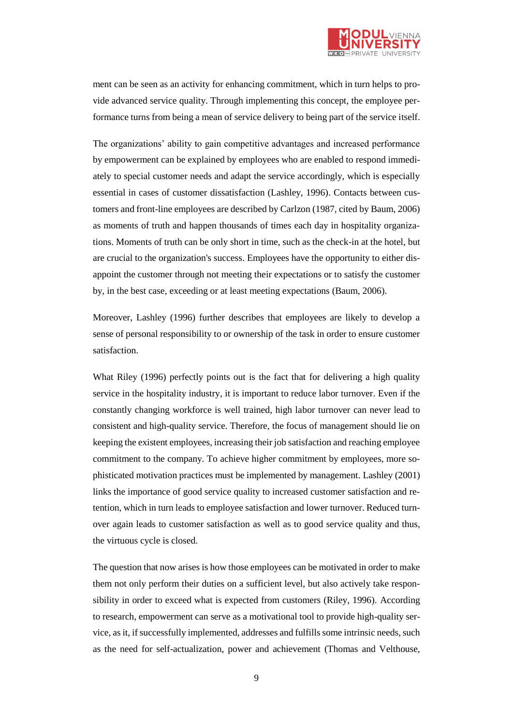

ment can be seen as an activity for enhancing commitment, which in turn helps to provide advanced service quality. Through implementing this concept, the employee performance turns from being a mean of service delivery to being part of the service itself.

The organizations' ability to gain competitive advantages and increased performance by empowerment can be explained by employees who are enabled to respond immediately to special customer needs and adapt the service accordingly, which is especially essential in cases of customer dissatisfaction (Lashley, 1996). Contacts between customers and front-line employees are described by Carlzon (1987, cited by Baum, 2006) as moments of truth and happen thousands of times each day in hospitality organizations. Moments of truth can be only short in time, such as the check-in at the hotel, but are crucial to the organization's success. Employees have the opportunity to either disappoint the customer through not meeting their expectations or to satisfy the customer by, in the best case, exceeding or at least meeting expectations (Baum, 2006).

Moreover, Lashley (1996) further describes that employees are likely to develop a sense of personal responsibility to or ownership of the task in order to ensure customer satisfaction.

What Riley (1996) perfectly points out is the fact that for delivering a high quality service in the hospitality industry, it is important to reduce labor turnover. Even if the constantly changing workforce is well trained, high labor turnover can never lead to consistent and high-quality service. Therefore, the focus of management should lie on keeping the existent employees, increasing their job satisfaction and reaching employee commitment to the company. To achieve higher commitment by employees, more sophisticated motivation practices must be implemented by management. Lashley (2001) links the importance of good service quality to increased customer satisfaction and retention, which in turn leads to employee satisfaction and lower turnover. Reduced turnover again leads to customer satisfaction as well as to good service quality and thus, the virtuous cycle is closed.

The question that now arises is how those employees can be motivated in order to make them not only perform their duties on a sufficient level, but also actively take responsibility in order to exceed what is expected from customers (Riley, 1996). According to research, empowerment can serve as a motivational tool to provide high-quality service, as it, if successfully implemented, addresses and fulfills some intrinsic needs, such as the need for self-actualization, power and achievement (Thomas and Velthouse,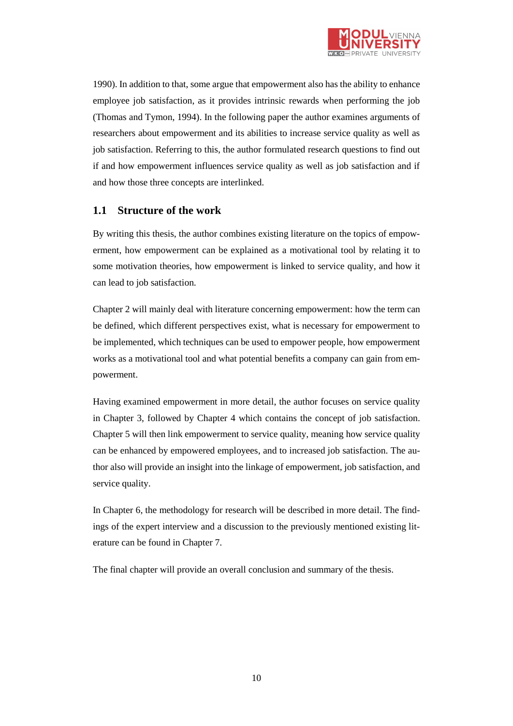

1990). In addition to that, some argue that empowerment also has the ability to enhance employee job satisfaction, as it provides intrinsic rewards when performing the job (Thomas and Tymon, 1994). In the following paper the author examines arguments of researchers about empowerment and its abilities to increase service quality as well as job satisfaction. Referring to this, the author formulated research questions to find out if and how empowerment influences service quality as well as job satisfaction and if and how those three concepts are interlinked.

# <span id="page-9-0"></span>**1.1 Structure of the work**

By writing this thesis, the author combines existing literature on the topics of empowerment, how empowerment can be explained as a motivational tool by relating it to some motivation theories, how empowerment is linked to service quality, and how it can lead to job satisfaction.

Chapter 2 will mainly deal with literature concerning empowerment: how the term can be defined, which different perspectives exist, what is necessary for empowerment to be implemented, which techniques can be used to empower people, how empowerment works as a motivational tool and what potential benefits a company can gain from empowerment.

Having examined empowerment in more detail, the author focuses on service quality in Chapter 3, followed by Chapter 4 which contains the concept of job satisfaction. Chapter 5 will then link empowerment to service quality, meaning how service quality can be enhanced by empowered employees, and to increased job satisfaction. The author also will provide an insight into the linkage of empowerment, job satisfaction, and service quality.

In Chapter 6, the methodology for research will be described in more detail. The findings of the expert interview and a discussion to the previously mentioned existing literature can be found in Chapter 7.

The final chapter will provide an overall conclusion and summary of the thesis.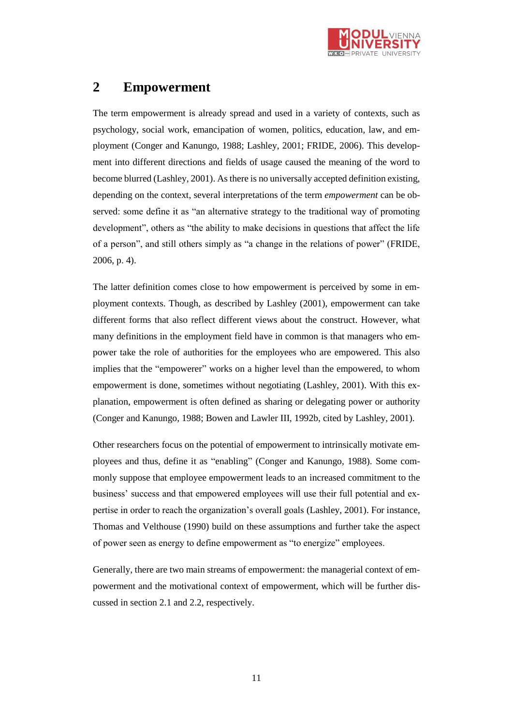

# <span id="page-10-0"></span>**2 Empowerment**

The term empowerment is already spread and used in a variety of contexts, such as psychology, social work, emancipation of women, politics, education, law, and employment (Conger and Kanungo, 1988; Lashley, 2001; FRIDE, 2006). This development into different directions and fields of usage caused the meaning of the word to become blurred (Lashley, 2001). As there is no universally accepted definition existing, depending on the context, several interpretations of the term *empowerment* can be observed: some define it as "an alternative strategy to the traditional way of promoting development", others as "the ability to make decisions in questions that affect the life of a person", and still others simply as "a change in the relations of power" (FRIDE, 2006, p. 4).

The latter definition comes close to how empowerment is perceived by some in employment contexts. Though, as described by Lashley (2001), empowerment can take different forms that also reflect different views about the construct. However, what many definitions in the employment field have in common is that managers who empower take the role of authorities for the employees who are empowered. This also implies that the "empowerer" works on a higher level than the empowered, to whom empowerment is done, sometimes without negotiating (Lashley, 2001). With this explanation, empowerment is often defined as sharing or delegating power or authority (Conger and Kanungo, 1988; Bowen and Lawler III, 1992b, cited by Lashley, 2001).

Other researchers focus on the potential of empowerment to intrinsically motivate employees and thus, define it as "enabling" (Conger and Kanungo, 1988). Some commonly suppose that employee empowerment leads to an increased commitment to the business' success and that empowered employees will use their full potential and expertise in order to reach the organization's overall goals (Lashley, 2001). For instance, Thomas and Velthouse (1990) build on these assumptions and further take the aspect of power seen as energy to define empowerment as "to energize" employees.

Generally, there are two main streams of empowerment: the managerial context of empowerment and the motivational context of empowerment, which will be further discussed in section 2.1 and 2.2, respectively.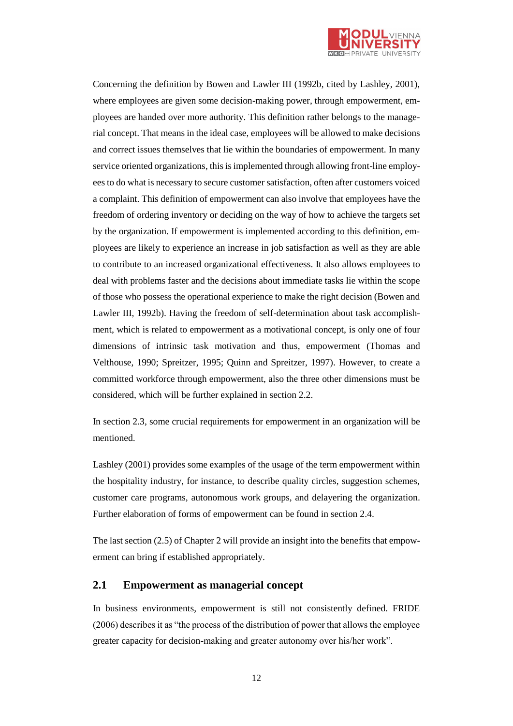

Concerning the definition by Bowen and Lawler III (1992b, cited by Lashley, 2001), where employees are given some decision-making power, through empowerment, employees are handed over more authority. This definition rather belongs to the managerial concept. That means in the ideal case, employees will be allowed to make decisions and correct issues themselves that lie within the boundaries of empowerment. In many service oriented organizations, this isimplemented through allowing front-line employees to do what is necessary to secure customer satisfaction, often after customers voiced a complaint. This definition of empowerment can also involve that employees have the freedom of ordering inventory or deciding on the way of how to achieve the targets set by the organization. If empowerment is implemented according to this definition, employees are likely to experience an increase in job satisfaction as well as they are able to contribute to an increased organizational effectiveness. It also allows employees to deal with problems faster and the decisions about immediate tasks lie within the scope of those who possess the operational experience to make the right decision (Bowen and Lawler III, 1992b). Having the freedom of self-determination about task accomplishment, which is related to empowerment as a motivational concept, is only one of four dimensions of intrinsic task motivation and thus, empowerment (Thomas and Velthouse, 1990; Spreitzer, 1995; Quinn and Spreitzer, 1997). However, to create a committed workforce through empowerment, also the three other dimensions must be considered, which will be further explained in section 2.2.

In section 2.3, some crucial requirements for empowerment in an organization will be mentioned.

Lashley (2001) provides some examples of the usage of the term empowerment within the hospitality industry, for instance, to describe quality circles, suggestion schemes, customer care programs, autonomous work groups, and delayering the organization. Further elaboration of forms of empowerment can be found in section 2.4.

The last section (2.5) of Chapter 2 will provide an insight into the benefits that empowerment can bring if established appropriately.

# <span id="page-11-0"></span>**2.1 Empowerment as managerial concept**

In business environments, empowerment is still not consistently defined. FRIDE (2006) describes it as "the process of the distribution of power that allows the employee greater capacity for decision-making and greater autonomy over his/her work".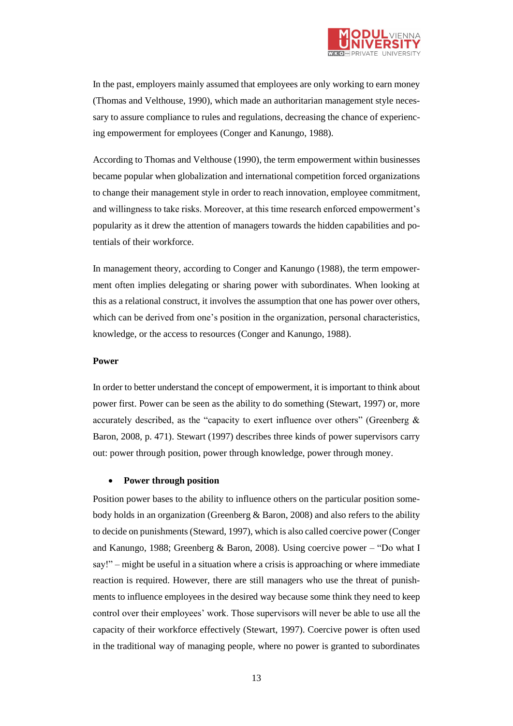

In the past, employers mainly assumed that employees are only working to earn money (Thomas and Velthouse, 1990), which made an authoritarian management style necessary to assure compliance to rules and regulations, decreasing the chance of experiencing empowerment for employees (Conger and Kanungo, 1988).

According to Thomas and Velthouse (1990), the term empowerment within businesses became popular when globalization and international competition forced organizations to change their management style in order to reach innovation, employee commitment, and willingness to take risks. Moreover, at this time research enforced empowerment's popularity as it drew the attention of managers towards the hidden capabilities and potentials of their workforce.

In management theory, according to Conger and Kanungo (1988), the term empowerment often implies delegating or sharing power with subordinates. When looking at this as a relational construct, it involves the assumption that one has power over others, which can be derived from one's position in the organization, personal characteristics, knowledge, or the access to resources (Conger and Kanungo, 1988).

#### **Power**

In order to better understand the concept of empowerment, it is important to think about power first. Power can be seen as the ability to do something (Stewart, 1997) or, more accurately described, as the "capacity to exert influence over others" (Greenberg & Baron, 2008, p. 471). Stewart (1997) describes three kinds of power supervisors carry out: power through position, power through knowledge, power through money.

#### **Power through position**

Position power bases to the ability to influence others on the particular position somebody holds in an organization (Greenberg & Baron, 2008) and also refers to the ability to decide on punishments (Steward, 1997), which is also called coercive power (Conger and Kanungo, 1988; Greenberg & Baron, 2008). Using coercive power – "Do what I say!" – might be useful in a situation where a crisis is approaching or where immediate reaction is required. However, there are still managers who use the threat of punishments to influence employees in the desired way because some think they need to keep control over their employees' work. Those supervisors will never be able to use all the capacity of their workforce effectively (Stewart, 1997). Coercive power is often used in the traditional way of managing people, where no power is granted to subordinates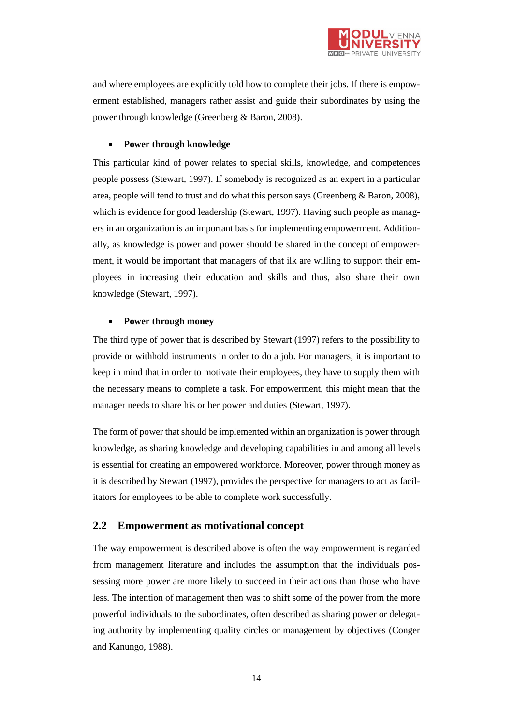

and where employees are explicitly told how to complete their jobs. If there is empowerment established, managers rather assist and guide their subordinates by using the power through knowledge (Greenberg & Baron, 2008).

### **Power through knowledge**

This particular kind of power relates to special skills, knowledge, and competences people possess (Stewart, 1997). If somebody is recognized as an expert in a particular area, people will tend to trust and do what this person says (Greenberg & Baron, 2008), which is evidence for good leadership (Stewart, 1997). Having such people as managers in an organization is an important basis for implementing empowerment. Additionally, as knowledge is power and power should be shared in the concept of empowerment, it would be important that managers of that ilk are willing to support their employees in increasing their education and skills and thus, also share their own knowledge (Stewart, 1997).

#### **Power through money**

The third type of power that is described by Stewart (1997) refers to the possibility to provide or withhold instruments in order to do a job. For managers, it is important to keep in mind that in order to motivate their employees, they have to supply them with the necessary means to complete a task. For empowerment, this might mean that the manager needs to share his or her power and duties (Stewart, 1997).

The form of power that should be implemented within an organization is power through knowledge, as sharing knowledge and developing capabilities in and among all levels is essential for creating an empowered workforce. Moreover, power through money as it is described by Stewart (1997), provides the perspective for managers to act as facilitators for employees to be able to complete work successfully.

# <span id="page-13-0"></span>**2.2 Empowerment as motivational concept**

The way empowerment is described above is often the way empowerment is regarded from management literature and includes the assumption that the individuals possessing more power are more likely to succeed in their actions than those who have less. The intention of management then was to shift some of the power from the more powerful individuals to the subordinates, often described as sharing power or delegating authority by implementing quality circles or management by objectives (Conger and Kanungo, 1988).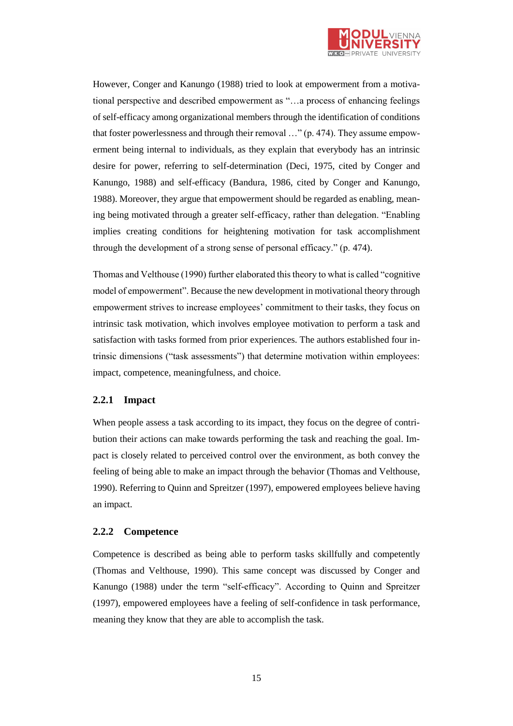

However, Conger and Kanungo (1988) tried to look at empowerment from a motivational perspective and described empowerment as "…a process of enhancing feelings of self-efficacy among organizational members through the identification of conditions that foster powerlessness and through their removal …" (p. 474). They assume empowerment being internal to individuals, as they explain that everybody has an intrinsic desire for power, referring to self-determination (Deci, 1975, cited by Conger and Kanungo, 1988) and self-efficacy (Bandura, 1986, cited by Conger and Kanungo, 1988). Moreover, they argue that empowerment should be regarded as enabling, meaning being motivated through a greater self-efficacy, rather than delegation. "Enabling implies creating conditions for heightening motivation for task accomplishment through the development of a strong sense of personal efficacy." (p. 474).

Thomas and Velthouse (1990) further elaborated this theory to what is called "cognitive model of empowerment". Because the new development in motivational theory through empowerment strives to increase employees' commitment to their tasks, they focus on intrinsic task motivation, which involves employee motivation to perform a task and satisfaction with tasks formed from prior experiences. The authors established four intrinsic dimensions ("task assessments") that determine motivation within employees: impact, competence, meaningfulness, and choice.

# <span id="page-14-0"></span>**2.2.1 Impact**

When people assess a task according to its impact, they focus on the degree of contribution their actions can make towards performing the task and reaching the goal. Impact is closely related to perceived control over the environment, as both convey the feeling of being able to make an impact through the behavior (Thomas and Velthouse, 1990). Referring to Quinn and Spreitzer (1997), empowered employees believe having an impact.

### <span id="page-14-1"></span>**2.2.2 Competence**

Competence is described as being able to perform tasks skillfully and competently (Thomas and Velthouse, 1990). This same concept was discussed by Conger and Kanungo (1988) under the term "self-efficacy". According to Quinn and Spreitzer (1997), empowered employees have a feeling of self-confidence in task performance, meaning they know that they are able to accomplish the task.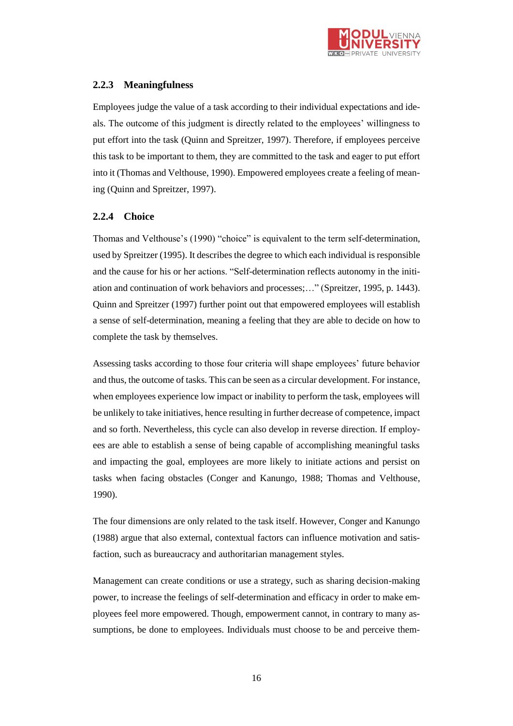

# <span id="page-15-0"></span>**2.2.3 Meaningfulness**

Employees judge the value of a task according to their individual expectations and ideals. The outcome of this judgment is directly related to the employees' willingness to put effort into the task (Quinn and Spreitzer, 1997). Therefore, if employees perceive this task to be important to them, they are committed to the task and eager to put effort into it (Thomas and Velthouse, 1990). Empowered employees create a feeling of meaning (Quinn and Spreitzer, 1997).

# <span id="page-15-1"></span>**2.2.4 Choice**

Thomas and Velthouse's (1990) "choice" is equivalent to the term self-determination, used by Spreitzer (1995). It describes the degree to which each individual is responsible and the cause for his or her actions. "Self-determination reflects autonomy in the initiation and continuation of work behaviors and processes;…" (Spreitzer, 1995, p. 1443). Quinn and Spreitzer (1997) further point out that empowered employees will establish a sense of self-determination, meaning a feeling that they are able to decide on how to complete the task by themselves.

Assessing tasks according to those four criteria will shape employees' future behavior and thus, the outcome of tasks. This can be seen as a circular development. For instance, when employees experience low impact or inability to perform the task, employees will be unlikely to take initiatives, hence resulting in further decrease of competence, impact and so forth. Nevertheless, this cycle can also develop in reverse direction. If employees are able to establish a sense of being capable of accomplishing meaningful tasks and impacting the goal, employees are more likely to initiate actions and persist on tasks when facing obstacles (Conger and Kanungo, 1988; Thomas and Velthouse, 1990).

The four dimensions are only related to the task itself. However, Conger and Kanungo (1988) argue that also external, contextual factors can influence motivation and satisfaction, such as bureaucracy and authoritarian management styles.

Management can create conditions or use a strategy, such as sharing decision-making power, to increase the feelings of self-determination and efficacy in order to make employees feel more empowered. Though, empowerment cannot, in contrary to many assumptions, be done to employees. Individuals must choose to be and perceive them-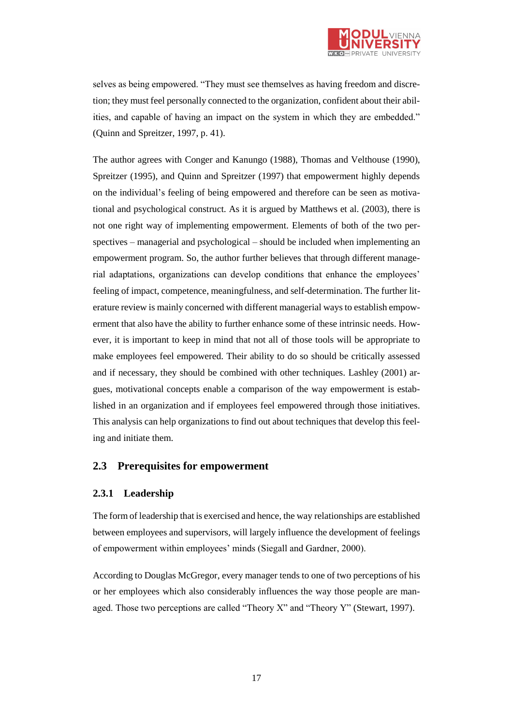

selves as being empowered. "They must see themselves as having freedom and discretion; they must feel personally connected to the organization, confident about their abilities, and capable of having an impact on the system in which they are embedded." (Quinn and Spreitzer, 1997, p. 41).

The author agrees with Conger and Kanungo (1988), Thomas and Velthouse (1990), Spreitzer (1995), and Quinn and Spreitzer (1997) that empowerment highly depends on the individual's feeling of being empowered and therefore can be seen as motivational and psychological construct. As it is argued by Matthews et al. (2003), there is not one right way of implementing empowerment. Elements of both of the two perspectives – managerial and psychological – should be included when implementing an empowerment program. So, the author further believes that through different managerial adaptations, organizations can develop conditions that enhance the employees' feeling of impact, competence, meaningfulness, and self-determination. The further literature review is mainly concerned with different managerial ways to establish empowerment that also have the ability to further enhance some of these intrinsic needs. However, it is important to keep in mind that not all of those tools will be appropriate to make employees feel empowered. Their ability to do so should be critically assessed and if necessary, they should be combined with other techniques. Lashley (2001) argues, motivational concepts enable a comparison of the way empowerment is established in an organization and if employees feel empowered through those initiatives. This analysis can help organizations to find out about techniques that develop this feeling and initiate them.

### <span id="page-16-0"></span>**2.3 Prerequisites for empowerment**

### <span id="page-16-1"></span>**2.3.1 Leadership**

The form of leadership that is exercised and hence, the way relationships are established between employees and supervisors, will largely influence the development of feelings of empowerment within employees' minds (Siegall and Gardner, 2000).

According to Douglas McGregor, every manager tends to one of two perceptions of his or her employees which also considerably influences the way those people are managed. Those two perceptions are called "Theory X" and "Theory Y" (Stewart, 1997).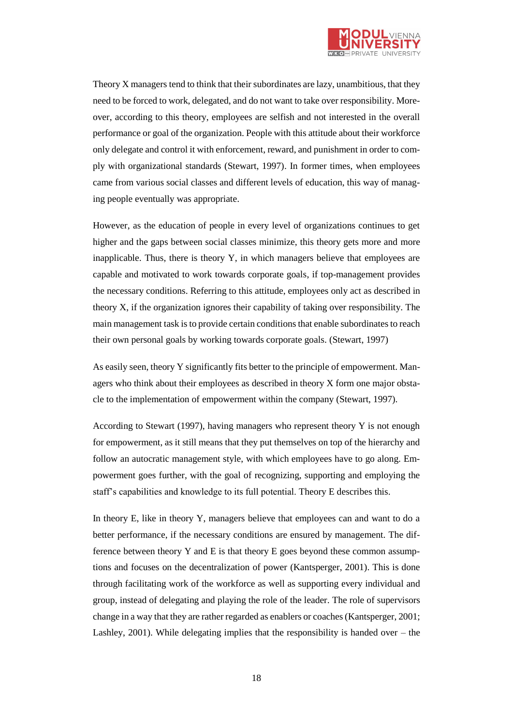

Theory X managers tend to think that their subordinates are lazy, unambitious, that they need to be forced to work, delegated, and do not want to take over responsibility. Moreover, according to this theory, employees are selfish and not interested in the overall performance or goal of the organization. People with this attitude about their workforce only delegate and control it with enforcement, reward, and punishment in order to comply with organizational standards (Stewart, 1997). In former times, when employees came from various social classes and different levels of education, this way of managing people eventually was appropriate.

However, as the education of people in every level of organizations continues to get higher and the gaps between social classes minimize, this theory gets more and more inapplicable. Thus, there is theory Y, in which managers believe that employees are capable and motivated to work towards corporate goals, if top-management provides the necessary conditions. Referring to this attitude, employees only act as described in theory X, if the organization ignores their capability of taking over responsibility. The main management task is to provide certain conditions that enable subordinates to reach their own personal goals by working towards corporate goals. (Stewart, 1997)

As easily seen, theory Y significantly fits better to the principle of empowerment. Managers who think about their employees as described in theory X form one major obstacle to the implementation of empowerment within the company (Stewart, 1997).

According to Stewart (1997), having managers who represent theory Y is not enough for empowerment, as it still means that they put themselves on top of the hierarchy and follow an autocratic management style, with which employees have to go along. Empowerment goes further, with the goal of recognizing, supporting and employing the staff's capabilities and knowledge to its full potential. Theory E describes this.

In theory E, like in theory Y, managers believe that employees can and want to do a better performance, if the necessary conditions are ensured by management. The difference between theory Y and E is that theory E goes beyond these common assumptions and focuses on the decentralization of power (Kantsperger, 2001). This is done through facilitating work of the workforce as well as supporting every individual and group, instead of delegating and playing the role of the leader. The role of supervisors change in a way that they are rather regarded as enablers or coaches (Kantsperger, 2001; Lashley, 2001). While delegating implies that the responsibility is handed over – the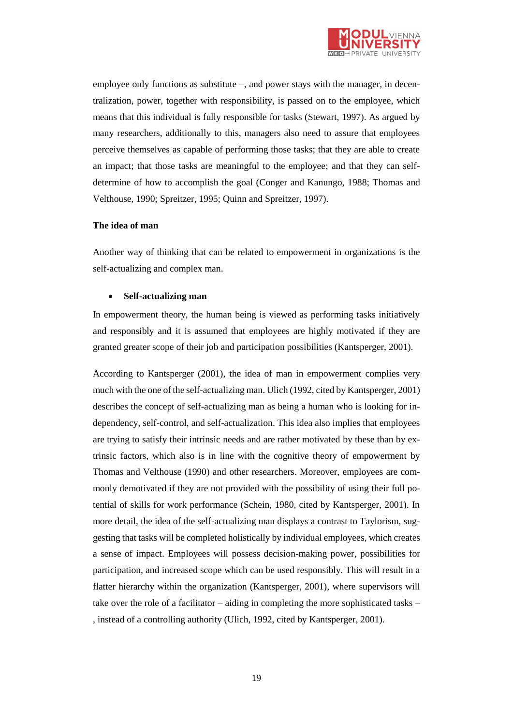

employee only functions as substitute –, and power stays with the manager, in decentralization, power, together with responsibility, is passed on to the employee, which means that this individual is fully responsible for tasks (Stewart, 1997). As argued by many researchers, additionally to this, managers also need to assure that employees perceive themselves as capable of performing those tasks; that they are able to create an impact; that those tasks are meaningful to the employee; and that they can selfdetermine of how to accomplish the goal (Conger and Kanungo, 1988; Thomas and Velthouse, 1990; Spreitzer, 1995; Quinn and Spreitzer, 1997).

#### **The idea of man**

Another way of thinking that can be related to empowerment in organizations is the self-actualizing and complex man.

#### **Self-actualizing man**

In empowerment theory, the human being is viewed as performing tasks initiatively and responsibly and it is assumed that employees are highly motivated if they are granted greater scope of their job and participation possibilities (Kantsperger, 2001).

According to Kantsperger (2001), the idea of man in empowerment complies very much with the one of the self-actualizing man. Ulich (1992, cited by Kantsperger, 2001) describes the concept of self-actualizing man as being a human who is looking for independency, self-control, and self-actualization. This idea also implies that employees are trying to satisfy their intrinsic needs and are rather motivated by these than by extrinsic factors, which also is in line with the cognitive theory of empowerment by Thomas and Velthouse (1990) and other researchers. Moreover, employees are commonly demotivated if they are not provided with the possibility of using their full potential of skills for work performance (Schein, 1980, cited by Kantsperger, 2001). In more detail, the idea of the self-actualizing man displays a contrast to Taylorism, suggesting that tasks will be completed holistically by individual employees, which creates a sense of impact. Employees will possess decision-making power, possibilities for participation, and increased scope which can be used responsibly. This will result in a flatter hierarchy within the organization (Kantsperger, 2001), where supervisors will take over the role of a facilitator – aiding in completing the more sophisticated tasks – , instead of a controlling authority (Ulich, 1992, cited by Kantsperger, 2001).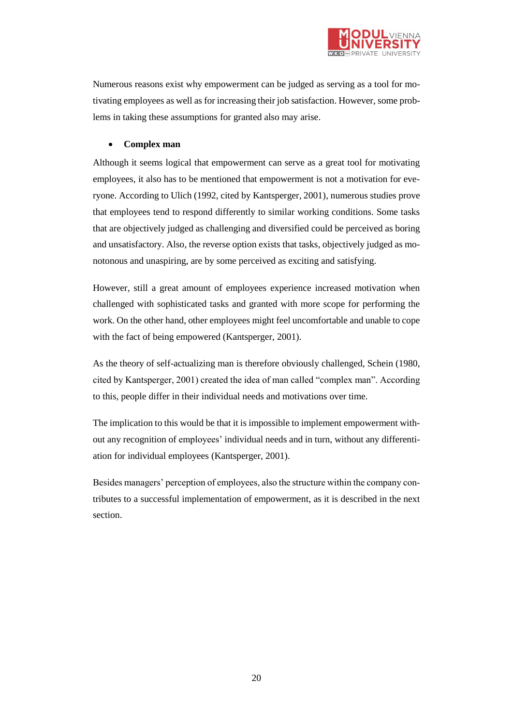

Numerous reasons exist why empowerment can be judged as serving as a tool for motivating employees as well as for increasing their job satisfaction. However, some problems in taking these assumptions for granted also may arise.

# **Complex man**

Although it seems logical that empowerment can serve as a great tool for motivating employees, it also has to be mentioned that empowerment is not a motivation for everyone. According to Ulich (1992, cited by Kantsperger, 2001), numerous studies prove that employees tend to respond differently to similar working conditions. Some tasks that are objectively judged as challenging and diversified could be perceived as boring and unsatisfactory. Also, the reverse option exists that tasks, objectively judged as monotonous and unaspiring, are by some perceived as exciting and satisfying.

However, still a great amount of employees experience increased motivation when challenged with sophisticated tasks and granted with more scope for performing the work. On the other hand, other employees might feel uncomfortable and unable to cope with the fact of being empowered (Kantsperger, 2001).

As the theory of self-actualizing man is therefore obviously challenged, Schein (1980, cited by Kantsperger, 2001) created the idea of man called "complex man". According to this, people differ in their individual needs and motivations over time.

The implication to this would be that it is impossible to implement empowerment without any recognition of employees' individual needs and in turn, without any differentiation for individual employees (Kantsperger, 2001).

Besides managers' perception of employees, also the structure within the company contributes to a successful implementation of empowerment, as it is described in the next section.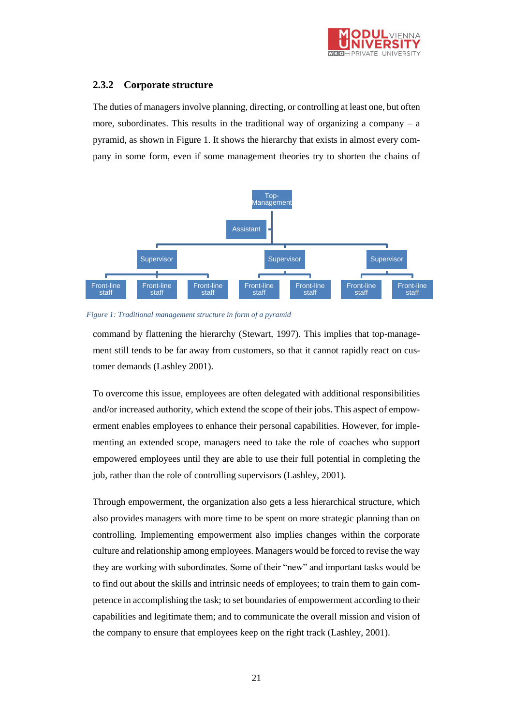

# <span id="page-20-0"></span>**2.3.2 Corporate structure**

The duties of managers involve planning, directing, or controlling at least one, but often more, subordinates. This results in the traditional way of organizing a company  $-$  a pyramid, as shown in Figure 1. It shows the hierarchy that exists in almost every company in some form, even if some management theories try to shorten the chains of



#### *Figure 1: Traditional management structure in form of a pyramid*

command by flattening the hierarchy (Stewart, 1997). This implies that top-management still tends to be far away from customers, so that it cannot rapidly react on customer demands (Lashley 2001).

To overcome this issue, employees are often delegated with additional responsibilities and/or increased authority, which extend the scope of their jobs. This aspect of empowerment enables employees to enhance their personal capabilities. However, for implementing an extended scope, managers need to take the role of coaches who support empowered employees until they are able to use their full potential in completing the job, rather than the role of controlling supervisors (Lashley, 2001).

Through empowerment, the organization also gets a less hierarchical structure, which also provides managers with more time to be spent on more strategic planning than on controlling. Implementing empowerment also implies changes within the corporate culture and relationship among employees. Managers would be forced to revise the way they are working with subordinates. Some of their "new" and important tasks would be to find out about the skills and intrinsic needs of employees; to train them to gain competence in accomplishing the task; to set boundaries of empowerment according to their capabilities and legitimate them; and to communicate the overall mission and vision of the company to ensure that employees keep on the right track (Lashley, 2001).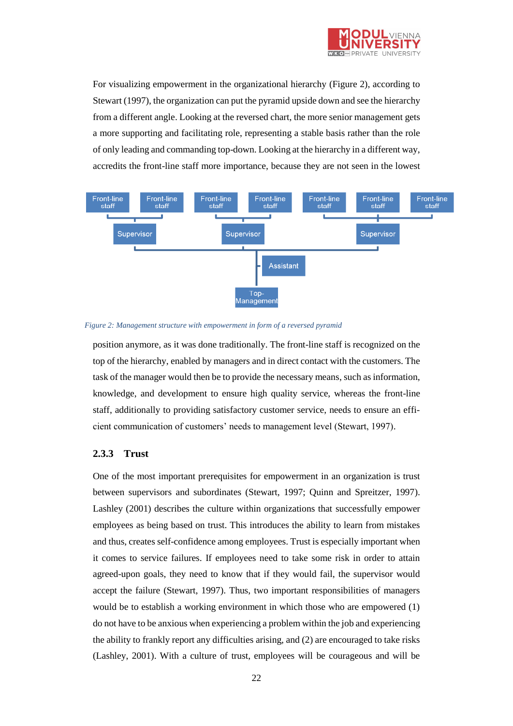

For visualizing empowerment in the organizational hierarchy (Figure 2), according to Stewart (1997), the organization can put the pyramid upside down and see the hierarchy from a different angle. Looking at the reversed chart, the more senior management gets a more supporting and facilitating role, representing a stable basis rather than the role of only leading and commanding top-down. Looking at the hierarchy in a different way, accredits the front-line staff more importance, because they are not seen in the lowest





position anymore, as it was done traditionally. The front-line staff is recognized on the top of the hierarchy, enabled by managers and in direct contact with the customers. The task of the manager would then be to provide the necessary means, such as information, knowledge, and development to ensure high quality service, whereas the front-line staff, additionally to providing satisfactory customer service, needs to ensure an efficient communication of customers' needs to management level (Stewart, 1997).

# <span id="page-21-0"></span>**2.3.3 Trust**

One of the most important prerequisites for empowerment in an organization is trust between supervisors and subordinates (Stewart, 1997; Quinn and Spreitzer, 1997). Lashley (2001) describes the culture within organizations that successfully empower employees as being based on trust. This introduces the ability to learn from mistakes and thus, creates self-confidence among employees. Trust is especially important when it comes to service failures. If employees need to take some risk in order to attain agreed-upon goals, they need to know that if they would fail, the supervisor would accept the failure (Stewart, 1997). Thus, two important responsibilities of managers would be to establish a working environment in which those who are empowered (1) do not have to be anxious when experiencing a problem within the job and experiencing the ability to frankly report any difficulties arising, and (2) are encouraged to take risks (Lashley, 2001). With a culture of trust, employees will be courageous and will be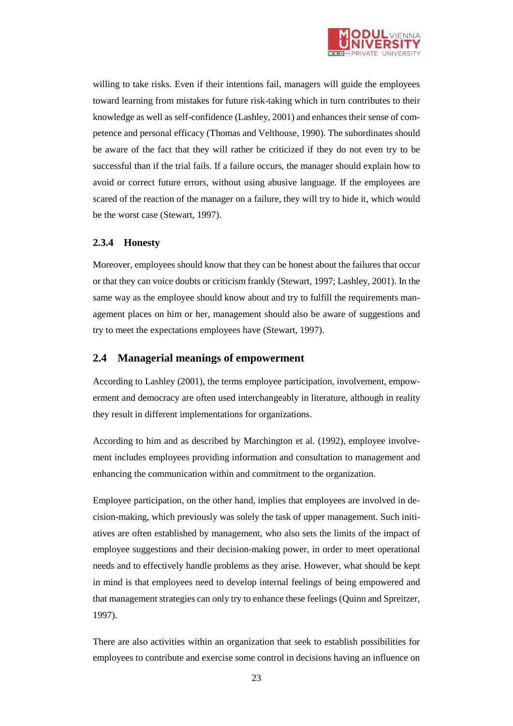

willing to take risks. Even if their intentions fail, managers will guide the employees toward learning from mistakes for future risk-taking which in turn contributes to their knowledge as well as self-confidence (Lashley, 2001) and enhances their sense of competence and personal efficacy (Thomas and Velthouse, 1990). The subordinates should be aware of the fact that they will rather be criticized if they do not even try to be successful than if the trial fails. If a failure occurs, the manager should explain how to avoid or correct future errors, without using abusive language. If the employees are scared of the reaction of the manager on a failure, they will try to hide it, which would be the worst case (Stewart, 1997).

# <span id="page-22-0"></span>**2.3.4 Honesty**

Moreover, employees should know that they can be honest about the failures that occur or that they can voice doubts or criticism frankly (Stewart, 1997; Lashley, 2001). In the same way as the employee should know about and try to fulfill the requirements management places on him or her, management should also be aware of suggestions and try to meet the expectations employees have (Stewart, 1997).

# <span id="page-22-1"></span>**2.4 Managerial meanings of empowerment**

According to Lashley (2001), the terms employee participation, involvement, empowerment and democracy are often used interchangeably in literature, although in reality they result in different implementations for organizations.

According to him and as described by Marchington et al. (1992), employee involvement includes employees providing information and consultation to management and enhancing the communication within and commitment to the organization.

Employee participation, on the other hand, implies that employees are involved in decision-making, which previously was solely the task of upper management. Such initiatives are often established by management, who also sets the limits of the impact of employee suggestions and their decision-making power, in order to meet operational needs and to effectively handle problems as they arise. However, what should be kept in mind is that employees need to develop internal feelings of being empowered and that management strategies can only try to enhance these feelings (Quinn and Spreitzer, 1997).

There are also activities within an organization that seek to establish possibilities for employees to contribute and exercise some control in decisions having an influence on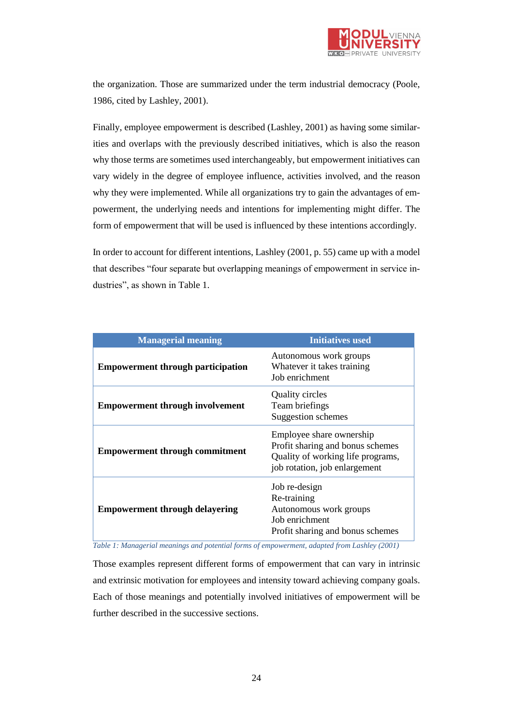

the organization. Those are summarized under the term industrial democracy (Poole, 1986, cited by Lashley, 2001).

Finally, employee empowerment is described (Lashley, 2001) as having some similarities and overlaps with the previously described initiatives, which is also the reason why those terms are sometimes used interchangeably, but empowerment initiatives can vary widely in the degree of employee influence, activities involved, and the reason why they were implemented. While all organizations try to gain the advantages of empowerment, the underlying needs and intentions for implementing might differ. The form of empowerment that will be used is influenced by these intentions accordingly.

In order to account for different intentions, Lashley (2001, p. 55) came up with a model that describes "four separate but overlapping meanings of empowerment in service industries", as shown in Table 1.

| <b>Managerial meaning</b>                | <b>Initiatives used</b>                                                                                                            |
|------------------------------------------|------------------------------------------------------------------------------------------------------------------------------------|
| <b>Empowerment through participation</b> | Autonomous work groups<br>Whatever it takes training<br>Job enrichment                                                             |
| <b>Empowerment through involvement</b>   | <b>Quality circles</b><br>Team briefings<br>Suggestion schemes                                                                     |
| <b>Empowerment through commitment</b>    | Employee share ownership<br>Profit sharing and bonus schemes<br>Quality of working life programs,<br>job rotation, job enlargement |
| <b>Empowerment through delayering</b>    | Job re-design<br>Re-training<br>Autonomous work groups<br>Job enrichment<br>Profit sharing and bonus schemes                       |

<span id="page-23-0"></span>*Table 1: Managerial meanings and potential forms of empowerment, adapted from Lashley (2001)*

Those examples represent different forms of empowerment that can vary in intrinsic and extrinsic motivation for employees and intensity toward achieving company goals. Each of those meanings and potentially involved initiatives of empowerment will be further described in the successive sections.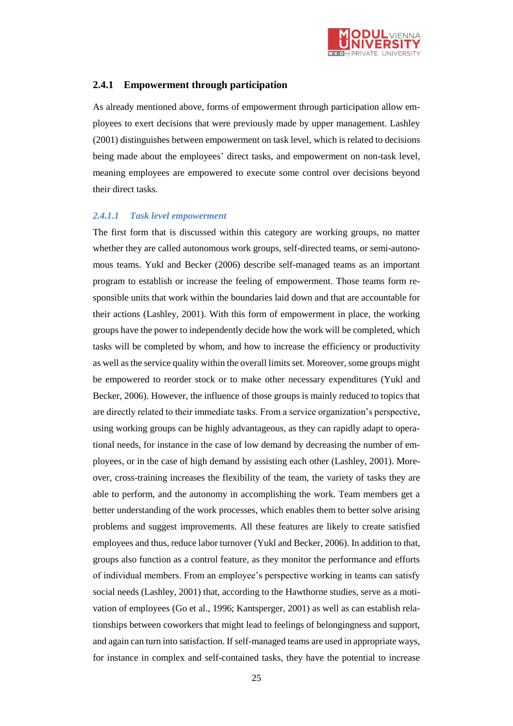

# <span id="page-24-0"></span>**2.4.1 Empowerment through participation**

As already mentioned above, forms of empowerment through participation allow employees to exert decisions that were previously made by upper management. Lashley (2001) distinguishes between empowerment on task level, which is related to decisions being made about the employees' direct tasks, and empowerment on non-task level, meaning employees are empowered to execute some control over decisions beyond their direct tasks.

#### *2.4.1.1 Task level empowerment*

The first form that is discussed within this category are working groups, no matter whether they are called autonomous work groups, self-directed teams, or semi-autonomous teams. Yukl and Becker (2006) describe self-managed teams as an important program to establish or increase the feeling of empowerment. Those teams form responsible units that work within the boundaries laid down and that are accountable for their actions (Lashley, 2001). With this form of empowerment in place, the working groups have the power to independently decide how the work will be completed, which tasks will be completed by whom, and how to increase the efficiency or productivity as well as the service quality within the overall limits set. Moreover, some groups might be empowered to reorder stock or to make other necessary expenditures (Yukl and Becker, 2006). However, the influence of those groups is mainly reduced to topics that are directly related to their immediate tasks. From a service organization's perspective, using working groups can be highly advantageous, as they can rapidly adapt to operational needs, for instance in the case of low demand by decreasing the number of employees, or in the case of high demand by assisting each other (Lashley, 2001). Moreover, cross-training increases the flexibility of the team, the variety of tasks they are able to perform, and the autonomy in accomplishing the work. Team members get a better understanding of the work processes, which enables them to better solve arising problems and suggest improvements. All these features are likely to create satisfied employees and thus, reduce labor turnover (Yukl and Becker, 2006). In addition to that, groups also function as a control feature, as they monitor the performance and efforts of individual members. From an employee's perspective working in teams can satisfy social needs (Lashley, 2001) that, according to the Hawthorne studies, serve as a motivation of employees (Go et al., 1996; Kantsperger, 2001) as well as can establish relationships between coworkers that might lead to feelings of belongingness and support, and again can turn into satisfaction. If self-managed teams are used in appropriate ways, for instance in complex and self-contained tasks, they have the potential to increase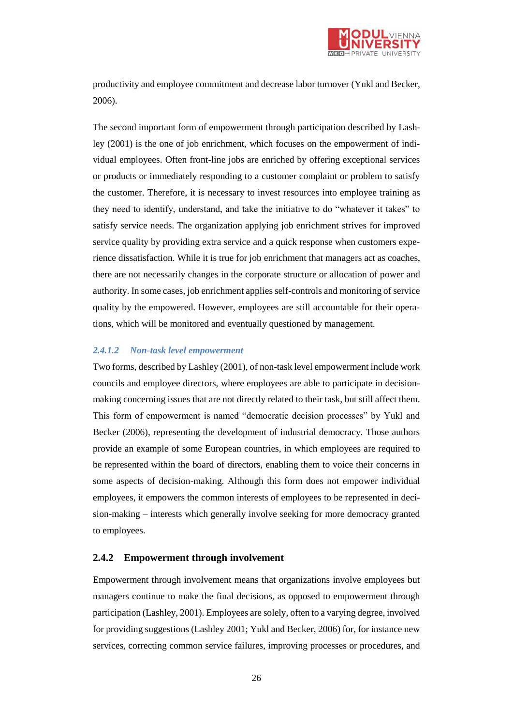

productivity and employee commitment and decrease labor turnover (Yukl and Becker, 2006).

The second important form of empowerment through participation described by Lashley (2001) is the one of job enrichment, which focuses on the empowerment of individual employees. Often front-line jobs are enriched by offering exceptional services or products or immediately responding to a customer complaint or problem to satisfy the customer. Therefore, it is necessary to invest resources into employee training as they need to identify, understand, and take the initiative to do "whatever it takes" to satisfy service needs. The organization applying job enrichment strives for improved service quality by providing extra service and a quick response when customers experience dissatisfaction. While it is true for job enrichment that managers act as coaches, there are not necessarily changes in the corporate structure or allocation of power and authority. In some cases, job enrichment applies self-controls and monitoring of service quality by the empowered. However, employees are still accountable for their operations, which will be monitored and eventually questioned by management.

#### *2.4.1.2 Non-task level empowerment*

Two forms, described by Lashley (2001), of non-task level empowerment include work councils and employee directors, where employees are able to participate in decisionmaking concerning issues that are not directly related to their task, but still affect them. This form of empowerment is named "democratic decision processes" by Yukl and Becker (2006), representing the development of industrial democracy. Those authors provide an example of some European countries, in which employees are required to be represented within the board of directors, enabling them to voice their concerns in some aspects of decision-making. Although this form does not empower individual employees, it empowers the common interests of employees to be represented in decision-making – interests which generally involve seeking for more democracy granted to employees.

### <span id="page-25-0"></span>**2.4.2 Empowerment through involvement**

Empowerment through involvement means that organizations involve employees but managers continue to make the final decisions, as opposed to empowerment through participation (Lashley, 2001). Employees are solely, often to a varying degree, involved for providing suggestions (Lashley 2001; Yukl and Becker, 2006) for, for instance new services, correcting common service failures, improving processes or procedures, and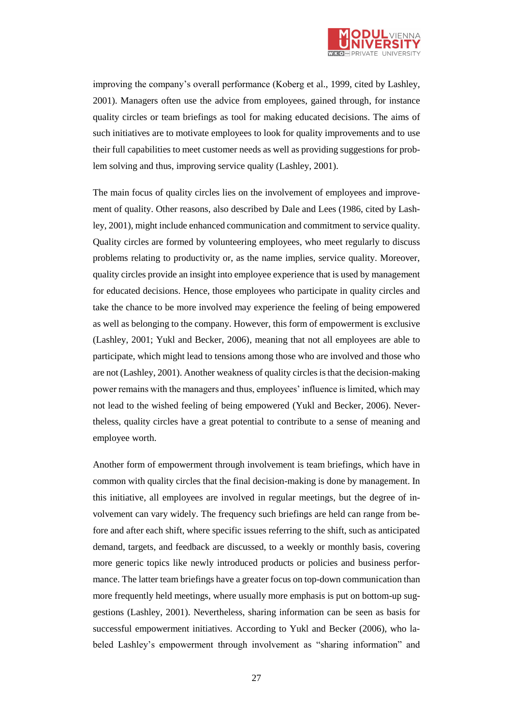

improving the company's overall performance (Koberg et al., 1999, cited by Lashley, 2001). Managers often use the advice from employees, gained through, for instance quality circles or team briefings as tool for making educated decisions. The aims of such initiatives are to motivate employees to look for quality improvements and to use their full capabilities to meet customer needs as well as providing suggestions for problem solving and thus, improving service quality (Lashley, 2001).

The main focus of quality circles lies on the involvement of employees and improvement of quality. Other reasons, also described by Dale and Lees (1986, cited by Lashley, 2001), might include enhanced communication and commitment to service quality. Quality circles are formed by volunteering employees, who meet regularly to discuss problems relating to productivity or, as the name implies, service quality. Moreover, quality circles provide an insight into employee experience that is used by management for educated decisions. Hence, those employees who participate in quality circles and take the chance to be more involved may experience the feeling of being empowered as well as belonging to the company. However, this form of empowerment is exclusive (Lashley, 2001; Yukl and Becker, 2006), meaning that not all employees are able to participate, which might lead to tensions among those who are involved and those who are not (Lashley, 2001). Another weakness of quality circles is that the decision-making power remains with the managers and thus, employees' influence is limited, which may not lead to the wished feeling of being empowered (Yukl and Becker, 2006). Nevertheless, quality circles have a great potential to contribute to a sense of meaning and employee worth.

Another form of empowerment through involvement is team briefings, which have in common with quality circles that the final decision-making is done by management. In this initiative, all employees are involved in regular meetings, but the degree of involvement can vary widely. The frequency such briefings are held can range from before and after each shift, where specific issues referring to the shift, such as anticipated demand, targets, and feedback are discussed, to a weekly or monthly basis, covering more generic topics like newly introduced products or policies and business performance. The latter team briefings have a greater focus on top-down communication than more frequently held meetings, where usually more emphasis is put on bottom-up suggestions (Lashley, 2001). Nevertheless, sharing information can be seen as basis for successful empowerment initiatives. According to Yukl and Becker (2006), who labeled Lashley's empowerment through involvement as "sharing information" and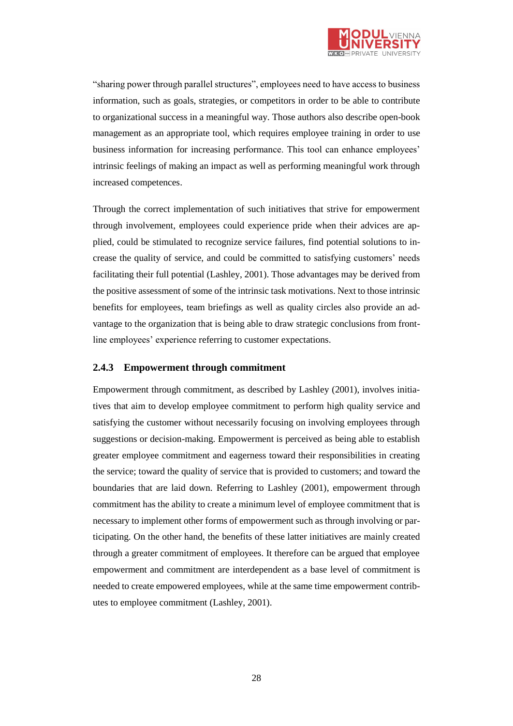

"sharing power through parallel structures", employees need to have access to business information, such as goals, strategies, or competitors in order to be able to contribute to organizational success in a meaningful way. Those authors also describe open-book management as an appropriate tool, which requires employee training in order to use business information for increasing performance. This tool can enhance employees' intrinsic feelings of making an impact as well as performing meaningful work through increased competences.

Through the correct implementation of such initiatives that strive for empowerment through involvement, employees could experience pride when their advices are applied, could be stimulated to recognize service failures, find potential solutions to increase the quality of service, and could be committed to satisfying customers' needs facilitating their full potential (Lashley, 2001). Those advantages may be derived from the positive assessment of some of the intrinsic task motivations. Next to those intrinsic benefits for employees, team briefings as well as quality circles also provide an advantage to the organization that is being able to draw strategic conclusions from frontline employees' experience referring to customer expectations.

### <span id="page-27-0"></span>**2.4.3 Empowerment through commitment**

Empowerment through commitment, as described by Lashley (2001), involves initiatives that aim to develop employee commitment to perform high quality service and satisfying the customer without necessarily focusing on involving employees through suggestions or decision-making. Empowerment is perceived as being able to establish greater employee commitment and eagerness toward their responsibilities in creating the service; toward the quality of service that is provided to customers; and toward the boundaries that are laid down. Referring to Lashley (2001), empowerment through commitment has the ability to create a minimum level of employee commitment that is necessary to implement other forms of empowerment such as through involving or participating. On the other hand, the benefits of these latter initiatives are mainly created through a greater commitment of employees. It therefore can be argued that employee empowerment and commitment are interdependent as a base level of commitment is needed to create empowered employees, while at the same time empowerment contributes to employee commitment (Lashley, 2001).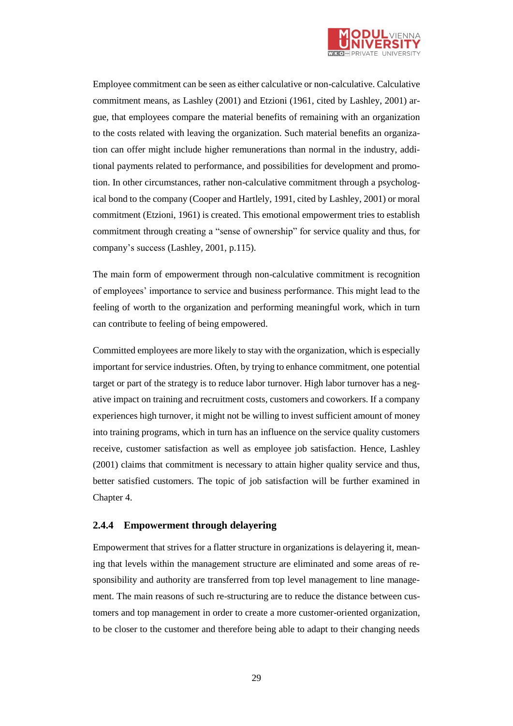

Employee commitment can be seen as either calculative or non-calculative. Calculative commitment means, as Lashley (2001) and Etzioni (1961, cited by Lashley, 2001) argue, that employees compare the material benefits of remaining with an organization to the costs related with leaving the organization. Such material benefits an organization can offer might include higher remunerations than normal in the industry, additional payments related to performance, and possibilities for development and promotion. In other circumstances, rather non-calculative commitment through a psychological bond to the company (Cooper and Hartlely, 1991, cited by Lashley, 2001) or moral commitment (Etzioni, 1961) is created. This emotional empowerment tries to establish commitment through creating a "sense of ownership" for service quality and thus, for company's success (Lashley, 2001, p.115).

The main form of empowerment through non-calculative commitment is recognition of employees' importance to service and business performance. This might lead to the feeling of worth to the organization and performing meaningful work, which in turn can contribute to feeling of being empowered.

Committed employees are more likely to stay with the organization, which is especially important for service industries. Often, by trying to enhance commitment, one potential target or part of the strategy is to reduce labor turnover. High labor turnover has a negative impact on training and recruitment costs, customers and coworkers. If a company experiences high turnover, it might not be willing to invest sufficient amount of money into training programs, which in turn has an influence on the service quality customers receive, customer satisfaction as well as employee job satisfaction. Hence, Lashley (2001) claims that commitment is necessary to attain higher quality service and thus, better satisfied customers. The topic of job satisfaction will be further examined in Chapter 4.

#### <span id="page-28-0"></span>**2.4.4 Empowerment through delayering**

Empowerment that strives for a flatter structure in organizations is delayering it, meaning that levels within the management structure are eliminated and some areas of responsibility and authority are transferred from top level management to line management. The main reasons of such re-structuring are to reduce the distance between customers and top management in order to create a more customer-oriented organization, to be closer to the customer and therefore being able to adapt to their changing needs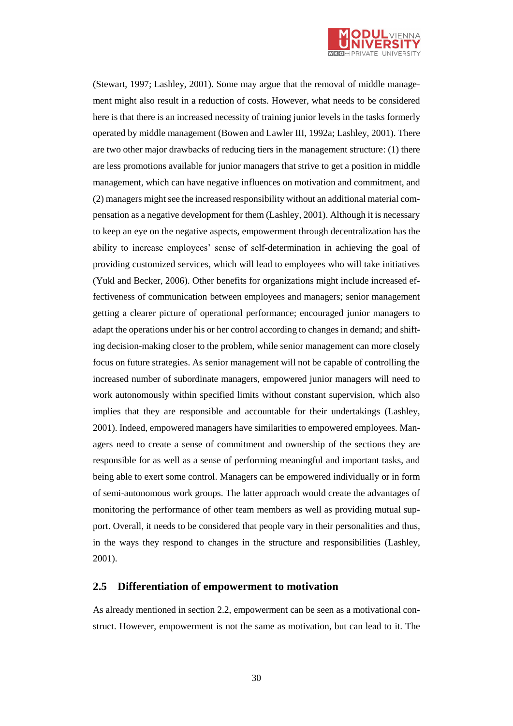

(Stewart, 1997; Lashley, 2001). Some may argue that the removal of middle management might also result in a reduction of costs. However, what needs to be considered here is that there is an increased necessity of training junior levels in the tasks formerly operated by middle management (Bowen and Lawler III, 1992a; Lashley, 2001). There are two other major drawbacks of reducing tiers in the management structure: (1) there are less promotions available for junior managers that strive to get a position in middle management, which can have negative influences on motivation and commitment, and (2) managers might see the increased responsibility without an additional material compensation as a negative development for them (Lashley, 2001). Although it is necessary to keep an eye on the negative aspects, empowerment through decentralization has the ability to increase employees' sense of self-determination in achieving the goal of providing customized services, which will lead to employees who will take initiatives (Yukl and Becker, 2006). Other benefits for organizations might include increased effectiveness of communication between employees and managers; senior management getting a clearer picture of operational performance; encouraged junior managers to adapt the operations under his or her control according to changes in demand; and shifting decision-making closer to the problem, while senior management can more closely focus on future strategies. As senior management will not be capable of controlling the increased number of subordinate managers, empowered junior managers will need to work autonomously within specified limits without constant supervision, which also implies that they are responsible and accountable for their undertakings (Lashley, 2001). Indeed, empowered managers have similarities to empowered employees. Managers need to create a sense of commitment and ownership of the sections they are responsible for as well as a sense of performing meaningful and important tasks, and being able to exert some control. Managers can be empowered individually or in form of semi-autonomous work groups. The latter approach would create the advantages of monitoring the performance of other team members as well as providing mutual support. Overall, it needs to be considered that people vary in their personalities and thus, in the ways they respond to changes in the structure and responsibilities (Lashley, 2001).

# <span id="page-29-0"></span>**2.5 Differentiation of empowerment to motivation**

As already mentioned in section 2.2, empowerment can be seen as a motivational construct. However, empowerment is not the same as motivation, but can lead to it. The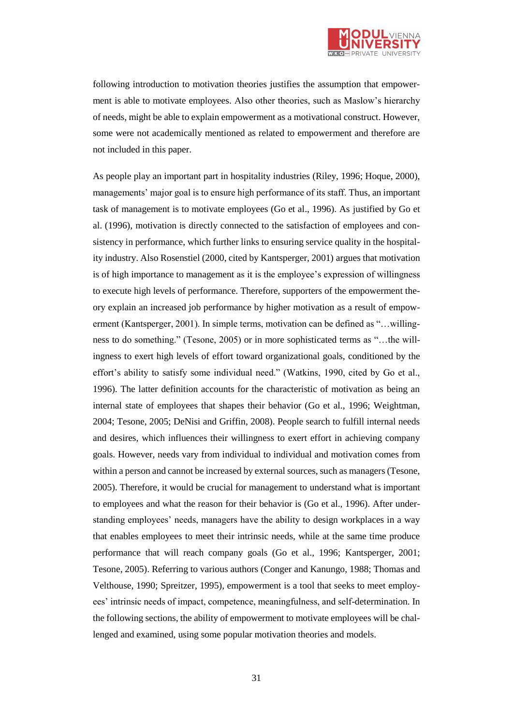

following introduction to motivation theories justifies the assumption that empowerment is able to motivate employees. Also other theories, such as Maslow's hierarchy of needs, might be able to explain empowerment as a motivational construct. However, some were not academically mentioned as related to empowerment and therefore are not included in this paper.

As people play an important part in hospitality industries (Riley, 1996; Hoque, 2000), managements' major goal is to ensure high performance of its staff. Thus, an important task of management is to motivate employees (Go et al., 1996). As justified by Go et al. (1996), motivation is directly connected to the satisfaction of employees and consistency in performance, which further links to ensuring service quality in the hospitality industry. Also Rosenstiel (2000, cited by Kantsperger, 2001) argues that motivation is of high importance to management as it is the employee's expression of willingness to execute high levels of performance. Therefore, supporters of the empowerment theory explain an increased job performance by higher motivation as a result of empowerment (Kantsperger, 2001). In simple terms, motivation can be defined as "…willingness to do something." (Tesone, 2005) or in more sophisticated terms as "…the willingness to exert high levels of effort toward organizational goals, conditioned by the effort's ability to satisfy some individual need." (Watkins, 1990, cited by Go et al., 1996). The latter definition accounts for the characteristic of motivation as being an internal state of employees that shapes their behavior (Go et al., 1996; Weightman, 2004; Tesone, 2005; DeNisi and Griffin, 2008). People search to fulfill internal needs and desires, which influences their willingness to exert effort in achieving company goals. However, needs vary from individual to individual and motivation comes from within a person and cannot be increased by external sources, such as managers (Tesone, 2005). Therefore, it would be crucial for management to understand what is important to employees and what the reason for their behavior is (Go et al., 1996). After understanding employees' needs, managers have the ability to design workplaces in a way that enables employees to meet their intrinsic needs, while at the same time produce performance that will reach company goals (Go et al., 1996; Kantsperger, 2001; Tesone, 2005). Referring to various authors (Conger and Kanungo, 1988; Thomas and Velthouse, 1990; Spreitzer, 1995), empowerment is a tool that seeks to meet employees' intrinsic needs of impact, competence, meaningfulness, and self-determination. In the following sections, the ability of empowerment to motivate employees will be challenged and examined, using some popular motivation theories and models.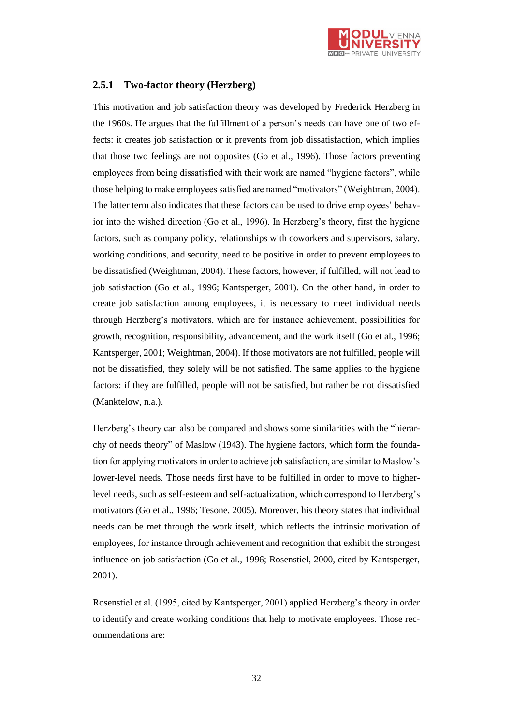

# <span id="page-31-0"></span>**2.5.1 Two-factor theory (Herzberg)**

This motivation and job satisfaction theory was developed by Frederick Herzberg in the 1960s. He argues that the fulfillment of a person's needs can have one of two effects: it creates job satisfaction or it prevents from job dissatisfaction, which implies that those two feelings are not opposites (Go et al., 1996). Those factors preventing employees from being dissatisfied with their work are named "hygiene factors", while those helping to make employees satisfied are named "motivators" (Weightman, 2004). The latter term also indicates that these factors can be used to drive employees' behavior into the wished direction (Go et al., 1996). In Herzberg's theory, first the hygiene factors, such as company policy, relationships with coworkers and supervisors, salary, working conditions, and security, need to be positive in order to prevent employees to be dissatisfied (Weightman, 2004). These factors, however, if fulfilled, will not lead to job satisfaction (Go et al., 1996; Kantsperger, 2001). On the other hand, in order to create job satisfaction among employees, it is necessary to meet individual needs through Herzberg's motivators, which are for instance achievement, possibilities for growth, recognition, responsibility, advancement, and the work itself (Go et al., 1996; Kantsperger, 2001; Weightman, 2004). If those motivators are not fulfilled, people will not be dissatisfied, they solely will be not satisfied. The same applies to the hygiene factors: if they are fulfilled, people will not be satisfied, but rather be not dissatisfied (Manktelow, n.a.).

Herzberg's theory can also be compared and shows some similarities with the "hierarchy of needs theory" of Maslow (1943). The hygiene factors, which form the foundation for applying motivators in order to achieve job satisfaction, are similar to Maslow's lower-level needs. Those needs first have to be fulfilled in order to move to higherlevel needs, such as self-esteem and self-actualization, which correspond to Herzberg's motivators (Go et al., 1996; Tesone, 2005). Moreover, his theory states that individual needs can be met through the work itself, which reflects the intrinsic motivation of employees, for instance through achievement and recognition that exhibit the strongest influence on job satisfaction (Go et al., 1996; Rosenstiel, 2000, cited by Kantsperger, 2001).

Rosenstiel et al. (1995, cited by Kantsperger, 2001) applied Herzberg's theory in order to identify and create working conditions that help to motivate employees. Those recommendations are: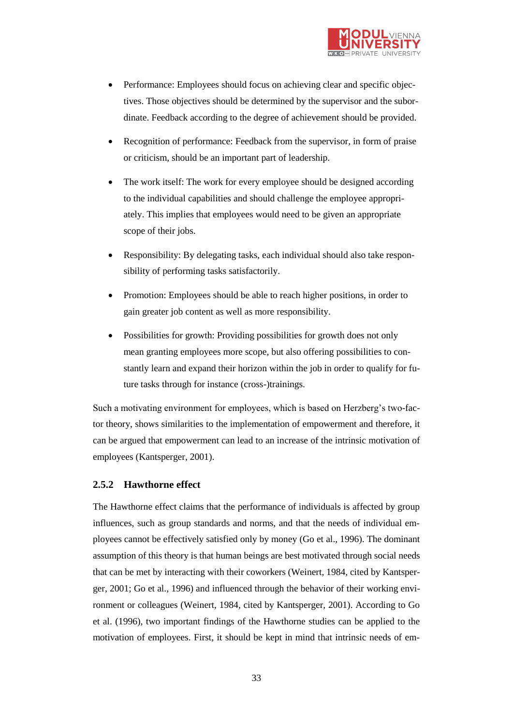

- Performance: Employees should focus on achieving clear and specific objectives. Those objectives should be determined by the supervisor and the subordinate. Feedback according to the degree of achievement should be provided.
- Recognition of performance: Feedback from the supervisor, in form of praise or criticism, should be an important part of leadership.
- The work itself: The work for every employee should be designed according to the individual capabilities and should challenge the employee appropriately. This implies that employees would need to be given an appropriate scope of their jobs.
- Responsibility: By delegating tasks, each individual should also take responsibility of performing tasks satisfactorily.
- Promotion: Employees should be able to reach higher positions, in order to gain greater job content as well as more responsibility.
- Possibilities for growth: Providing possibilities for growth does not only mean granting employees more scope, but also offering possibilities to constantly learn and expand their horizon within the job in order to qualify for future tasks through for instance (cross-)trainings.

Such a motivating environment for employees, which is based on Herzberg's two-factor theory, shows similarities to the implementation of empowerment and therefore, it can be argued that empowerment can lead to an increase of the intrinsic motivation of employees (Kantsperger, 2001).

# <span id="page-32-0"></span>**2.5.2 Hawthorne effect**

The Hawthorne effect claims that the performance of individuals is affected by group influences, such as group standards and norms, and that the needs of individual employees cannot be effectively satisfied only by money (Go et al., 1996). The dominant assumption of this theory is that human beings are best motivated through social needs that can be met by interacting with their coworkers (Weinert, 1984, cited by Kantsperger, 2001; Go et al., 1996) and influenced through the behavior of their working environment or colleagues (Weinert, 1984, cited by Kantsperger, 2001). According to Go et al. (1996), two important findings of the Hawthorne studies can be applied to the motivation of employees. First, it should be kept in mind that intrinsic needs of em-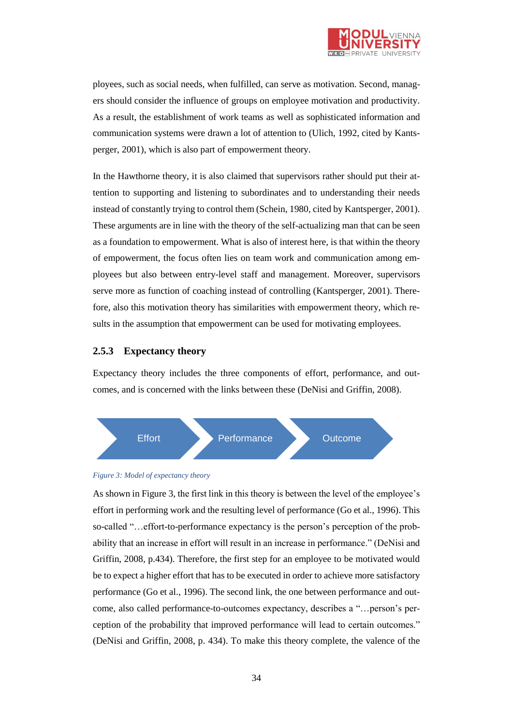

ployees, such as social needs, when fulfilled, can serve as motivation. Second, managers should consider the influence of groups on employee motivation and productivity. As a result, the establishment of work teams as well as sophisticated information and communication systems were drawn a lot of attention to (Ulich, 1992, cited by Kantsperger, 2001), which is also part of empowerment theory.

In the Hawthorne theory, it is also claimed that supervisors rather should put their attention to supporting and listening to subordinates and to understanding their needs instead of constantly trying to control them (Schein, 1980, cited by Kantsperger, 2001). These arguments are in line with the theory of the self-actualizing man that can be seen as a foundation to empowerment. What is also of interest here, is that within the theory of empowerment, the focus often lies on team work and communication among employees but also between entry-level staff and management. Moreover, supervisors serve more as function of coaching instead of controlling (Kantsperger, 2001). Therefore, also this motivation theory has similarities with empowerment theory, which results in the assumption that empowerment can be used for motivating employees.

### <span id="page-33-0"></span>**2.5.3 Expectancy theory**

Expectancy theory includes the three components of effort, performance, and outcomes, and is concerned with the links between these (DeNisi and Griffin, 2008).



#### <span id="page-33-1"></span>*Figure 3: Model of expectancy theory*

As shown in Figure 3, the first link in this theory is between the level of the employee's effort in performing work and the resulting level of performance (Go et al., 1996). This so-called "…effort-to-performance expectancy is the person's perception of the probability that an increase in effort will result in an increase in performance." (DeNisi and Griffin, 2008, p.434). Therefore, the first step for an employee to be motivated would be to expect a higher effort that has to be executed in order to achieve more satisfactory performance (Go et al., 1996). The second link, the one between performance and outcome, also called performance-to-outcomes expectancy, describes a "…person's perception of the probability that improved performance will lead to certain outcomes." (DeNisi and Griffin, 2008, p. 434). To make this theory complete, the valence of the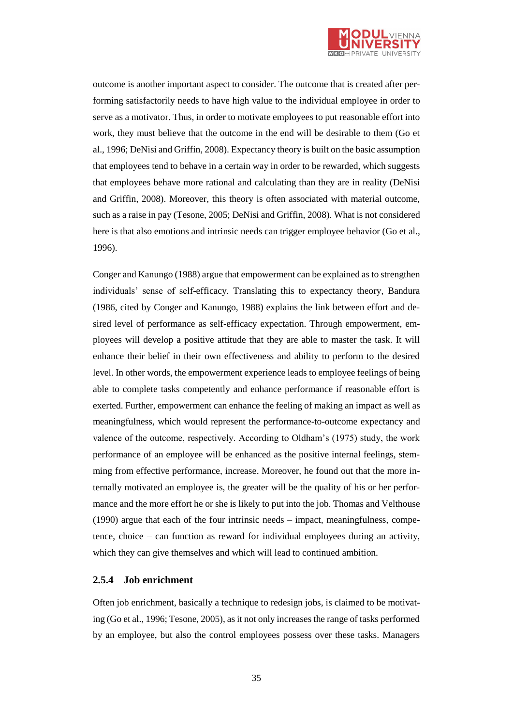

outcome is another important aspect to consider. The outcome that is created after performing satisfactorily needs to have high value to the individual employee in order to serve as a motivator. Thus, in order to motivate employees to put reasonable effort into work, they must believe that the outcome in the end will be desirable to them (Go et al., 1996; DeNisi and Griffin, 2008). Expectancy theory is built on the basic assumption that employees tend to behave in a certain way in order to be rewarded, which suggests that employees behave more rational and calculating than they are in reality (DeNisi and Griffin, 2008). Moreover, this theory is often associated with material outcome, such as a raise in pay (Tesone, 2005; DeNisi and Griffin, 2008). What is not considered here is that also emotions and intrinsic needs can trigger employee behavior (Go et al., 1996).

Conger and Kanungo (1988) argue that empowerment can be explained as to strengthen individuals' sense of self-efficacy. Translating this to expectancy theory, Bandura (1986, cited by Conger and Kanungo, 1988) explains the link between effort and desired level of performance as self-efficacy expectation. Through empowerment, employees will develop a positive attitude that they are able to master the task. It will enhance their belief in their own effectiveness and ability to perform to the desired level. In other words, the empowerment experience leads to employee feelings of being able to complete tasks competently and enhance performance if reasonable effort is exerted. Further, empowerment can enhance the feeling of making an impact as well as meaningfulness, which would represent the performance-to-outcome expectancy and valence of the outcome, respectively. According to Oldham's (1975) study, the work performance of an employee will be enhanced as the positive internal feelings, stemming from effective performance, increase. Moreover, he found out that the more internally motivated an employee is, the greater will be the quality of his or her performance and the more effort he or she is likely to put into the job. Thomas and Velthouse (1990) argue that each of the four intrinsic needs – impact, meaningfulness, competence, choice – can function as reward for individual employees during an activity, which they can give themselves and which will lead to continued ambition.

### <span id="page-34-0"></span>**2.5.4 Job enrichment**

Often job enrichment, basically a technique to redesign jobs, is claimed to be motivating (Go et al., 1996; Tesone, 2005), as it not only increases the range of tasks performed by an employee, but also the control employees possess over these tasks. Managers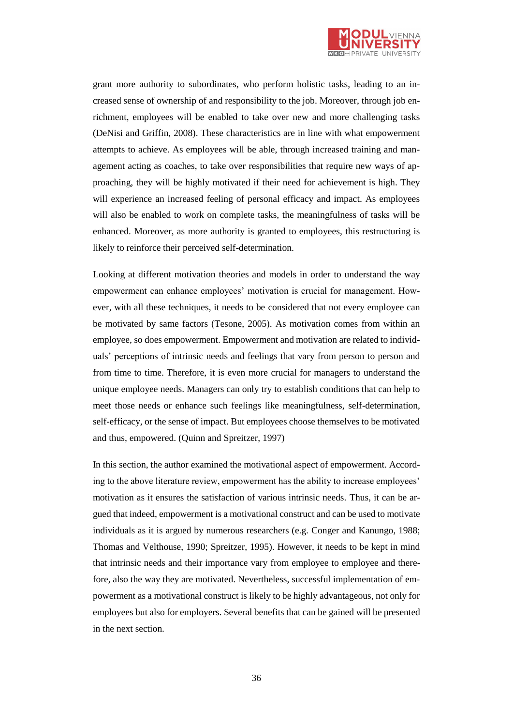

grant more authority to subordinates, who perform holistic tasks, leading to an increased sense of ownership of and responsibility to the job. Moreover, through job enrichment, employees will be enabled to take over new and more challenging tasks (DeNisi and Griffin, 2008). These characteristics are in line with what empowerment attempts to achieve. As employees will be able, through increased training and management acting as coaches, to take over responsibilities that require new ways of approaching, they will be highly motivated if their need for achievement is high. They will experience an increased feeling of personal efficacy and impact. As employees will also be enabled to work on complete tasks, the meaningfulness of tasks will be enhanced. Moreover, as more authority is granted to employees, this restructuring is likely to reinforce their perceived self-determination.

Looking at different motivation theories and models in order to understand the way empowerment can enhance employees' motivation is crucial for management. However, with all these techniques, it needs to be considered that not every employee can be motivated by same factors (Tesone, 2005). As motivation comes from within an employee, so does empowerment. Empowerment and motivation are related to individuals' perceptions of intrinsic needs and feelings that vary from person to person and from time to time. Therefore, it is even more crucial for managers to understand the unique employee needs. Managers can only try to establish conditions that can help to meet those needs or enhance such feelings like meaningfulness, self-determination, self-efficacy, or the sense of impact. But employees choose themselves to be motivated and thus, empowered. (Quinn and Spreitzer, 1997)

In this section, the author examined the motivational aspect of empowerment. According to the above literature review, empowerment has the ability to increase employees' motivation as it ensures the satisfaction of various intrinsic needs. Thus, it can be argued that indeed, empowerment is a motivational construct and can be used to motivate individuals as it is argued by numerous researchers (e.g. Conger and Kanungo, 1988; Thomas and Velthouse, 1990; Spreitzer, 1995). However, it needs to be kept in mind that intrinsic needs and their importance vary from employee to employee and therefore, also the way they are motivated. Nevertheless, successful implementation of empowerment as a motivational construct is likely to be highly advantageous, not only for employees but also for employers. Several benefits that can be gained will be presented in the next section.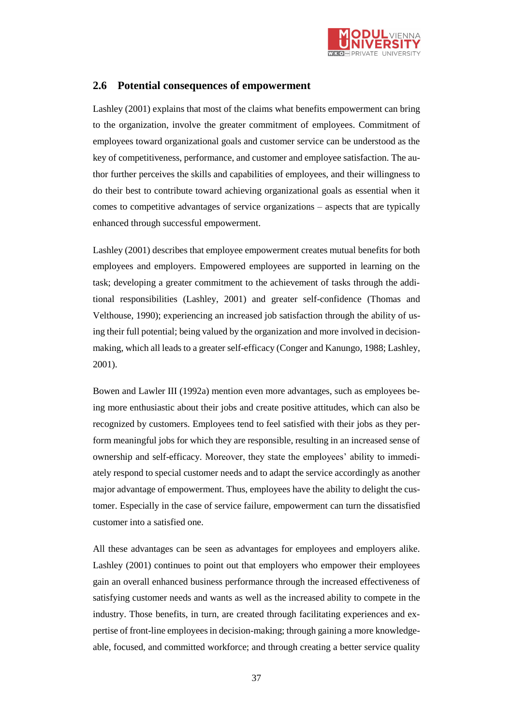

### **2.6 Potential consequences of empowerment**

Lashley (2001) explains that most of the claims what benefits empowerment can bring to the organization, involve the greater commitment of employees. Commitment of employees toward organizational goals and customer service can be understood as the key of competitiveness, performance, and customer and employee satisfaction. The author further perceives the skills and capabilities of employees, and their willingness to do their best to contribute toward achieving organizational goals as essential when it comes to competitive advantages of service organizations – aspects that are typically enhanced through successful empowerment.

Lashley (2001) describes that employee empowerment creates mutual benefits for both employees and employers. Empowered employees are supported in learning on the task; developing a greater commitment to the achievement of tasks through the additional responsibilities (Lashley, 2001) and greater self-confidence (Thomas and Velthouse, 1990); experiencing an increased job satisfaction through the ability of using their full potential; being valued by the organization and more involved in decisionmaking, which all leads to a greater self-efficacy (Conger and Kanungo, 1988; Lashley, 2001).

Bowen and Lawler III (1992a) mention even more advantages, such as employees being more enthusiastic about their jobs and create positive attitudes, which can also be recognized by customers. Employees tend to feel satisfied with their jobs as they perform meaningful jobs for which they are responsible, resulting in an increased sense of ownership and self-efficacy. Moreover, they state the employees' ability to immediately respond to special customer needs and to adapt the service accordingly as another major advantage of empowerment. Thus, employees have the ability to delight the customer. Especially in the case of service failure, empowerment can turn the dissatisfied customer into a satisfied one.

All these advantages can be seen as advantages for employees and employers alike. Lashley (2001) continues to point out that employers who empower their employees gain an overall enhanced business performance through the increased effectiveness of satisfying customer needs and wants as well as the increased ability to compete in the industry. Those benefits, in turn, are created through facilitating experiences and expertise of front-line employees in decision-making; through gaining a more knowledgeable, focused, and committed workforce; and through creating a better service quality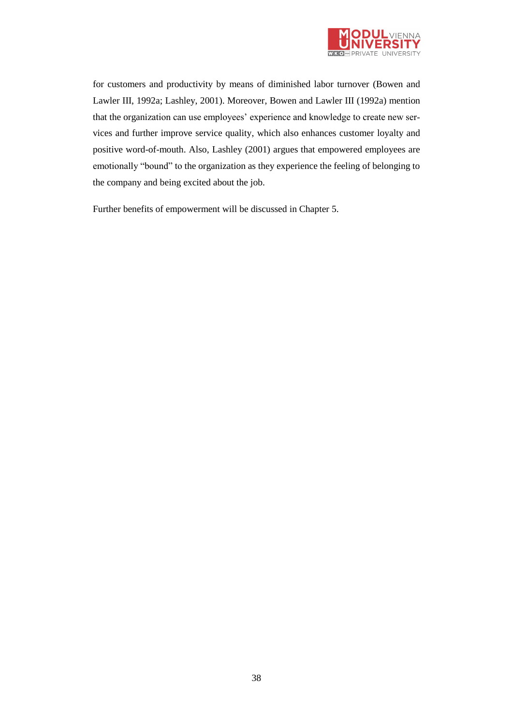

for customers and productivity by means of diminished labor turnover (Bowen and Lawler III, 1992a; Lashley, 2001). Moreover, Bowen and Lawler III (1992a) mention that the organization can use employees' experience and knowledge to create new services and further improve service quality, which also enhances customer loyalty and positive word-of-mouth. Also, Lashley (2001) argues that empowered employees are emotionally "bound" to the organization as they experience the feeling of belonging to the company and being excited about the job.

Further benefits of empowerment will be discussed in Chapter 5.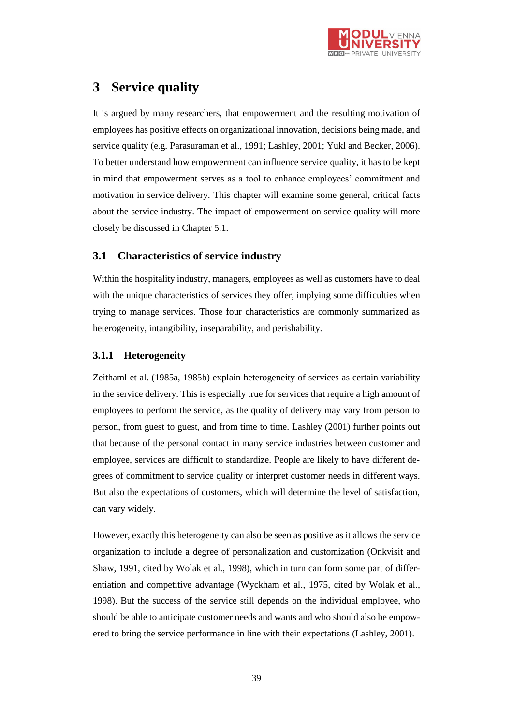

# **3 Service quality**

It is argued by many researchers, that empowerment and the resulting motivation of employees has positive effects on organizational innovation, decisions being made, and service quality (e.g. Parasuraman et al., 1991; Lashley, 2001; Yukl and Becker, 2006). To better understand how empowerment can influence service quality, it has to be kept in mind that empowerment serves as a tool to enhance employees' commitment and motivation in service delivery. This chapter will examine some general, critical facts about the service industry. The impact of empowerment on service quality will more closely be discussed in Chapter 5.1.

## **3.1 Characteristics of service industry**

Within the hospitality industry, managers, employees as well as customers have to deal with the unique characteristics of services they offer, implying some difficulties when trying to manage services. Those four characteristics are commonly summarized as heterogeneity, intangibility, inseparability, and perishability.

### **3.1.1 Heterogeneity**

Zeithaml et al. (1985a, 1985b) explain heterogeneity of services as certain variability in the service delivery. This is especially true for services that require a high amount of employees to perform the service, as the quality of delivery may vary from person to person, from guest to guest, and from time to time. Lashley (2001) further points out that because of the personal contact in many service industries between customer and employee, services are difficult to standardize. People are likely to have different degrees of commitment to service quality or interpret customer needs in different ways. But also the expectations of customers, which will determine the level of satisfaction, can vary widely.

However, exactly this heterogeneity can also be seen as positive as it allows the service organization to include a degree of personalization and customization (Onkvisit and Shaw, 1991, cited by Wolak et al., 1998), which in turn can form some part of differentiation and competitive advantage (Wyckham et al., 1975, cited by Wolak et al., 1998). But the success of the service still depends on the individual employee, who should be able to anticipate customer needs and wants and who should also be empowered to bring the service performance in line with their expectations (Lashley, 2001).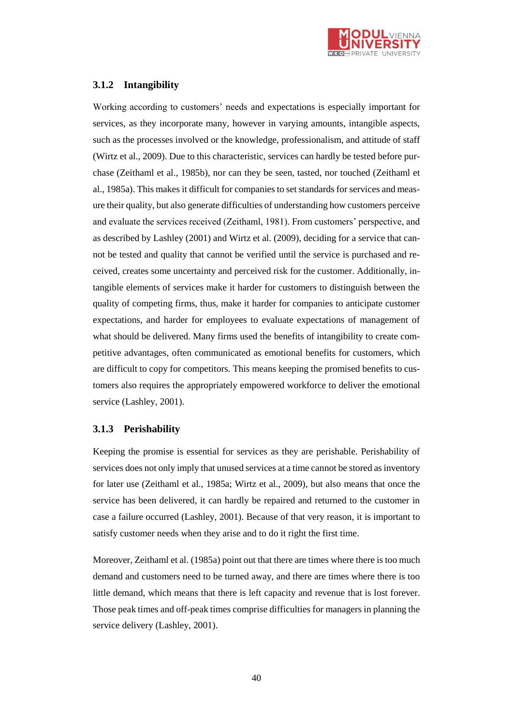

### **3.1.2 Intangibility**

Working according to customers' needs and expectations is especially important for services, as they incorporate many, however in varying amounts, intangible aspects, such as the processes involved or the knowledge, professionalism, and attitude of staff (Wirtz et al., 2009). Due to this characteristic, services can hardly be tested before purchase (Zeithaml et al., 1985b), nor can they be seen, tasted, nor touched (Zeithaml et al., 1985a). This makes it difficult for companies to set standards for services and measure their quality, but also generate difficulties of understanding how customers perceive and evaluate the services received (Zeithaml, 1981). From customers' perspective, and as described by Lashley (2001) and Wirtz et al. (2009), deciding for a service that cannot be tested and quality that cannot be verified until the service is purchased and received, creates some uncertainty and perceived risk for the customer. Additionally, intangible elements of services make it harder for customers to distinguish between the quality of competing firms, thus, make it harder for companies to anticipate customer expectations, and harder for employees to evaluate expectations of management of what should be delivered. Many firms used the benefits of intangibility to create competitive advantages, often communicated as emotional benefits for customers, which are difficult to copy for competitors. This means keeping the promised benefits to customers also requires the appropriately empowered workforce to deliver the emotional service (Lashley, 2001).

### **3.1.3 Perishability**

Keeping the promise is essential for services as they are perishable. Perishability of services does not only imply that unused services at a time cannot be stored as inventory for later use (Zeithaml et al., 1985a; Wirtz et al., 2009), but also means that once the service has been delivered, it can hardly be repaired and returned to the customer in case a failure occurred (Lashley, 2001). Because of that very reason, it is important to satisfy customer needs when they arise and to do it right the first time.

Moreover, Zeithaml et al. (1985a) point out that there are times where there is too much demand and customers need to be turned away, and there are times where there is too little demand, which means that there is left capacity and revenue that is lost forever. Those peak times and off-peak times comprise difficulties for managers in planning the service delivery (Lashley, 2001).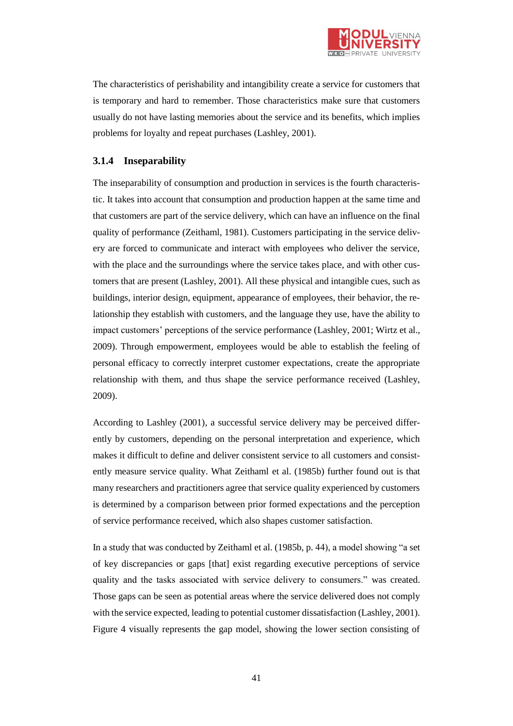

The characteristics of perishability and intangibility create a service for customers that is temporary and hard to remember. Those characteristics make sure that customers usually do not have lasting memories about the service and its benefits, which implies problems for loyalty and repeat purchases (Lashley, 2001).

### **3.1.4 Inseparability**

The inseparability of consumption and production in services is the fourth characteristic. It takes into account that consumption and production happen at the same time and that customers are part of the service delivery, which can have an influence on the final quality of performance (Zeithaml, 1981). Customers participating in the service delivery are forced to communicate and interact with employees who deliver the service, with the place and the surroundings where the service takes place, and with other customers that are present (Lashley, 2001). All these physical and intangible cues, such as buildings, interior design, equipment, appearance of employees, their behavior, the relationship they establish with customers, and the language they use, have the ability to impact customers' perceptions of the service performance (Lashley, 2001; Wirtz et al., 2009). Through empowerment, employees would be able to establish the feeling of personal efficacy to correctly interpret customer expectations, create the appropriate relationship with them, and thus shape the service performance received (Lashley, 2009).

According to Lashley (2001), a successful service delivery may be perceived differently by customers, depending on the personal interpretation and experience, which makes it difficult to define and deliver consistent service to all customers and consistently measure service quality. What Zeithaml et al. (1985b) further found out is that many researchers and practitioners agree that service quality experienced by customers is determined by a comparison between prior formed expectations and the perception of service performance received, which also shapes customer satisfaction.

In a study that was conducted by Zeithaml et al. (1985b, p. 44), a model showing "a set of key discrepancies or gaps [that] exist regarding executive perceptions of service quality and the tasks associated with service delivery to consumers." was created. Those gaps can be seen as potential areas where the service delivered does not comply with the service expected, leading to potential customer dissatisfaction (Lashley, 2001). Figure 4 visually represents the gap model, showing the lower section consisting of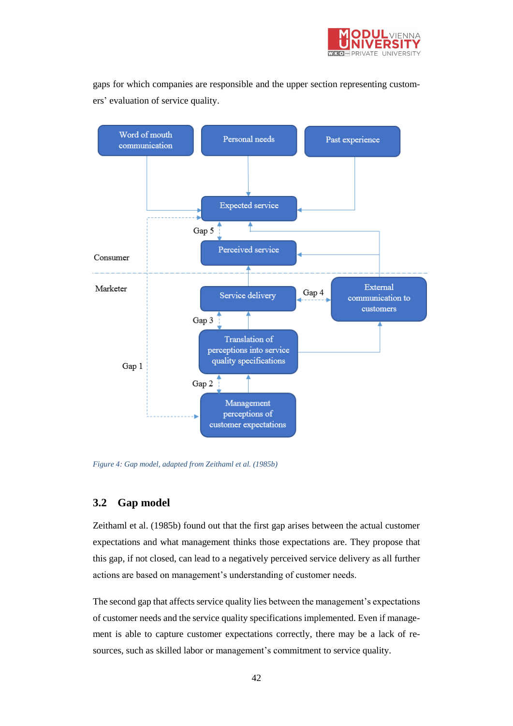

gaps for which companies are responsible and the upper section representing customers' evaluation of service quality.



*Figure 4: Gap model, adapted from Zeithaml et al. (1985b)*

### **3.2 Gap model**

Zeithaml et al. (1985b) found out that the first gap arises between the actual customer expectations and what management thinks those expectations are. They propose that this gap, if not closed, can lead to a negatively perceived service delivery as all further actions are based on management's understanding of customer needs.

The second gap that affects service quality lies between the management's expectations of customer needs and the service quality specifications implemented. Even if management is able to capture customer expectations correctly, there may be a lack of resources, such as skilled labor or management's commitment to service quality.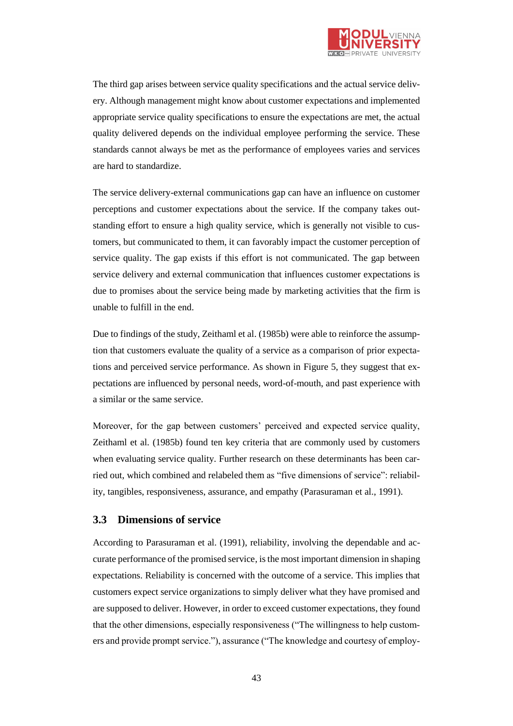

The third gap arises between service quality specifications and the actual service delivery. Although management might know about customer expectations and implemented appropriate service quality specifications to ensure the expectations are met, the actual quality delivered depends on the individual employee performing the service. These standards cannot always be met as the performance of employees varies and services are hard to standardize.

The service delivery-external communications gap can have an influence on customer perceptions and customer expectations about the service. If the company takes outstanding effort to ensure a high quality service, which is generally not visible to customers, but communicated to them, it can favorably impact the customer perception of service quality. The gap exists if this effort is not communicated. The gap between service delivery and external communication that influences customer expectations is due to promises about the service being made by marketing activities that the firm is unable to fulfill in the end.

Due to findings of the study, Zeithaml et al. (1985b) were able to reinforce the assumption that customers evaluate the quality of a service as a comparison of prior expectations and perceived service performance. As shown in Figure 5, they suggest that expectations are influenced by personal needs, word-of-mouth, and past experience with a similar or the same service.

Moreover, for the gap between customers' perceived and expected service quality, Zeithaml et al. (1985b) found ten key criteria that are commonly used by customers when evaluating service quality. Further research on these determinants has been carried out, which combined and relabeled them as "five dimensions of service": reliability, tangibles, responsiveness, assurance, and empathy (Parasuraman et al., 1991).

### **3.3 Dimensions of service**

According to Parasuraman et al. (1991), reliability, involving the dependable and accurate performance of the promised service, is the most important dimension in shaping expectations. Reliability is concerned with the outcome of a service. This implies that customers expect service organizations to simply deliver what they have promised and are supposed to deliver. However, in order to exceed customer expectations, they found that the other dimensions, especially responsiveness ("The willingness to help customers and provide prompt service."), assurance ("The knowledge and courtesy of employ-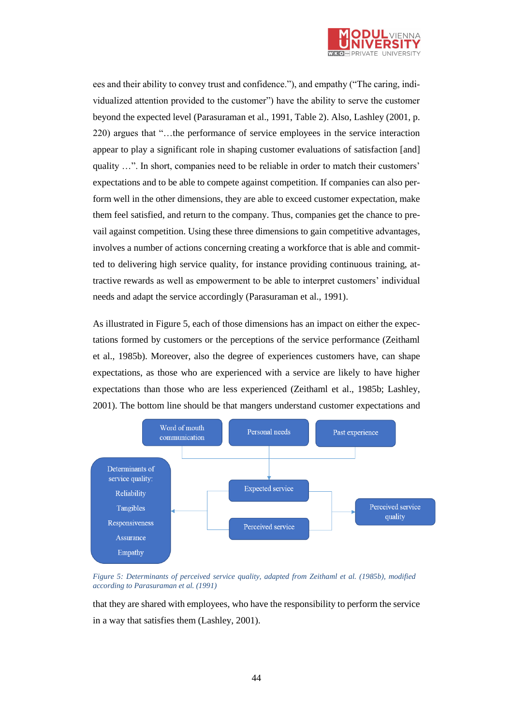

ees and their ability to convey trust and confidence."), and empathy ("The caring, individualized attention provided to the customer") have the ability to serve the customer beyond the expected level (Parasuraman et al., 1991, Table 2). Also, Lashley (2001, p. 220) argues that "…the performance of service employees in the service interaction appear to play a significant role in shaping customer evaluations of satisfaction [and] quality …". In short, companies need to be reliable in order to match their customers' expectations and to be able to compete against competition. If companies can also perform well in the other dimensions, they are able to exceed customer expectation, make them feel satisfied, and return to the company. Thus, companies get the chance to prevail against competition. Using these three dimensions to gain competitive advantages, involves a number of actions concerning creating a workforce that is able and committed to delivering high service quality, for instance providing continuous training, attractive rewards as well as empowerment to be able to interpret customers' individual needs and adapt the service accordingly (Parasuraman et al., 1991).

As illustrated in Figure 5, each of those dimensions has an impact on either the expectations formed by customers or the perceptions of the service performance (Zeithaml et al., 1985b). Moreover, also the degree of experiences customers have, can shape expectations, as those who are experienced with a service are likely to have higher expectations than those who are less experienced (Zeithaml et al., 1985b; Lashley, 2001). The bottom line should be that mangers understand customer expectations and



*Figure 5: Determinants of perceived service quality, adapted from Zeithaml et al. (1985b), modified according to Parasuraman et al. (1991)*

that they are shared with employees, who have the responsibility to perform the service in a way that satisfies them (Lashley, 2001).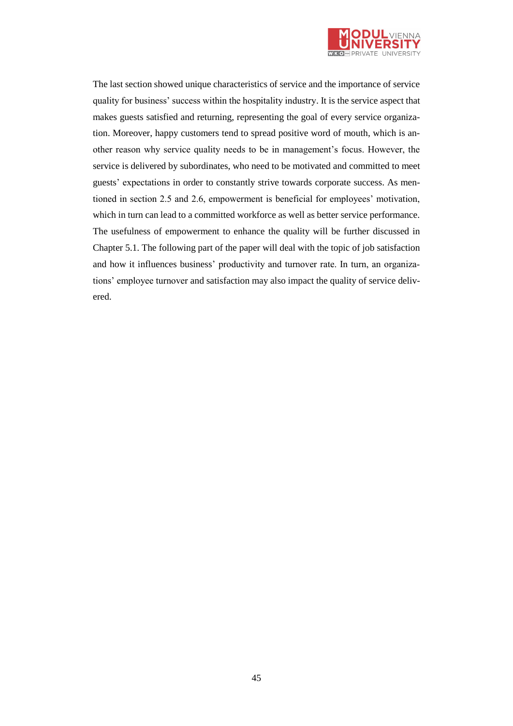

The last section showed unique characteristics of service and the importance of service quality for business' success within the hospitality industry. It is the service aspect that makes guests satisfied and returning, representing the goal of every service organization. Moreover, happy customers tend to spread positive word of mouth, which is another reason why service quality needs to be in management's focus. However, the service is delivered by subordinates, who need to be motivated and committed to meet guests' expectations in order to constantly strive towards corporate success. As mentioned in section 2.5 and 2.6, empowerment is beneficial for employees' motivation, which in turn can lead to a committed workforce as well as better service performance. The usefulness of empowerment to enhance the quality will be further discussed in Chapter 5.1. The following part of the paper will deal with the topic of job satisfaction and how it influences business' productivity and turnover rate. In turn, an organizations' employee turnover and satisfaction may also impact the quality of service delivered.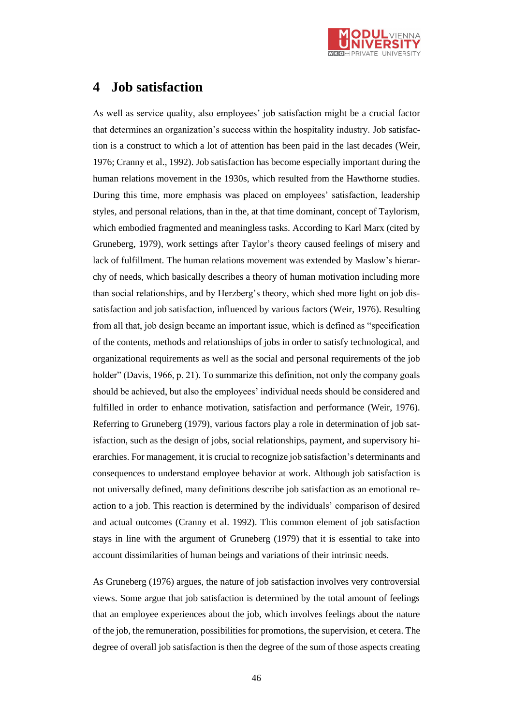

# **4 Job satisfaction**

As well as service quality, also employees' job satisfaction might be a crucial factor that determines an organization's success within the hospitality industry. Job satisfaction is a construct to which a lot of attention has been paid in the last decades (Weir, 1976; Cranny et al., 1992). Job satisfaction has become especially important during the human relations movement in the 1930s, which resulted from the Hawthorne studies. During this time, more emphasis was placed on employees' satisfaction, leadership styles, and personal relations, than in the, at that time dominant, concept of Taylorism, which embodied fragmented and meaningless tasks. According to Karl Marx (cited by Gruneberg, 1979), work settings after Taylor's theory caused feelings of misery and lack of fulfillment. The human relations movement was extended by Maslow's hierarchy of needs, which basically describes a theory of human motivation including more than social relationships, and by Herzberg's theory, which shed more light on job dissatisfaction and job satisfaction, influenced by various factors (Weir, 1976). Resulting from all that, job design became an important issue, which is defined as "specification of the contents, methods and relationships of jobs in order to satisfy technological, and organizational requirements as well as the social and personal requirements of the job holder" (Davis, 1966, p. 21). To summarize this definition, not only the company goals should be achieved, but also the employees' individual needs should be considered and fulfilled in order to enhance motivation, satisfaction and performance (Weir, 1976). Referring to Gruneberg (1979), various factors play a role in determination of job satisfaction, such as the design of jobs, social relationships, payment, and supervisory hierarchies. For management, it is crucial to recognize job satisfaction's determinants and consequences to understand employee behavior at work. Although job satisfaction is not universally defined, many definitions describe job satisfaction as an emotional reaction to a job. This reaction is determined by the individuals' comparison of desired and actual outcomes (Cranny et al. 1992). This common element of job satisfaction stays in line with the argument of Gruneberg (1979) that it is essential to take into account dissimilarities of human beings and variations of their intrinsic needs.

As Gruneberg (1976) argues, the nature of job satisfaction involves very controversial views. Some argue that job satisfaction is determined by the total amount of feelings that an employee experiences about the job, which involves feelings about the nature of the job, the remuneration, possibilities for promotions, the supervision, et cetera. The degree of overall job satisfaction is then the degree of the sum of those aspects creating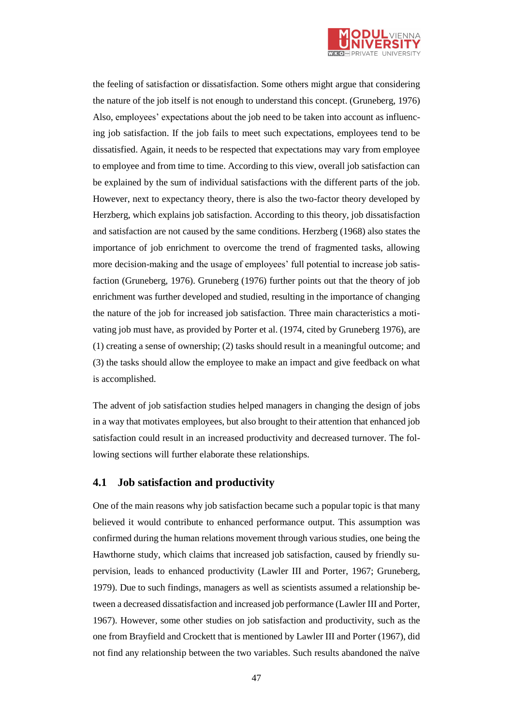

the feeling of satisfaction or dissatisfaction. Some others might argue that considering the nature of the job itself is not enough to understand this concept. (Gruneberg, 1976) Also, employees' expectations about the job need to be taken into account as influencing job satisfaction. If the job fails to meet such expectations, employees tend to be dissatisfied. Again, it needs to be respected that expectations may vary from employee to employee and from time to time. According to this view, overall job satisfaction can be explained by the sum of individual satisfactions with the different parts of the job. However, next to expectancy theory, there is also the two-factor theory developed by Herzberg, which explains job satisfaction. According to this theory, job dissatisfaction and satisfaction are not caused by the same conditions. Herzberg (1968) also states the importance of job enrichment to overcome the trend of fragmented tasks, allowing more decision-making and the usage of employees' full potential to increase job satisfaction (Gruneberg, 1976). Gruneberg (1976) further points out that the theory of job enrichment was further developed and studied, resulting in the importance of changing the nature of the job for increased job satisfaction. Three main characteristics a motivating job must have, as provided by Porter et al. (1974, cited by Gruneberg 1976), are (1) creating a sense of ownership; (2) tasks should result in a meaningful outcome; and (3) the tasks should allow the employee to make an impact and give feedback on what is accomplished.

The advent of job satisfaction studies helped managers in changing the design of jobs in a way that motivates employees, but also brought to their attention that enhanced job satisfaction could result in an increased productivity and decreased turnover. The following sections will further elaborate these relationships.

#### **4.1 Job satisfaction and productivity**

One of the main reasons why job satisfaction became such a popular topic is that many believed it would contribute to enhanced performance output. This assumption was confirmed during the human relations movement through various studies, one being the Hawthorne study, which claims that increased job satisfaction, caused by friendly supervision, leads to enhanced productivity (Lawler III and Porter, 1967; Gruneberg, 1979). Due to such findings, managers as well as scientists assumed a relationship between a decreased dissatisfaction and increased job performance (Lawler III and Porter, 1967). However, some other studies on job satisfaction and productivity, such as the one from Brayfield and Crockett that is mentioned by Lawler III and Porter (1967), did not find any relationship between the two variables. Such results abandoned the naïve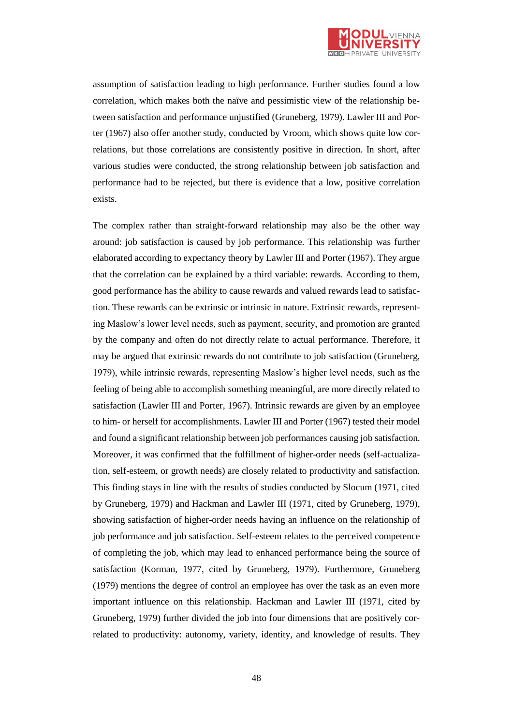

assumption of satisfaction leading to high performance. Further studies found a low correlation, which makes both the naïve and pessimistic view of the relationship between satisfaction and performance unjustified (Gruneberg, 1979). Lawler III and Porter (1967) also offer another study, conducted by Vroom, which shows quite low correlations, but those correlations are consistently positive in direction. In short, after various studies were conducted, the strong relationship between job satisfaction and performance had to be rejected, but there is evidence that a low, positive correlation exists.

The complex rather than straight-forward relationship may also be the other way around: job satisfaction is caused by job performance. This relationship was further elaborated according to expectancy theory by Lawler III and Porter (1967). They argue that the correlation can be explained by a third variable: rewards. According to them, good performance has the ability to cause rewards and valued rewards lead to satisfaction. These rewards can be extrinsic or intrinsic in nature. Extrinsic rewards, representing Maslow's lower level needs, such as payment, security, and promotion are granted by the company and often do not directly relate to actual performance. Therefore, it may be argued that extrinsic rewards do not contribute to job satisfaction (Gruneberg, 1979), while intrinsic rewards, representing Maslow's higher level needs, such as the feeling of being able to accomplish something meaningful, are more directly related to satisfaction (Lawler III and Porter, 1967). Intrinsic rewards are given by an employee to him- or herself for accomplishments. Lawler III and Porter (1967) tested their model and found a significant relationship between job performances causing job satisfaction. Moreover, it was confirmed that the fulfillment of higher-order needs (self-actualization, self-esteem, or growth needs) are closely related to productivity and satisfaction. This finding stays in line with the results of studies conducted by Slocum (1971, cited by Gruneberg, 1979) and Hackman and Lawler III (1971, cited by Gruneberg, 1979), showing satisfaction of higher-order needs having an influence on the relationship of job performance and job satisfaction. Self-esteem relates to the perceived competence of completing the job, which may lead to enhanced performance being the source of satisfaction (Korman, 1977, cited by Gruneberg, 1979). Furthermore, Gruneberg (1979) mentions the degree of control an employee has over the task as an even more important influence on this relationship. Hackman and Lawler III (1971, cited by Gruneberg, 1979) further divided the job into four dimensions that are positively correlated to productivity: autonomy, variety, identity, and knowledge of results. They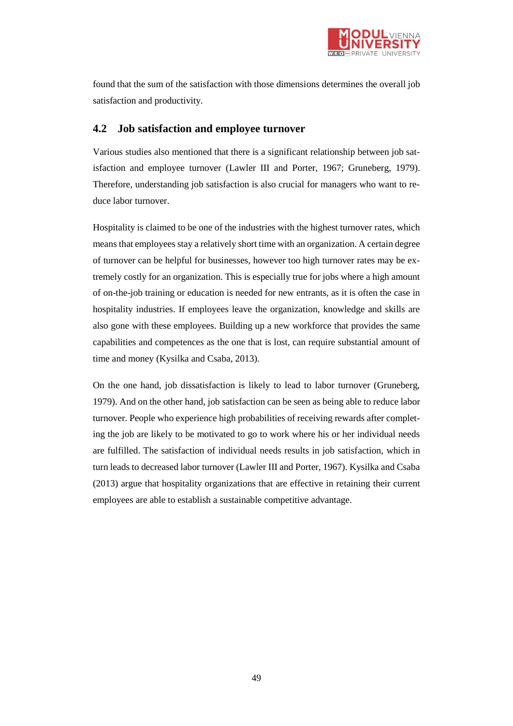

found that the sum of the satisfaction with those dimensions determines the overall job satisfaction and productivity.

### **4.2 Job satisfaction and employee turnover**

Various studies also mentioned that there is a significant relationship between job satisfaction and employee turnover (Lawler III and Porter, 1967; Gruneberg, 1979). Therefore, understanding job satisfaction is also crucial for managers who want to reduce labor turnover.

Hospitality is claimed to be one of the industries with the highest turnover rates, which means that employees stay a relatively short time with an organization. A certain degree of turnover can be helpful for businesses, however too high turnover rates may be extremely costly for an organization. This is especially true for jobs where a high amount of on-the-job training or education is needed for new entrants, as it is often the case in hospitality industries. If employees leave the organization, knowledge and skills are also gone with these employees. Building up a new workforce that provides the same capabilities and competences as the one that is lost, can require substantial amount of time and money (Kysilka and Csaba, 2013).

On the one hand, job dissatisfaction is likely to lead to labor turnover (Gruneberg, 1979). And on the other hand, job satisfaction can be seen as being able to reduce labor turnover. People who experience high probabilities of receiving rewards after completing the job are likely to be motivated to go to work where his or her individual needs are fulfilled. The satisfaction of individual needs results in job satisfaction, which in turn leads to decreased labor turnover (Lawler III and Porter, 1967). Kysilka and Csaba (2013) argue that hospitality organizations that are effective in retaining their current employees are able to establish a sustainable competitive advantage.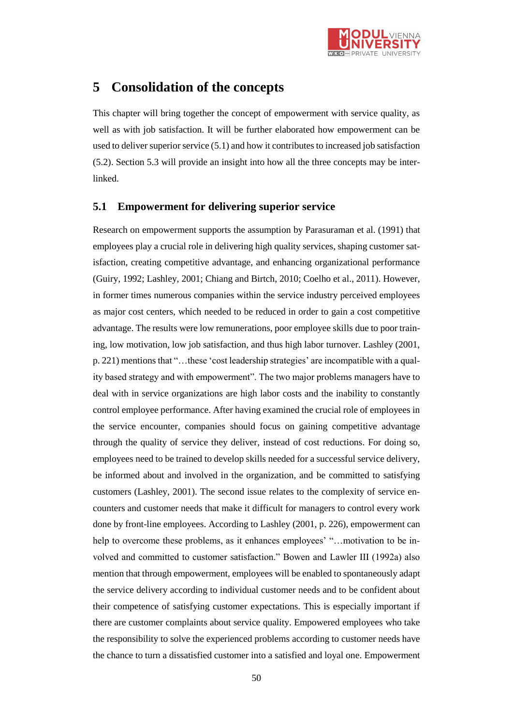

# **5 Consolidation of the concepts**

This chapter will bring together the concept of empowerment with service quality, as well as with job satisfaction. It will be further elaborated how empowerment can be used to deliver superior service (5.1) and how it contributes to increased job satisfaction (5.2). Section 5.3 will provide an insight into how all the three concepts may be interlinked.

#### **5.1 Empowerment for delivering superior service**

Research on empowerment supports the assumption by Parasuraman et al. (1991) that employees play a crucial role in delivering high quality services, shaping customer satisfaction, creating competitive advantage, and enhancing organizational performance (Guiry, 1992; Lashley, 2001; Chiang and Birtch, 2010; Coelho et al., 2011). However, in former times numerous companies within the service industry perceived employees as major cost centers, which needed to be reduced in order to gain a cost competitive advantage. The results were low remunerations, poor employee skills due to poor training, low motivation, low job satisfaction, and thus high labor turnover. Lashley (2001, p. 221) mentionsthat "…these 'cost leadership strategies' are incompatible with a quality based strategy and with empowerment". The two major problems managers have to deal with in service organizations are high labor costs and the inability to constantly control employee performance. After having examined the crucial role of employees in the service encounter, companies should focus on gaining competitive advantage through the quality of service they deliver, instead of cost reductions. For doing so, employees need to be trained to develop skills needed for a successful service delivery, be informed about and involved in the organization, and be committed to satisfying customers (Lashley, 2001). The second issue relates to the complexity of service encounters and customer needs that make it difficult for managers to control every work done by front-line employees. According to Lashley (2001, p. 226), empowerment can help to overcome these problems, as it enhances employees' "...motivation to be involved and committed to customer satisfaction." Bowen and Lawler III (1992a) also mention that through empowerment, employees will be enabled to spontaneously adapt the service delivery according to individual customer needs and to be confident about their competence of satisfying customer expectations. This is especially important if there are customer complaints about service quality. Empowered employees who take the responsibility to solve the experienced problems according to customer needs have the chance to turn a dissatisfied customer into a satisfied and loyal one. Empowerment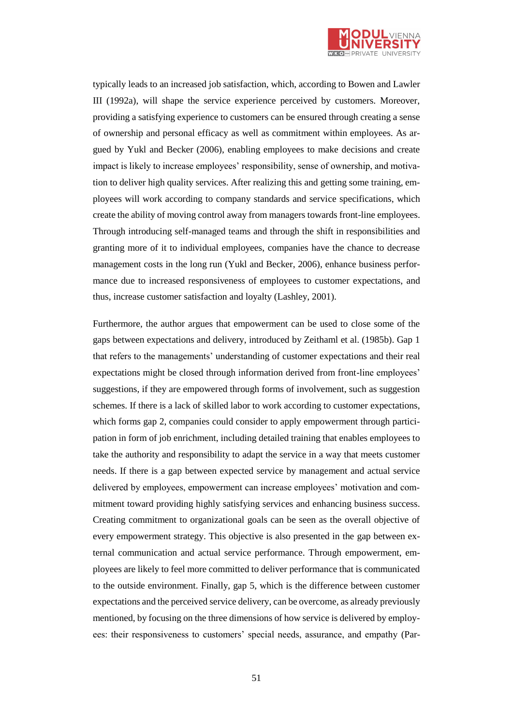

typically leads to an increased job satisfaction, which, according to Bowen and Lawler III (1992a), will shape the service experience perceived by customers. Moreover, providing a satisfying experience to customers can be ensured through creating a sense of ownership and personal efficacy as well as commitment within employees. As argued by Yukl and Becker (2006), enabling employees to make decisions and create impact is likely to increase employees' responsibility, sense of ownership, and motivation to deliver high quality services. After realizing this and getting some training, employees will work according to company standards and service specifications, which create the ability of moving control away from managers towards front-line employees. Through introducing self-managed teams and through the shift in responsibilities and granting more of it to individual employees, companies have the chance to decrease management costs in the long run (Yukl and Becker, 2006), enhance business performance due to increased responsiveness of employees to customer expectations, and thus, increase customer satisfaction and loyalty (Lashley, 2001).

Furthermore, the author argues that empowerment can be used to close some of the gaps between expectations and delivery, introduced by Zeithaml et al. (1985b). Gap 1 that refers to the managements' understanding of customer expectations and their real expectations might be closed through information derived from front-line employees' suggestions, if they are empowered through forms of involvement, such as suggestion schemes. If there is a lack of skilled labor to work according to customer expectations, which forms gap 2, companies could consider to apply empowerment through participation in form of job enrichment, including detailed training that enables employees to take the authority and responsibility to adapt the service in a way that meets customer needs. If there is a gap between expected service by management and actual service delivered by employees, empowerment can increase employees' motivation and commitment toward providing highly satisfying services and enhancing business success. Creating commitment to organizational goals can be seen as the overall objective of every empowerment strategy. This objective is also presented in the gap between external communication and actual service performance. Through empowerment, employees are likely to feel more committed to deliver performance that is communicated to the outside environment. Finally, gap 5, which is the difference between customer expectations and the perceived service delivery, can be overcome, as already previously mentioned, by focusing on the three dimensions of how service is delivered by employees: their responsiveness to customers' special needs, assurance, and empathy (Par-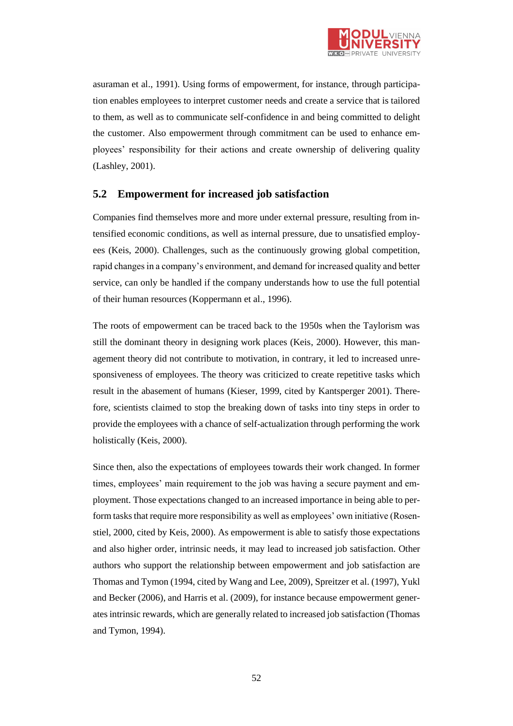

asuraman et al., 1991). Using forms of empowerment, for instance, through participation enables employees to interpret customer needs and create a service that is tailored to them, as well as to communicate self-confidence in and being committed to delight the customer. Also empowerment through commitment can be used to enhance employees' responsibility for their actions and create ownership of delivering quality (Lashley, 2001).

### **5.2 Empowerment for increased job satisfaction**

Companies find themselves more and more under external pressure, resulting from intensified economic conditions, as well as internal pressure, due to unsatisfied employees (Keis, 2000). Challenges, such as the continuously growing global competition, rapid changes in a company's environment, and demand for increased quality and better service, can only be handled if the company understands how to use the full potential of their human resources (Koppermann et al., 1996).

The roots of empowerment can be traced back to the 1950s when the Taylorism was still the dominant theory in designing work places (Keis, 2000). However, this management theory did not contribute to motivation, in contrary, it led to increased unresponsiveness of employees. The theory was criticized to create repetitive tasks which result in the abasement of humans (Kieser, 1999, cited by Kantsperger 2001). Therefore, scientists claimed to stop the breaking down of tasks into tiny steps in order to provide the employees with a chance of self-actualization through performing the work holistically (Keis, 2000).

Since then, also the expectations of employees towards their work changed. In former times, employees' main requirement to the job was having a secure payment and employment. Those expectations changed to an increased importance in being able to perform tasks that require more responsibility as well as employees' own initiative (Rosenstiel, 2000, cited by Keis, 2000). As empowerment is able to satisfy those expectations and also higher order, intrinsic needs, it may lead to increased job satisfaction. Other authors who support the relationship between empowerment and job satisfaction are Thomas and Tymon (1994, cited by Wang and Lee, 2009), Spreitzer et al. (1997), Yukl and Becker (2006), and Harris et al. (2009), for instance because empowerment generates intrinsic rewards, which are generally related to increased job satisfaction (Thomas and Tymon, 1994).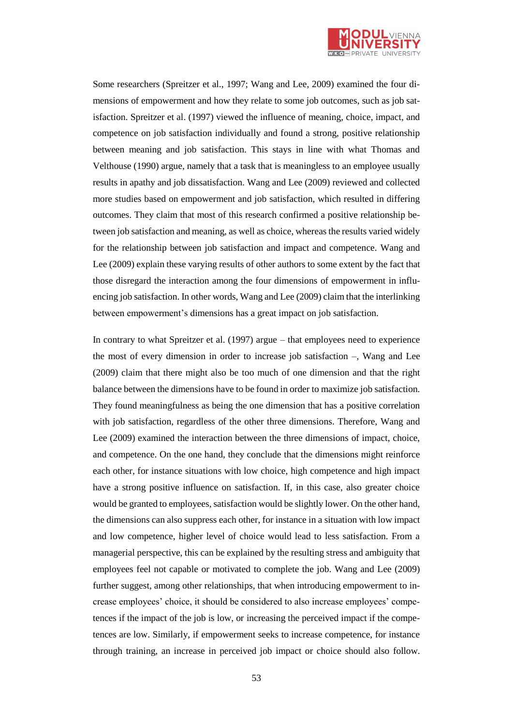

Some researchers (Spreitzer et al., 1997; Wang and Lee, 2009) examined the four dimensions of empowerment and how they relate to some job outcomes, such as job satisfaction. Spreitzer et al. (1997) viewed the influence of meaning, choice, impact, and competence on job satisfaction individually and found a strong, positive relationship between meaning and job satisfaction. This stays in line with what Thomas and Velthouse (1990) argue, namely that a task that is meaningless to an employee usually results in apathy and job dissatisfaction. Wang and Lee (2009) reviewed and collected more studies based on empowerment and job satisfaction, which resulted in differing outcomes. They claim that most of this research confirmed a positive relationship between job satisfaction and meaning, as well as choice, whereas the results varied widely for the relationship between job satisfaction and impact and competence. Wang and Lee (2009) explain these varying results of other authors to some extent by the fact that those disregard the interaction among the four dimensions of empowerment in influencing job satisfaction. In other words, Wang and Lee (2009) claim that the interlinking between empowerment's dimensions has a great impact on job satisfaction.

In contrary to what Spreitzer et al. (1997) argue – that employees need to experience the most of every dimension in order to increase job satisfaction –, Wang and Lee (2009) claim that there might also be too much of one dimension and that the right balance between the dimensions have to be found in order to maximize job satisfaction. They found meaningfulness as being the one dimension that has a positive correlation with job satisfaction, regardless of the other three dimensions. Therefore, Wang and Lee (2009) examined the interaction between the three dimensions of impact, choice, and competence. On the one hand, they conclude that the dimensions might reinforce each other, for instance situations with low choice, high competence and high impact have a strong positive influence on satisfaction. If, in this case, also greater choice would be granted to employees, satisfaction would be slightly lower. On the other hand, the dimensions can also suppress each other, for instance in a situation with low impact and low competence, higher level of choice would lead to less satisfaction. From a managerial perspective, this can be explained by the resulting stress and ambiguity that employees feel not capable or motivated to complete the job. Wang and Lee (2009) further suggest, among other relationships, that when introducing empowerment to increase employees' choice, it should be considered to also increase employees' competences if the impact of the job is low, or increasing the perceived impact if the competences are low. Similarly, if empowerment seeks to increase competence, for instance through training, an increase in perceived job impact or choice should also follow.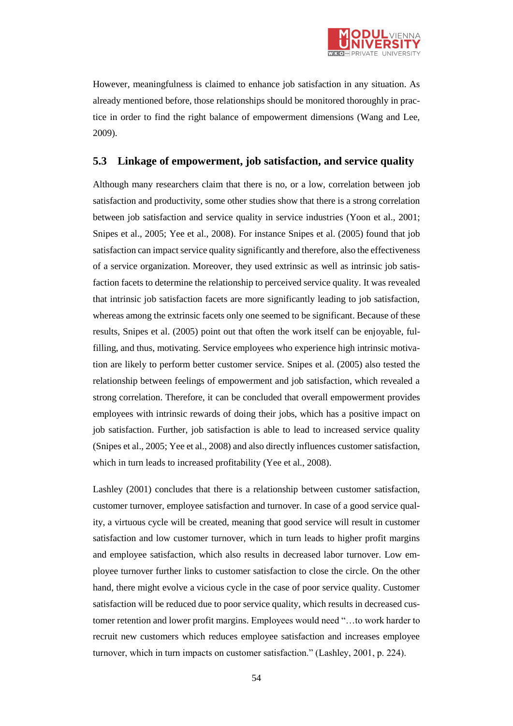

However, meaningfulness is claimed to enhance job satisfaction in any situation. As already mentioned before, those relationships should be monitored thoroughly in practice in order to find the right balance of empowerment dimensions (Wang and Lee, 2009).

### **5.3 Linkage of empowerment, job satisfaction, and service quality**

Although many researchers claim that there is no, or a low, correlation between job satisfaction and productivity, some other studies show that there is a strong correlation between job satisfaction and service quality in service industries (Yoon et al., 2001; Snipes et al., 2005; Yee et al., 2008). For instance Snipes et al. (2005) found that job satisfaction can impact service quality significantly and therefore, also the effectiveness of a service organization. Moreover, they used extrinsic as well as intrinsic job satisfaction facets to determine the relationship to perceived service quality. It was revealed that intrinsic job satisfaction facets are more significantly leading to job satisfaction, whereas among the extrinsic facets only one seemed to be significant. Because of these results, Snipes et al. (2005) point out that often the work itself can be enjoyable, fulfilling, and thus, motivating. Service employees who experience high intrinsic motivation are likely to perform better customer service. Snipes et al. (2005) also tested the relationship between feelings of empowerment and job satisfaction, which revealed a strong correlation. Therefore, it can be concluded that overall empowerment provides employees with intrinsic rewards of doing their jobs, which has a positive impact on job satisfaction. Further, job satisfaction is able to lead to increased service quality (Snipes et al., 2005; Yee et al., 2008) and also directly influences customer satisfaction, which in turn leads to increased profitability (Yee et al., 2008).

Lashley (2001) concludes that there is a relationship between customer satisfaction, customer turnover, employee satisfaction and turnover. In case of a good service quality, a virtuous cycle will be created, meaning that good service will result in customer satisfaction and low customer turnover, which in turn leads to higher profit margins and employee satisfaction, which also results in decreased labor turnover. Low employee turnover further links to customer satisfaction to close the circle. On the other hand, there might evolve a vicious cycle in the case of poor service quality. Customer satisfaction will be reduced due to poor service quality, which results in decreased customer retention and lower profit margins. Employees would need "…to work harder to recruit new customers which reduces employee satisfaction and increases employee turnover, which in turn impacts on customer satisfaction." (Lashley, 2001, p. 224).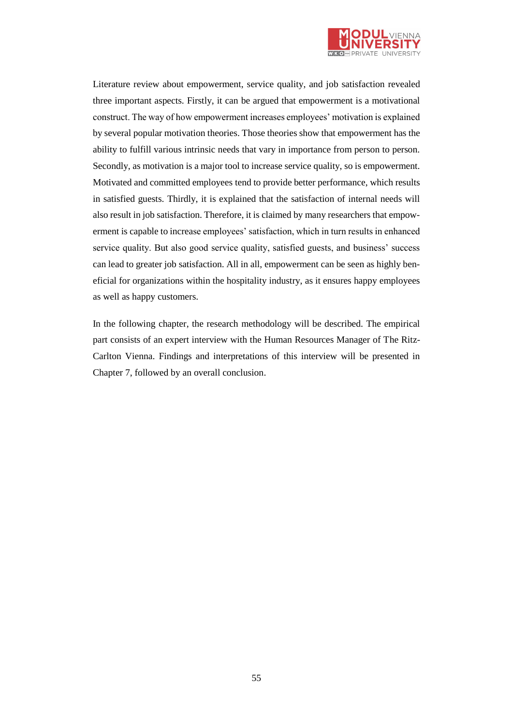

Literature review about empowerment, service quality, and job satisfaction revealed three important aspects. Firstly, it can be argued that empowerment is a motivational construct. The way of how empowerment increases employees' motivation is explained by several popular motivation theories. Those theories show that empowerment has the ability to fulfill various intrinsic needs that vary in importance from person to person. Secondly, as motivation is a major tool to increase service quality, so is empowerment. Motivated and committed employees tend to provide better performance, which results in satisfied guests. Thirdly, it is explained that the satisfaction of internal needs will also result in job satisfaction. Therefore, it is claimed by many researchers that empowerment is capable to increase employees' satisfaction, which in turn results in enhanced service quality. But also good service quality, satisfied guests, and business' success can lead to greater job satisfaction. All in all, empowerment can be seen as highly beneficial for organizations within the hospitality industry, as it ensures happy employees as well as happy customers.

In the following chapter, the research methodology will be described. The empirical part consists of an expert interview with the Human Resources Manager of The Ritz-Carlton Vienna. Findings and interpretations of this interview will be presented in Chapter 7, followed by an overall conclusion.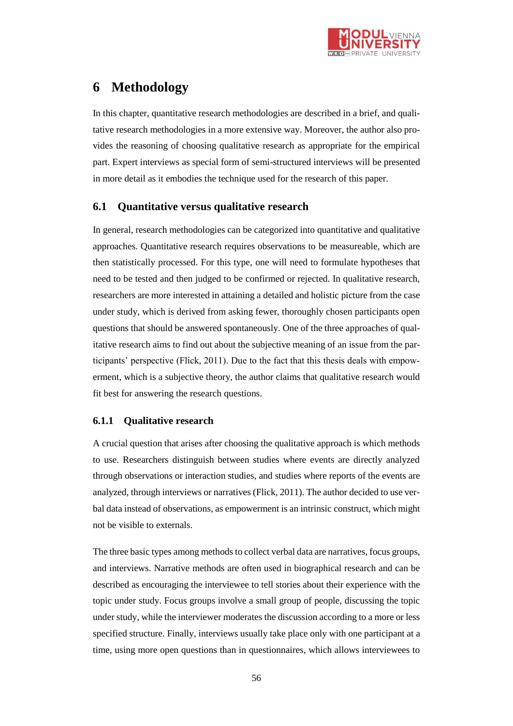

# **6 Methodology**

In this chapter, quantitative research methodologies are described in a brief, and qualitative research methodologies in a more extensive way. Moreover, the author also provides the reasoning of choosing qualitative research as appropriate for the empirical part. Expert interviews as special form of semi-structured interviews will be presented in more detail as it embodies the technique used for the research of this paper.

### **6.1 Quantitative versus qualitative research**

In general, research methodologies can be categorized into quantitative and qualitative approaches. Quantitative research requires observations to be measureable, which are then statistically processed. For this type, one will need to formulate hypotheses that need to be tested and then judged to be confirmed or rejected. In qualitative research, researchers are more interested in attaining a detailed and holistic picture from the case under study, which is derived from asking fewer, thoroughly chosen participants open questions that should be answered spontaneously. One of the three approaches of qualitative research aims to find out about the subjective meaning of an issue from the participants' perspective (Flick, 2011). Due to the fact that this thesis deals with empowerment, which is a subjective theory, the author claims that qualitative research would fit best for answering the research questions.

### **6.1.1 Qualitative research**

A crucial question that arises after choosing the qualitative approach is which methods to use. Researchers distinguish between studies where events are directly analyzed through observations or interaction studies, and studies where reports of the events are analyzed, through interviews or narratives (Flick, 2011). The author decided to use verbal data instead of observations, as empowerment is an intrinsic construct, which might not be visible to externals.

The three basic types among methods to collect verbal data are narratives, focus groups, and interviews. Narrative methods are often used in biographical research and can be described as encouraging the interviewee to tell stories about their experience with the topic under study. Focus groups involve a small group of people, discussing the topic under study, while the interviewer moderates the discussion according to a more or less specified structure. Finally, interviews usually take place only with one participant at a time, using more open questions than in questionnaires, which allows interviewees to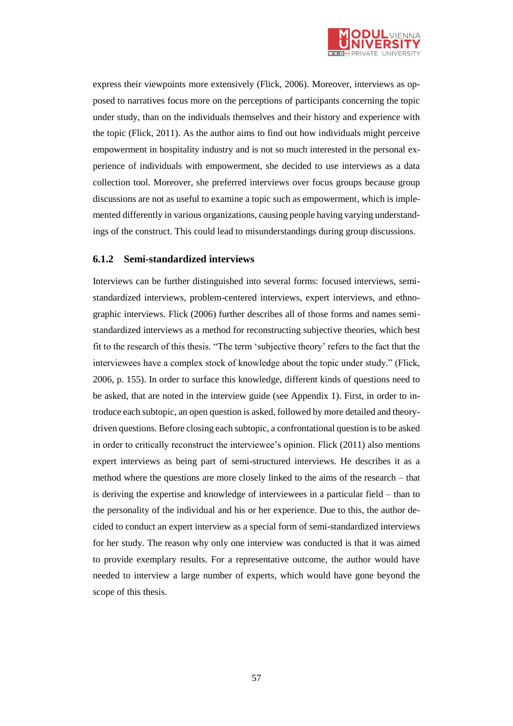

express their viewpoints more extensively (Flick, 2006). Moreover, interviews as opposed to narratives focus more on the perceptions of participants concerning the topic under study, than on the individuals themselves and their history and experience with the topic (Flick, 2011). As the author aims to find out how individuals might perceive empowerment in hospitality industry and is not so much interested in the personal experience of individuals with empowerment, she decided to use interviews as a data collection tool. Moreover, she preferred interviews over focus groups because group discussions are not as useful to examine a topic such as empowerment, which is implemented differently in various organizations, causing people having varying understandings of the construct. This could lead to misunderstandings during group discussions.

#### **6.1.2 Semi-standardized interviews**

Interviews can be further distinguished into several forms: focused interviews, semistandardized interviews, problem-centered interviews, expert interviews, and ethnographic interviews. Flick (2006) further describes all of those forms and names semistandardized interviews as a method for reconstructing subjective theories, which best fit to the research of this thesis. "The term 'subjective theory' refers to the fact that the interviewees have a complex stock of knowledge about the topic under study." (Flick, 2006, p. 155). In order to surface this knowledge, different kinds of questions need to be asked, that are noted in the interview guide (see Appendix 1). First, in order to introduce each subtopic, an open question is asked, followed by more detailed and theorydriven questions. Before closing each subtopic, a confrontational question is to be asked in order to critically reconstruct the interviewee's opinion. Flick (2011) also mentions expert interviews as being part of semi-structured interviews. He describes it as a method where the questions are more closely linked to the aims of the research – that is deriving the expertise and knowledge of interviewees in a particular field – than to the personality of the individual and his or her experience. Due to this, the author decided to conduct an expert interview as a special form of semi-standardized interviews for her study. The reason why only one interview was conducted is that it was aimed to provide exemplary results. For a representative outcome, the author would have needed to interview a large number of experts, which would have gone beyond the scope of this thesis.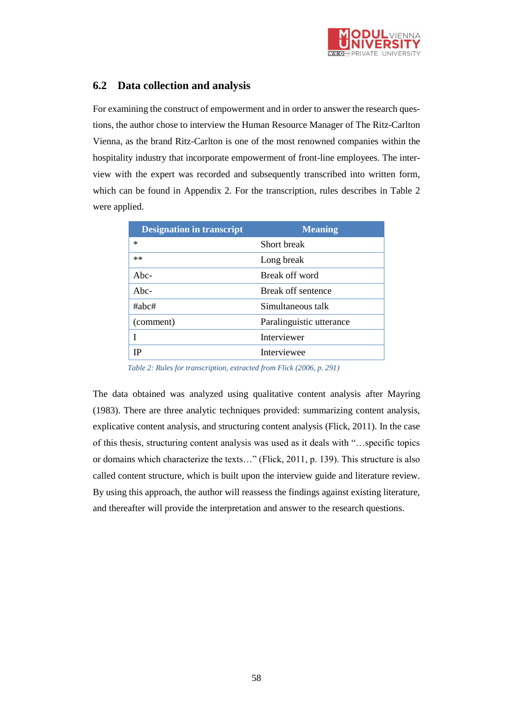

## **6.2 Data collection and analysis**

For examining the construct of empowerment and in order to answer the research questions, the author chose to interview the Human Resource Manager of The Ritz-Carlton Vienna, as the brand Ritz-Carlton is one of the most renowned companies within the hospitality industry that incorporate empowerment of front-line employees. The interview with the expert was recorded and subsequently transcribed into written form, which can be found in Appendix 2. For the transcription, rules describes in Table 2 were applied.

| <b>Designation in transcript</b> | <b>Meaning</b>           |
|----------------------------------|--------------------------|
| $\ast$                           | Short break              |
| $**$                             | Long break               |
| $Abc-$                           | Break off word           |
| $Abc-$                           | Break off sentence       |
| $\#abc\#$                        | Simultaneous talk        |
| (comment)                        | Paralinguistic utterance |
|                                  | <b>Interviewer</b>       |
| IP                               | Interviewee              |
|                                  |                          |

*Table 2: Rules for transcription, extracted from Flick (2006, p. 291)*

The data obtained was analyzed using qualitative content analysis after Mayring (1983). There are three analytic techniques provided: summarizing content analysis, explicative content analysis, and structuring content analysis (Flick, 2011). In the case of this thesis, structuring content analysis was used as it deals with "…specific topics or domains which characterize the texts…" (Flick, 2011, p. 139). This structure is also called content structure, which is built upon the interview guide and literature review. By using this approach, the author will reassess the findings against existing literature, and thereafter will provide the interpretation and answer to the research questions.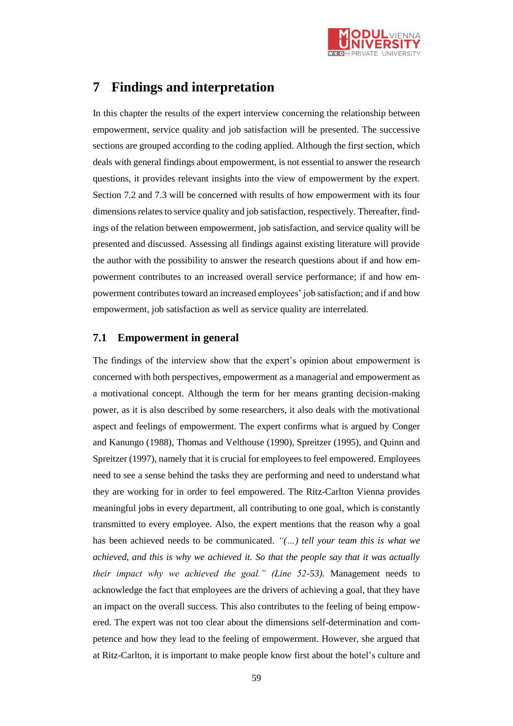

## **7 Findings and interpretation**

In this chapter the results of the expert interview concerning the relationship between empowerment, service quality and job satisfaction will be presented. The successive sections are grouped according to the coding applied. Although the first section, which deals with general findings about empowerment, is not essential to answer the research questions, it provides relevant insights into the view of empowerment by the expert. Section 7.2 and 7.3 will be concerned with results of how empowerment with its four dimensions relates to service quality and job satisfaction, respectively. Thereafter, findings of the relation between empowerment, job satisfaction, and service quality will be presented and discussed. Assessing all findings against existing literature will provide the author with the possibility to answer the research questions about if and how empowerment contributes to an increased overall service performance; if and how empowerment contributes toward an increased employees' job satisfaction; and if and how empowerment, job satisfaction as well as service quality are interrelated.

### **7.1 Empowerment in general**

The findings of the interview show that the expert's opinion about empowerment is concerned with both perspectives, empowerment as a managerial and empowerment as a motivational concept. Although the term for her means granting decision-making power, as it is also described by some researchers, it also deals with the motivational aspect and feelings of empowerment. The expert confirms what is argued by Conger and Kanungo (1988), Thomas and Velthouse (1990), Spreitzer (1995), and Quinn and Spreitzer (1997), namely that it is crucial for employees to feel empowered. Employees need to see a sense behind the tasks they are performing and need to understand what they are working for in order to feel empowered. The Ritz-Carlton Vienna provides meaningful jobs in every department, all contributing to one goal, which is constantly transmitted to every employee. Also, the expert mentions that the reason why a goal has been achieved needs to be communicated. *"(…) tell your team this is what we achieved, and this is why we achieved it. So that the people say that it was actually their impact why we achieved the goal." (Line 52-53).* Management needs to acknowledge the fact that employees are the drivers of achieving a goal, that they have an impact on the overall success. This also contributes to the feeling of being empowered. The expert was not too clear about the dimensions self-determination and competence and how they lead to the feeling of empowerment. However, she argued that at Ritz-Carlton, it is important to make people know first about the hotel's culture and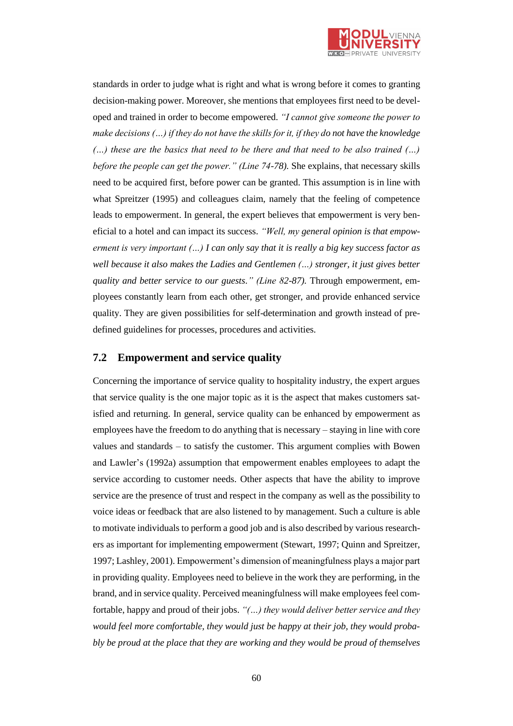

standards in order to judge what is right and what is wrong before it comes to granting decision-making power. Moreover, she mentions that employees first need to be developed and trained in order to become empowered. *"I cannot give someone the power to make decisions (…) if they do not have the skills for it, if they do not have the knowledge (…) these are the basics that need to be there and that need to be also trained (…) before the people can get the power." (Line 74-78).* She explains, that necessary skills need to be acquired first, before power can be granted. This assumption is in line with what Spreitzer (1995) and colleagues claim, namely that the feeling of competence leads to empowerment. In general, the expert believes that empowerment is very beneficial to a hotel and can impact its success. *"Well, my general opinion is that empowerment is very important (…) I can only say that it is really a big key success factor as well because it also makes the Ladies and Gentlemen (…) stronger, it just gives better quality and better service to our guests." (Line 82-87).* Through empowerment, employees constantly learn from each other, get stronger, and provide enhanced service quality. They are given possibilities for self-determination and growth instead of predefined guidelines for processes, procedures and activities.

### **7.2 Empowerment and service quality**

Concerning the importance of service quality to hospitality industry, the expert argues that service quality is the one major topic as it is the aspect that makes customers satisfied and returning. In general, service quality can be enhanced by empowerment as employees have the freedom to do anything that is necessary – staying in line with core values and standards – to satisfy the customer. This argument complies with Bowen and Lawler's (1992a) assumption that empowerment enables employees to adapt the service according to customer needs. Other aspects that have the ability to improve service are the presence of trust and respect in the company as well as the possibility to voice ideas or feedback that are also listened to by management. Such a culture is able to motivate individuals to perform a good job and is also described by various researchers as important for implementing empowerment (Stewart, 1997; Quinn and Spreitzer, 1997; Lashley, 2001). Empowerment's dimension of meaningfulness plays a major part in providing quality. Employees need to believe in the work they are performing, in the brand, and in service quality. Perceived meaningfulness will make employees feel comfortable, happy and proud of their jobs. *"(…) they would deliver better service and they would feel more comfortable, they would just be happy at their job, they would probably be proud at the place that they are working and they would be proud of themselves*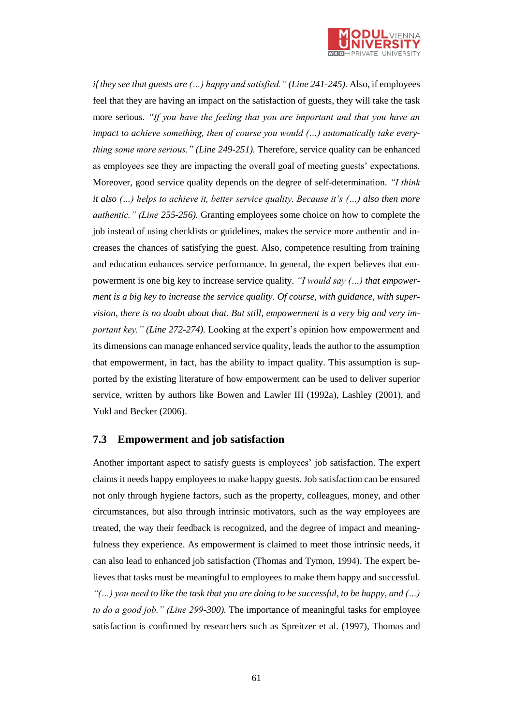

*if they see that guests are (...) happy and satisfied." (Line 241-245).* Also, if employees feel that they are having an impact on the satisfaction of guests, they will take the task more serious. *"If you have the feeling that you are important and that you have an impact to achieve something, then of course you would (...) automatically take everything some more serious." (Line 249-251).* Therefore, service quality can be enhanced as employees see they are impacting the overall goal of meeting guests' expectations. Moreover, good service quality depends on the degree of self-determination. *"I think it also (…) helps to achieve it, better service quality. Because it's (…) also then more authentic." (Line 255-256).* Granting employees some choice on how to complete the job instead of using checklists or guidelines, makes the service more authentic and increases the chances of satisfying the guest. Also, competence resulting from training and education enhances service performance. In general, the expert believes that empowerment is one big key to increase service quality. *"I would say (…) that empowerment is a big key to increase the service quality. Of course, with guidance, with supervision, there is no doubt about that. But still, empowerment is a very big and very important key." (Line 272-274).* Looking at the expert's opinion how empowerment and its dimensions can manage enhanced service quality, leads the author to the assumption that empowerment, in fact, has the ability to impact quality. This assumption is supported by the existing literature of how empowerment can be used to deliver superior service, written by authors like Bowen and Lawler III (1992a), Lashley (2001), and Yukl and Becker (2006).

#### **7.3 Empowerment and job satisfaction**

Another important aspect to satisfy guests is employees' job satisfaction. The expert claims it needs happy employees to make happy guests. Job satisfaction can be ensured not only through hygiene factors, such as the property, colleagues, money, and other circumstances, but also through intrinsic motivators, such as the way employees are treated, the way their feedback is recognized, and the degree of impact and meaningfulness they experience. As empowerment is claimed to meet those intrinsic needs, it can also lead to enhanced job satisfaction (Thomas and Tymon, 1994). The expert believes that tasks must be meaningful to employees to make them happy and successful. *"(…) you need to like the task that you are doing to be successful, to be happy, and (…) to do a good job." (Line 299-300).* The importance of meaningful tasks for employee satisfaction is confirmed by researchers such as Spreitzer et al. (1997), Thomas and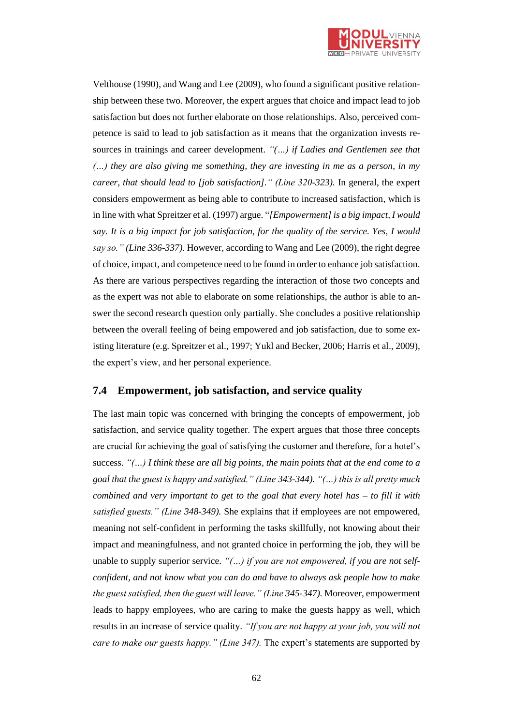

Velthouse (1990), and Wang and Lee (2009), who found a significant positive relationship between these two. Moreover, the expert argues that choice and impact lead to job satisfaction but does not further elaborate on those relationships. Also, perceived competence is said to lead to job satisfaction as it means that the organization invests resources in trainings and career development. *"(…) if Ladies and Gentlemen see that (…) they are also giving me something, they are investing in me as a person, in my career, that should lead to [job satisfaction]." (Line 320-323).* In general, the expert considers empowerment as being able to contribute to increased satisfaction, which is in line with what Spreitzer et al. (1997) argue. "*[Empowerment] is a big impact, I would say. It is a big impact for job satisfaction, for the quality of the service. Yes, I would say so." (Line 336-337)*. However, according to Wang and Lee (2009), the right degree of choice, impact, and competence need to be found in order to enhance job satisfaction. As there are various perspectives regarding the interaction of those two concepts and as the expert was not able to elaborate on some relationships, the author is able to answer the second research question only partially. She concludes a positive relationship between the overall feeling of being empowered and job satisfaction, due to some existing literature (e.g. Spreitzer et al., 1997; Yukl and Becker, 2006; Harris et al., 2009), the expert's view, and her personal experience.

### **7.4 Empowerment, job satisfaction, and service quality**

The last main topic was concerned with bringing the concepts of empowerment, job satisfaction, and service quality together. The expert argues that those three concepts are crucial for achieving the goal of satisfying the customer and therefore, for a hotel's success. *"(…) I think these are all big points, the main points that at the end come to a goal that the guest is happy and satisfied." (Line 343-344). "(…) this is all pretty much combined and very important to get to the goal that every hotel has – to fill it with satisfied guests." (Line 348-349).* She explains that if employees are not empowered, meaning not self-confident in performing the tasks skillfully, not knowing about their impact and meaningfulness, and not granted choice in performing the job, they will be unable to supply superior service. *"(…) if you are not empowered, if you are not selfconfident, and not know what you can do and have to always ask people how to make the guest satisfied, then the guest will leave." (Line 345-347).* Moreover, empowerment leads to happy employees, who are caring to make the guests happy as well, which results in an increase of service quality. *"If you are not happy at your job, you will not care to make our guests happy." (Line 347).* The expert's statements are supported by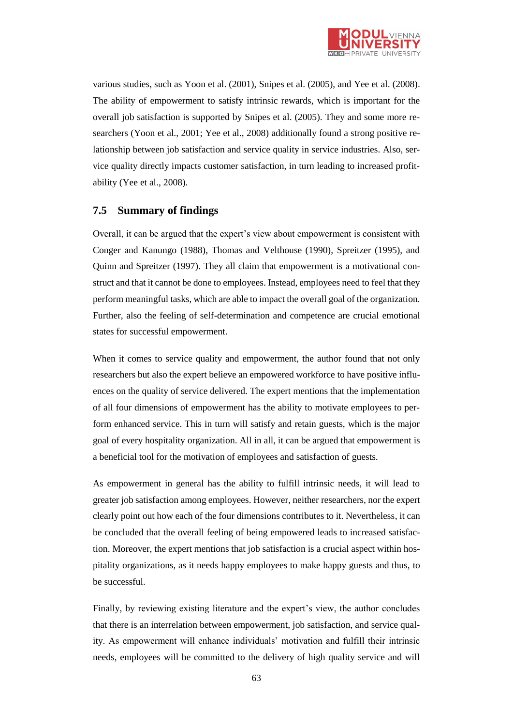

various studies, such as Yoon et al. (2001), Snipes et al. (2005), and Yee et al. (2008). The ability of empowerment to satisfy intrinsic rewards, which is important for the overall job satisfaction is supported by Snipes et al. (2005). They and some more researchers (Yoon et al., 2001; Yee et al., 2008) additionally found a strong positive relationship between job satisfaction and service quality in service industries. Also, service quality directly impacts customer satisfaction, in turn leading to increased profitability (Yee et al., 2008).

### **7.5 Summary of findings**

Overall, it can be argued that the expert's view about empowerment is consistent with Conger and Kanungo (1988), Thomas and Velthouse (1990), Spreitzer (1995), and Quinn and Spreitzer (1997). They all claim that empowerment is a motivational construct and that it cannot be done to employees. Instead, employees need to feel that they perform meaningful tasks, which are able to impact the overall goal of the organization. Further, also the feeling of self-determination and competence are crucial emotional states for successful empowerment.

When it comes to service quality and empowerment, the author found that not only researchers but also the expert believe an empowered workforce to have positive influences on the quality of service delivered. The expert mentions that the implementation of all four dimensions of empowerment has the ability to motivate employees to perform enhanced service. This in turn will satisfy and retain guests, which is the major goal of every hospitality organization. All in all, it can be argued that empowerment is a beneficial tool for the motivation of employees and satisfaction of guests.

As empowerment in general has the ability to fulfill intrinsic needs, it will lead to greater job satisfaction among employees. However, neither researchers, nor the expert clearly point out how each of the four dimensions contributes to it. Nevertheless, it can be concluded that the overall feeling of being empowered leads to increased satisfaction. Moreover, the expert mentions that job satisfaction is a crucial aspect within hospitality organizations, as it needs happy employees to make happy guests and thus, to be successful.

Finally, by reviewing existing literature and the expert's view, the author concludes that there is an interrelation between empowerment, job satisfaction, and service quality. As empowerment will enhance individuals' motivation and fulfill their intrinsic needs, employees will be committed to the delivery of high quality service and will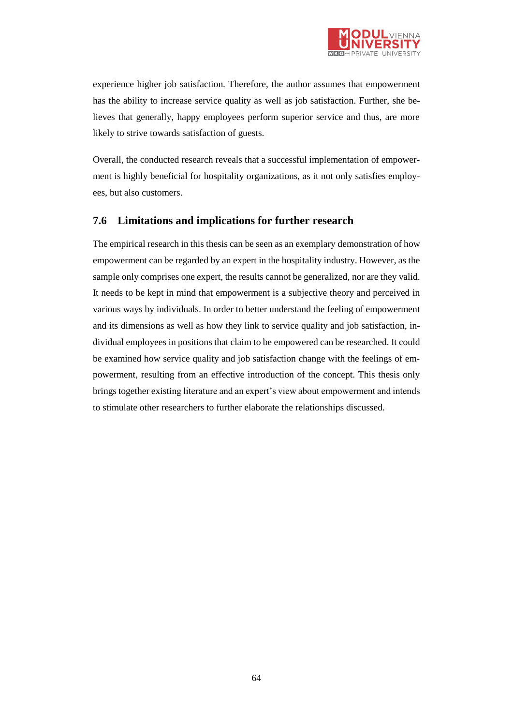

experience higher job satisfaction. Therefore, the author assumes that empowerment has the ability to increase service quality as well as job satisfaction. Further, she believes that generally, happy employees perform superior service and thus, are more likely to strive towards satisfaction of guests.

Overall, the conducted research reveals that a successful implementation of empowerment is highly beneficial for hospitality organizations, as it not only satisfies employees, but also customers.

### **7.6 Limitations and implications for further research**

The empirical research in this thesis can be seen as an exemplary demonstration of how empowerment can be regarded by an expert in the hospitality industry. However, as the sample only comprises one expert, the results cannot be generalized, nor are they valid. It needs to be kept in mind that empowerment is a subjective theory and perceived in various ways by individuals. In order to better understand the feeling of empowerment and its dimensions as well as how they link to service quality and job satisfaction, individual employees in positions that claim to be empowered can be researched. It could be examined how service quality and job satisfaction change with the feelings of empowerment, resulting from an effective introduction of the concept. This thesis only brings together existing literature and an expert's view about empowerment and intends to stimulate other researchers to further elaborate the relationships discussed.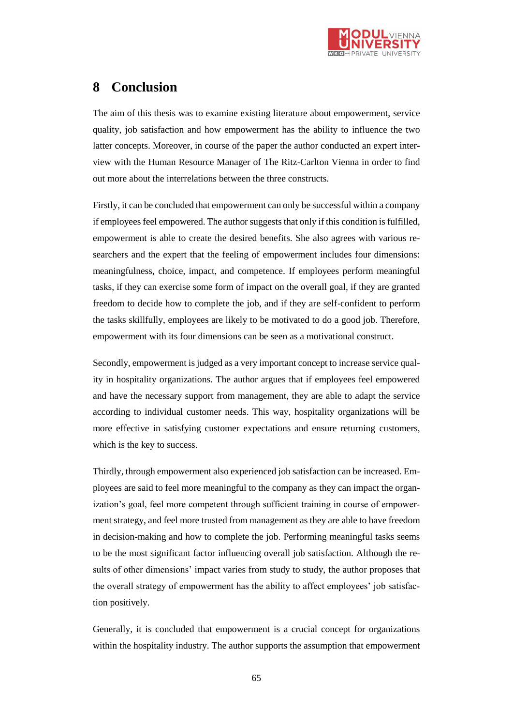

# **8 Conclusion**

The aim of this thesis was to examine existing literature about empowerment, service quality, job satisfaction and how empowerment has the ability to influence the two latter concepts. Moreover, in course of the paper the author conducted an expert interview with the Human Resource Manager of The Ritz-Carlton Vienna in order to find out more about the interrelations between the three constructs.

Firstly, it can be concluded that empowerment can only be successful within a company if employees feel empowered. The author suggests that only if this condition is fulfilled, empowerment is able to create the desired benefits. She also agrees with various researchers and the expert that the feeling of empowerment includes four dimensions: meaningfulness, choice, impact, and competence. If employees perform meaningful tasks, if they can exercise some form of impact on the overall goal, if they are granted freedom to decide how to complete the job, and if they are self-confident to perform the tasks skillfully, employees are likely to be motivated to do a good job. Therefore, empowerment with its four dimensions can be seen as a motivational construct.

Secondly, empowerment is judged as a very important concept to increase service quality in hospitality organizations. The author argues that if employees feel empowered and have the necessary support from management, they are able to adapt the service according to individual customer needs. This way, hospitality organizations will be more effective in satisfying customer expectations and ensure returning customers, which is the key to success.

Thirdly, through empowerment also experienced job satisfaction can be increased. Employees are said to feel more meaningful to the company as they can impact the organization's goal, feel more competent through sufficient training in course of empowerment strategy, and feel more trusted from management as they are able to have freedom in decision-making and how to complete the job. Performing meaningful tasks seems to be the most significant factor influencing overall job satisfaction. Although the results of other dimensions' impact varies from study to study, the author proposes that the overall strategy of empowerment has the ability to affect employees' job satisfaction positively.

Generally, it is concluded that empowerment is a crucial concept for organizations within the hospitality industry. The author supports the assumption that empowerment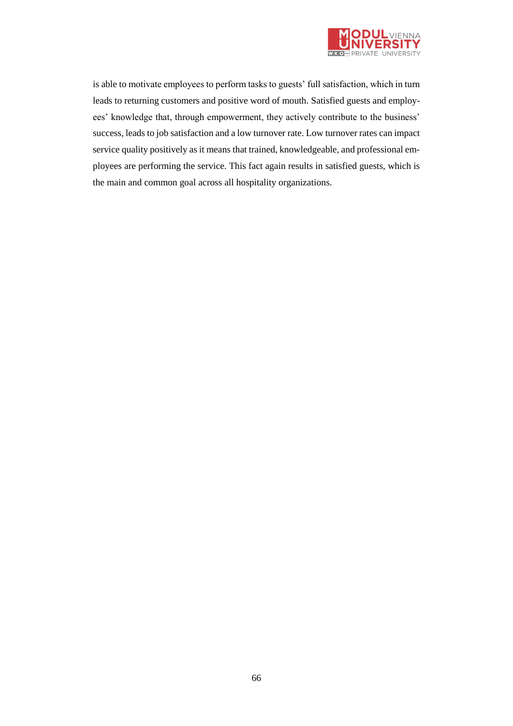

is able to motivate employees to perform tasks to guests' full satisfaction, which in turn leads to returning customers and positive word of mouth. Satisfied guests and employees' knowledge that, through empowerment, they actively contribute to the business' success, leads to job satisfaction and a low turnover rate. Low turnover rates can impact service quality positively as it means that trained, knowledgeable, and professional employees are performing the service. This fact again results in satisfied guests, which is the main and common goal across all hospitality organizations.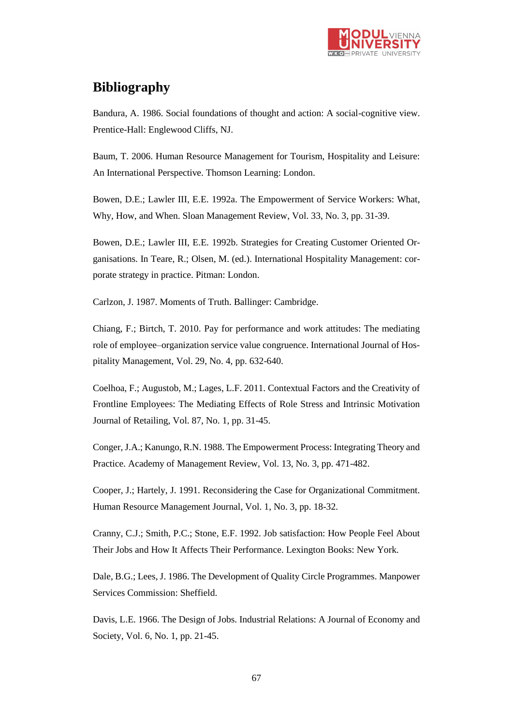

# **Bibliography**

Bandura, A. 1986. Social foundations of thought and action: A social-cognitive view. Prentice-Hall: Englewood Cliffs, NJ.

Baum, T. 2006. Human Resource Management for Tourism, Hospitality and Leisure: An International Perspective. Thomson Learning: London.

Bowen, D.E.; Lawler III, E.E. 1992a. The Empowerment of Service Workers: What, Why, How, and When. Sloan Management Review, Vol. 33, No. 3, pp. 31-39.

Bowen, D.E.; Lawler III, E.E. 1992b. Strategies for Creating Customer Oriented Organisations. In Teare, R.; Olsen, M. (ed.). International Hospitality Management: corporate strategy in practice. Pitman: London.

Carlzon, J. 1987. Moments of Truth. Ballinger: Cambridge.

Chiang, F.; Birtch, T. 2010. Pay for performance and work attitudes: The mediating role of employee–organization service value congruence. International Journal of Hospitality Management, Vol. 29, No. 4, pp. 632-640.

Coelhoa, F.; Augustob, M.; Lages, L.F. 2011. Contextual Factors and the Creativity of Frontline Employees: The Mediating Effects of Role Stress and Intrinsic Motivation Journal of Retailing, Vol. 87, No. 1, pp. 31-45.

Conger, J.A.; Kanungo, R.N. 1988. The Empowerment Process: Integrating Theory and Practice. Academy of Management Review, Vol. 13, No. 3, pp. 471-482.

Cooper, J.; Hartely, J. 1991. Reconsidering the Case for Organizational Commitment. Human Resource Management Journal, Vol. 1, No. 3, pp. 18-32.

Cranny, C.J.; Smith, P.C.; Stone, E.F. 1992. Job satisfaction: How People Feel About Their Jobs and How It Affects Their Performance. Lexington Books: New York.

Dale, B.G.; Lees, J. 1986. The Development of Quality Circle Programmes. Manpower Services Commission: Sheffield.

Davis, L.E. 1966. The Design of Jobs. Industrial Relations: A Journal of Economy and Society, Vol. 6, No. 1, pp. 21-45.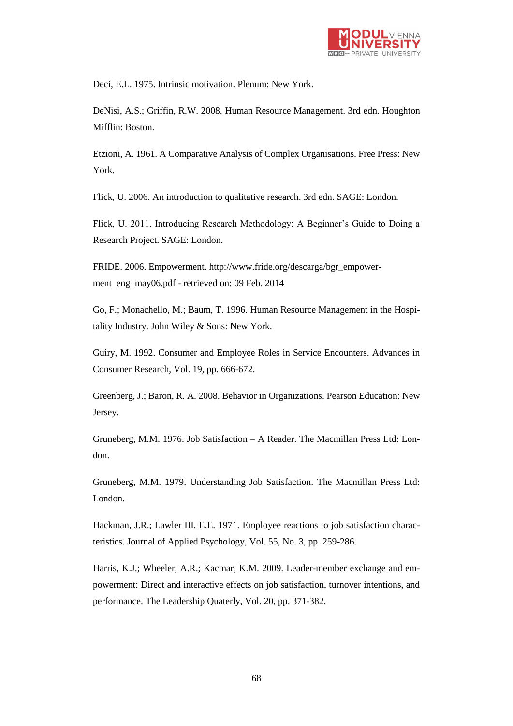

Deci, E.L. 1975. Intrinsic motivation. Plenum: New York.

DeNisi, A.S.; Griffin, R.W. 2008. Human Resource Management. 3rd edn. Houghton Mifflin: Boston.

Etzioni, A. 1961. A Comparative Analysis of Complex Organisations. Free Press: New York.

Flick, U. 2006. An introduction to qualitative research. 3rd edn. SAGE: London.

Flick, U. 2011. Introducing Research Methodology: A Beginner's Guide to Doing a Research Project. SAGE: London.

FRIDE. 2006. Empowerment. http://www.fride.org/descarga/bgr\_empowerment\_eng\_may06.pdf - retrieved on: 09 Feb. 2014

Go, F.; Monachello, M.; Baum, T. 1996. Human Resource Management in the Hospitality Industry. John Wiley & Sons: New York.

Guiry, M. 1992. Consumer and Employee Roles in Service Encounters. Advances in Consumer Research, Vol. 19, pp. 666-672.

Greenberg, J.; Baron, R. A. 2008. Behavior in Organizations. Pearson Education: New Jersey.

Gruneberg, M.M. 1976. Job Satisfaction – A Reader. The Macmillan Press Ltd: London.

Gruneberg, M.M. 1979. Understanding Job Satisfaction. The Macmillan Press Ltd: London.

Hackman, J.R.; Lawler III, E.E. 1971. Employee reactions to job satisfaction characteristics. Journal of Applied Psychology, Vol. 55, No. 3, pp. 259-286.

Harris, K.J.; Wheeler, A.R.; Kacmar, K.M. 2009. Leader-member exchange and empowerment: Direct and interactive effects on job satisfaction, turnover intentions, and performance. The Leadership Quaterly, Vol. 20, pp. 371-382.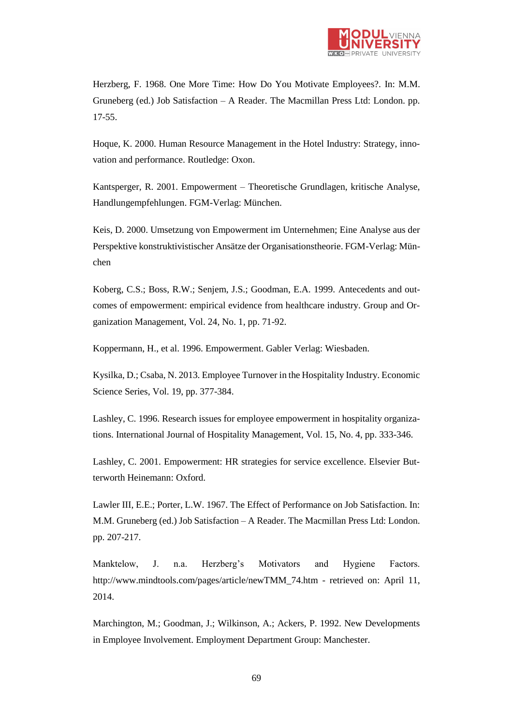

Herzberg, F. 1968. One More Time: How Do You Motivate Employees?. In: M.M. Gruneberg (ed.) Job Satisfaction – A Reader. The Macmillan Press Ltd: London. pp. 17-55.

Hoque, K. 2000. Human Resource Management in the Hotel Industry: Strategy, innovation and performance. Routledge: Oxon.

Kantsperger, R. 2001. Empowerment – Theoretische Grundlagen, kritische Analyse, Handlungempfehlungen. FGM-Verlag: München.

Keis, D. 2000. Umsetzung von Empowerment im Unternehmen; Eine Analyse aus der Perspektive konstruktivistischer Ansätze der Organisationstheorie. FGM-Verlag: München

Koberg, C.S.; Boss, R.W.; Senjem, J.S.; Goodman, E.A. 1999. Antecedents and outcomes of empowerment: empirical evidence from healthcare industry. Group and Organization Management, Vol. 24, No. 1, pp. 71-92.

Koppermann, H., et al. 1996. Empowerment. Gabler Verlag: Wiesbaden.

Kysilka, D.; Csaba, N. 2013. Employee Turnover in the Hospitality Industry. Economic Science Series, Vol. 19, pp. 377-384.

Lashley, C. 1996. Research issues for employee empowerment in hospitality organizations. International Journal of Hospitality Management, Vol. 15, No. 4, pp. 333-346.

Lashley, C. 2001. Empowerment: HR strategies for service excellence. Elsevier Butterworth Heinemann: Oxford.

Lawler III, E.E.; Porter, L.W. 1967. The Effect of Performance on Job Satisfaction. In: M.M. Gruneberg (ed.) Job Satisfaction – A Reader. The Macmillan Press Ltd: London. pp. 207-217.

Manktelow, J. n.a. Herzberg's Motivators and Hygiene Factors. [http://www.mindtools.com/pages/article/newTMM\\_74.htm](http://www.mindtools.com/pages/article/newTMM_74.htm) - retrieved on: April 11, 2014.

Marchington, M.; Goodman, J.; Wilkinson, A.; Ackers, P. 1992. New Developments in Employee Involvement. Employment Department Group: Manchester.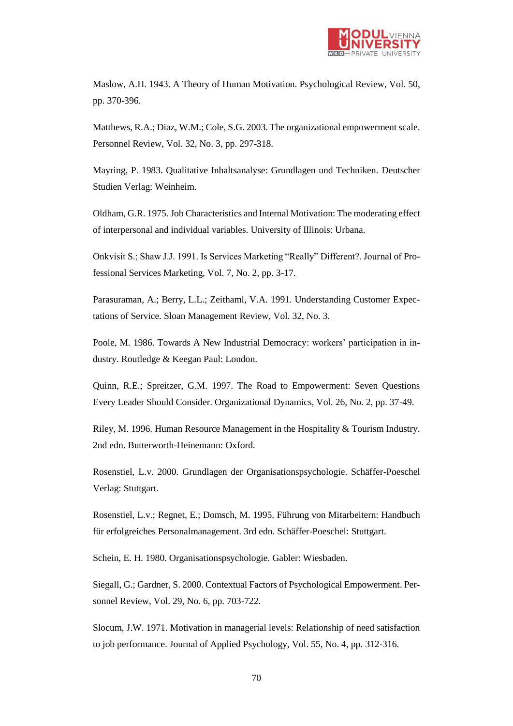

Maslow, A.H. 1943. A Theory of Human Motivation. Psychological Review, Vol. 50, pp. 370-396.

Matthews, R.A.; Diaz, W.M.; Cole, S.G. 2003. The organizational empowerment scale. Personnel Review, Vol. 32, No. 3, pp. 297-318.

Mayring, P. 1983. Qualitative Inhaltsanalyse: Grundlagen und Techniken. Deutscher Studien Verlag: Weinheim.

Oldham, G.R. 1975. Job Characteristics and Internal Motivation: The moderating effect of interpersonal and individual variables. University of Illinois: Urbana.

Onkvisit S.; Shaw J.J. 1991. Is Services Marketing "Really" Different?. Journal of Professional Services Marketing, Vol. 7, No. 2, pp. 3-17.

Parasuraman, A.; Berry, L.L.; Zeithaml, V.A. 1991. Understanding Customer Expectations of Service. Sloan Management Review, Vol. 32, No. 3.

Poole, M. 1986. Towards A New Industrial Democracy: workers' participation in industry. Routledge & Keegan Paul: London.

Quinn, R.E.; Spreitzer, G.M. 1997. The Road to Empowerment: Seven Questions Every Leader Should Consider. Organizational Dynamics, Vol. 26, No. 2, pp. 37-49.

Riley, M. 1996. Human Resource Management in the Hospitality & Tourism Industry. 2nd edn. Butterworth-Heinemann: Oxford.

Rosenstiel, L.v. 2000. Grundlagen der Organisationspsychologie. Schäffer-Poeschel Verlag: Stuttgart.

Rosenstiel, L.v.; Regnet, E.; Domsch, M. 1995. Führung von Mitarbeitern: Handbuch für erfolgreiches Personalmanagement. 3rd edn. Schäffer-Poeschel: Stuttgart.

Schein, E. H. 1980. Organisationspsychologie. Gabler: Wiesbaden.

Siegall, G.; Gardner, S. 2000. Contextual Factors of Psychological Empowerment. Personnel Review, Vol. 29, No. 6, pp. 703-722.

Slocum, J.W. 1971. Motivation in managerial levels: Relationship of need satisfaction to job performance. Journal of Applied Psychology, Vol. 55, No. 4, pp. 312-316.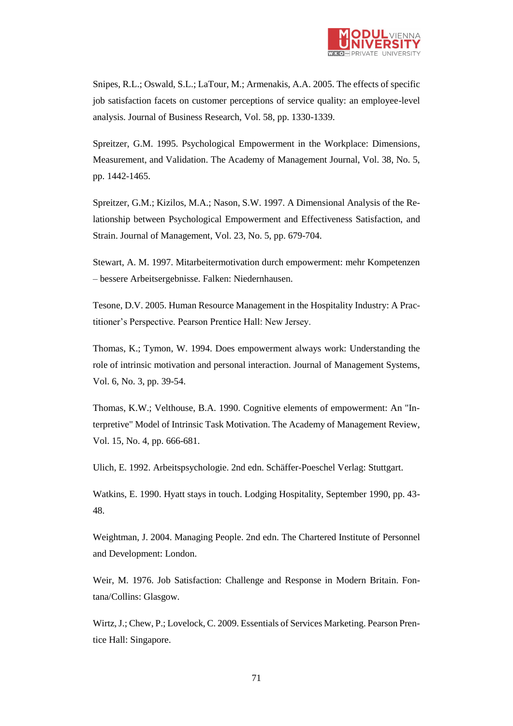

Snipes, R.L.; Oswald, S.L.; LaTour, M.; Armenakis, A.A. 2005. The effects of specific job satisfaction facets on customer perceptions of service quality: an employee-level analysis. Journal of Business Research, Vol. 58, pp. 1330-1339.

Spreitzer, G.M. 1995. Psychological Empowerment in the Workplace: Dimensions, Measurement, and Validation. The Academy of Management Journal, Vol. 38, No. 5, pp. 1442-1465.

Spreitzer, G.M.; Kizilos, M.A.; Nason, S.W. 1997. A Dimensional Analysis of the Relationship between Psychological Empowerment and Effectiveness Satisfaction, and Strain. Journal of Management, Vol. 23, No. 5, pp. 679-704.

Stewart, A. M. 1997. Mitarbeitermotivation durch empowerment: mehr Kompetenzen – bessere Arbeitsergebnisse. Falken: Niedernhausen.

Tesone, D.V. 2005. Human Resource Management in the Hospitality Industry: A Practitioner's Perspective. Pearson Prentice Hall: New Jersey.

Thomas, K.; Tymon, W. 1994. Does empowerment always work: Understanding the role of intrinsic motivation and personal interaction. Journal of Management Systems, Vol. 6, No. 3, pp. 39-54.

Thomas, K.W.; Velthouse, B.A. 1990. Cognitive elements of empowerment: An "Interpretive" Model of Intrinsic Task Motivation. The Academy of Management Review, Vol. 15, No. 4, pp. 666-681.

Ulich, E. 1992. Arbeitspsychologie. 2nd edn. Schäffer-Poeschel Verlag: Stuttgart.

Watkins, E. 1990. Hyatt stays in touch. Lodging Hospitality, September 1990, pp. 43- 48.

Weightman, J. 2004. Managing People. 2nd edn. The Chartered Institute of Personnel and Development: London.

Weir, M. 1976. Job Satisfaction: Challenge and Response in Modern Britain. Fontana/Collins: Glasgow.

Wirtz, J.; Chew, P.; Lovelock, C. 2009. Essentials of Services Marketing. Pearson Prentice Hall: Singapore.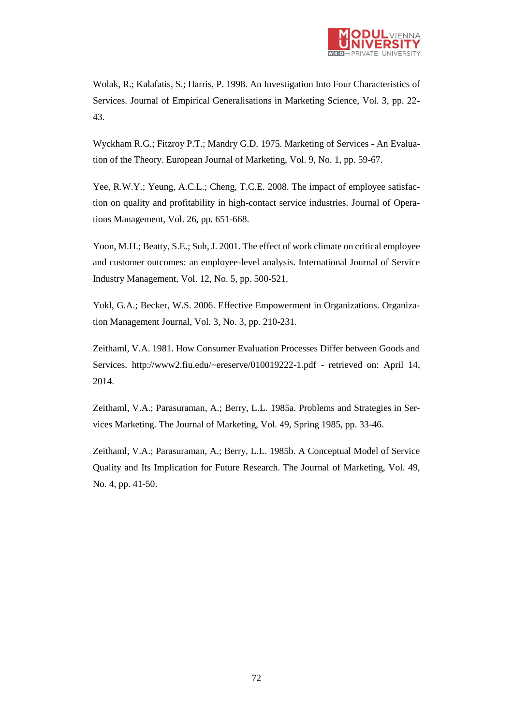

Wolak, R.; Kalafatis, S.; Harris, P. 1998. An Investigation Into Four Characteristics of Services. Journal of Empirical Generalisations in Marketing Science, Vol. 3, pp. 22- 43.

Wyckham R.G.; Fitzroy P.T.; Mandry G.D. 1975. Marketing of Services - An Evaluation of the Theory. European Journal of Marketing, Vol. 9, No. 1, pp. 59-67.

Yee, R.W.Y.; Yeung, A.C.L.; Cheng, T.C.E. 2008. The impact of employee satisfaction on quality and profitability in high-contact service industries. Journal of Operations Management, Vol. 26, pp. 651-668.

Yoon, M.H.; Beatty, S.E.; Suh, J. 2001. The effect of work climate on critical employee and customer outcomes: an employee-level analysis. International Journal of Service Industry Management, Vol. 12, No. 5, pp. 500-521.

Yukl, G.A.; Becker, W.S. 2006. Effective Empowerment in Organizations. Organization Management Journal, Vol. 3, No. 3, pp. 210-231.

Zeithaml, V.A. 1981. How Consumer Evaluation Processes Differ between Goods and Services. http://www2.fiu.edu/~ereserve/010019222-1.pdf - retrieved on: April 14, 2014.

Zeithaml, V.A.; Parasuraman, A.; Berry, L.L. 1985a. Problems and Strategies in Services Marketing. The Journal of Marketing, Vol. 49, Spring 1985, pp. 33-46.

Zeithaml, V.A.; Parasuraman, A.; Berry, L.L. 1985b. A Conceptual Model of Service Quality and Its Implication for Future Research. The Journal of Marketing, Vol. 49, No. 4, pp. 41-50.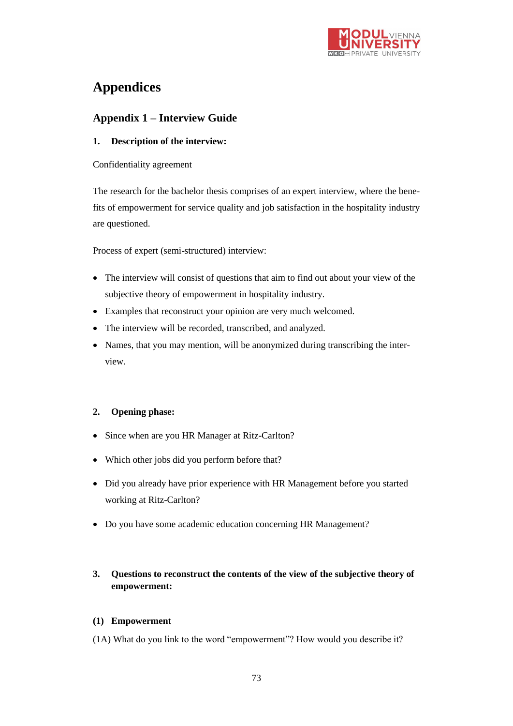

# **Appendices**

# **Appendix 1 – Interview Guide**

#### **1. Description of the interview:**

Confidentiality agreement

The research for the bachelor thesis comprises of an expert interview, where the benefits of empowerment for service quality and job satisfaction in the hospitality industry are questioned.

Process of expert (semi-structured) interview:

- The interview will consist of questions that aim to find out about your view of the subjective theory of empowerment in hospitality industry.
- Examples that reconstruct your opinion are very much welcomed.
- The interview will be recorded, transcribed, and analyzed.
- Names, that you may mention, will be anonymized during transcribing the interview.

#### **2. Opening phase:**

- Since when are you HR Manager at Ritz-Carlton?
- Which other jobs did you perform before that?
- Did you already have prior experience with HR Management before you started working at Ritz-Carlton?
- Do you have some academic education concerning HR Management?

### **3. Questions to reconstruct the contents of the view of the subjective theory of empowerment:**

#### **(1) Empowerment**

(1A) What do you link to the word "empowerment"? How would you describe it?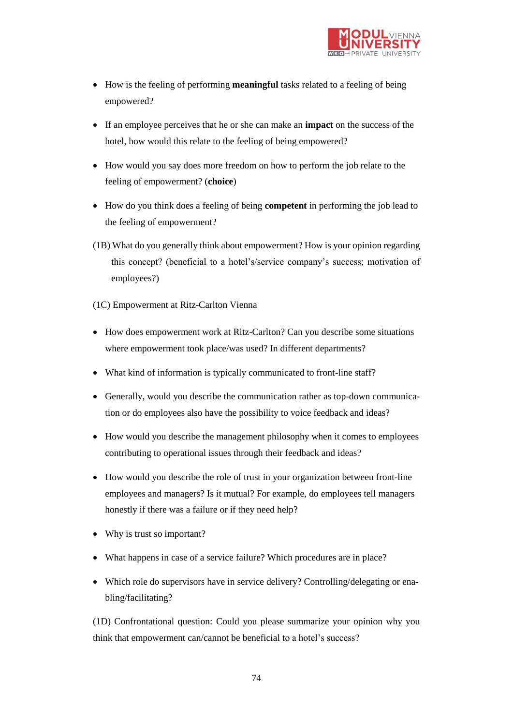

- How is the feeling of performing **meaningful** tasks related to a feeling of being empowered?
- If an employee perceives that he or she can make an **impact** on the success of the hotel, how would this relate to the feeling of being empowered?
- How would you say does more freedom on how to perform the job relate to the feeling of empowerment? (**choice**)
- How do you think does a feeling of being **competent** in performing the job lead to the feeling of empowerment?
- (1B) What do you generally think about empowerment? How is your opinion regarding this concept? (beneficial to a hotel's/service company's success; motivation of employees?)
- (1C) Empowerment at Ritz-Carlton Vienna
- How does empowerment work at Ritz-Carlton? Can you describe some situations where empowerment took place/was used? In different departments?
- What kind of information is typically communicated to front-line staff?
- Generally, would you describe the communication rather as top-down communication or do employees also have the possibility to voice feedback and ideas?
- How would you describe the management philosophy when it comes to employees contributing to operational issues through their feedback and ideas?
- How would you describe the role of trust in your organization between front-line employees and managers? Is it mutual? For example, do employees tell managers honestly if there was a failure or if they need help?
- Why is trust so important?
- What happens in case of a service failure? Which procedures are in place?
- Which role do supervisors have in service delivery? Controlling/delegating or enabling/facilitating?

(1D) Confrontational question: Could you please summarize your opinion why you think that empowerment can/cannot be beneficial to a hotel's success?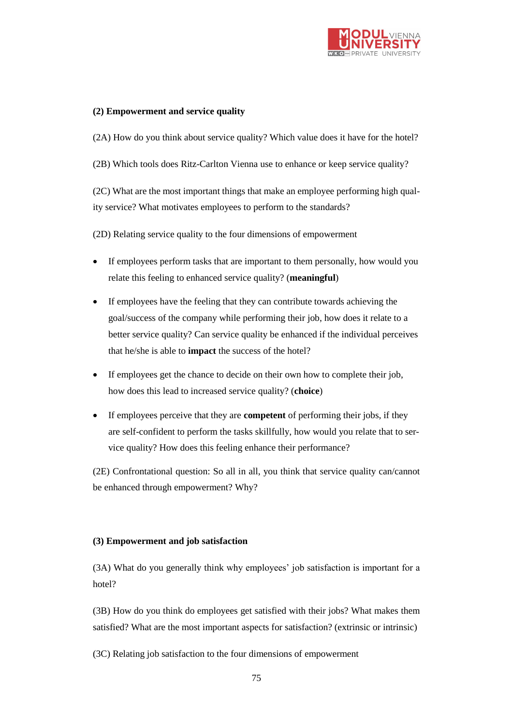

#### **(2) Empowerment and service quality**

(2A) How do you think about service quality? Which value does it have for the hotel?

(2B) Which tools does Ritz-Carlton Vienna use to enhance or keep service quality?

(2C) What are the most important things that make an employee performing high quality service? What motivates employees to perform to the standards?

(2D) Relating service quality to the four dimensions of empowerment

- If employees perform tasks that are important to them personally, how would you relate this feeling to enhanced service quality? (**meaningful**)
- If employees have the feeling that they can contribute towards achieving the goal/success of the company while performing their job, how does it relate to a better service quality? Can service quality be enhanced if the individual perceives that he/she is able to **impact** the success of the hotel?
- If employees get the chance to decide on their own how to complete their job, how does this lead to increased service quality? (**choice**)
- If employees perceive that they are **competent** of performing their jobs, if they are self-confident to perform the tasks skillfully, how would you relate that to service quality? How does this feeling enhance their performance?

(2E) Confrontational question: So all in all, you think that service quality can/cannot be enhanced through empowerment? Why?

#### **(3) Empowerment and job satisfaction**

(3A) What do you generally think why employees' job satisfaction is important for a hotel?

(3B) How do you think do employees get satisfied with their jobs? What makes them satisfied? What are the most important aspects for satisfaction? (extrinsic or intrinsic)

(3C) Relating job satisfaction to the four dimensions of empowerment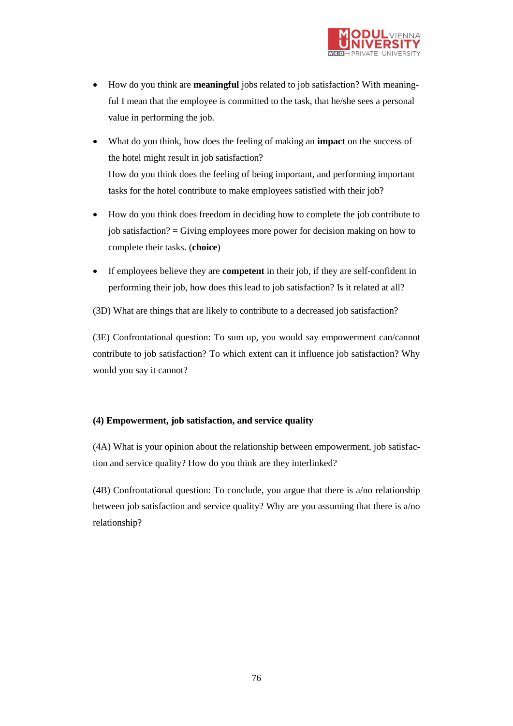

- How do you think are **meaningful** jobs related to job satisfaction? With meaningful I mean that the employee is committed to the task, that he/she sees a personal value in performing the job.
- What do you think, how does the feeling of making an **impact** on the success of the hotel might result in job satisfaction? How do you think does the feeling of being important, and performing important tasks for the hotel contribute to make employees satisfied with their job?
- How do you think does freedom in deciding how to complete the job contribute to job satisfaction? = Giving employees more power for decision making on how to complete their tasks. (**choice**)
- If employees believe they are **competent** in their job, if they are self-confident in performing their job, how does this lead to job satisfaction? Is it related at all?
- (3D) What are things that are likely to contribute to a decreased job satisfaction?

(3E) Confrontational question: To sum up, you would say empowerment can/cannot contribute to job satisfaction? To which extent can it influence job satisfaction? Why would you say it cannot?

#### **(4) Empowerment, job satisfaction, and service quality**

(4A) What is your opinion about the relationship between empowerment, job satisfaction and service quality? How do you think are they interlinked?

(4B) Confrontational question: To conclude, you argue that there is a/no relationship between job satisfaction and service quality? Why are you assuming that there is a/no relationship?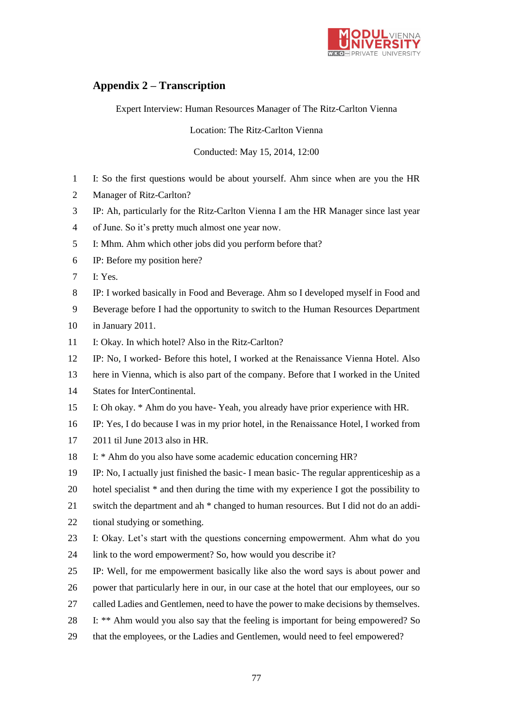

# **Appendix 2 – Transcription**

Expert Interview: Human Resources Manager of The Ritz-Carlton Vienna

Location: The Ritz-Carlton Vienna

Conducted: May 15, 2014, 12:00

- I: So the first questions would be about yourself. Ahm since when are you the HR
- Manager of Ritz-Carlton?
- IP: Ah, particularly for the Ritz-Carlton Vienna I am the HR Manager since last year
- of June. So it's pretty much almost one year now.
- I: Mhm. Ahm which other jobs did you perform before that?
- IP: Before my position here?
- I: Yes.
- IP: I worked basically in Food and Beverage. Ahm so I developed myself in Food and
- Beverage before I had the opportunity to switch to the Human Resources Department
- in January 2011.
- I: Okay. In which hotel? Also in the Ritz-Carlton?
- IP: No, I worked- Before this hotel, I worked at the Renaissance Vienna Hotel. Also
- here in Vienna, which is also part of the company. Before that I worked in the United
- States for InterContinental.
- I: Oh okay. \* Ahm do you have- Yeah, you already have prior experience with HR.
- IP: Yes, I do because I was in my prior hotel, in the Renaissance Hotel, I worked from
- 2011 til June 2013 also in HR.
- I: \* Ahm do you also have some academic education concerning HR?
- IP: No, I actually just finished the basic- I mean basic- The regular apprenticeship as a
- hotel specialist \* and then during the time with my experience I got the possibility to
- switch the department and ah \* changed to human resources. But I did not do an addi-
- tional studying or something.
- I: Okay. Let's start with the questions concerning empowerment. Ahm what do you
- link to the word empowerment? So, how would you describe it?
- IP: Well, for me empowerment basically like also the word says is about power and
- power that particularly here in our, in our case at the hotel that our employees, our so
- called Ladies and Gentlemen, need to have the power to make decisions by themselves.
- I: \*\* Ahm would you also say that the feeling is important for being empowered? So
- that the employees, or the Ladies and Gentlemen, would need to feel empowered?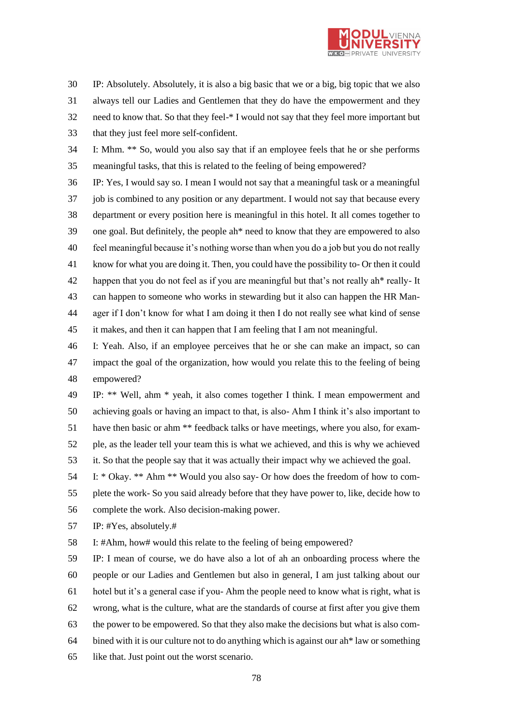

 IP: Absolutely. Absolutely, it is also a big basic that we or a big, big topic that we also always tell our Ladies and Gentlemen that they do have the empowerment and they need to know that. So that they feel-\* I would not say that they feel more important but that they just feel more self-confident.

 I: Mhm. \*\* So, would you also say that if an employee feels that he or she performs meaningful tasks, that this is related to the feeling of being empowered?

 IP: Yes, I would say so. I mean I would not say that a meaningful task or a meaningful job is combined to any position or any department. I would not say that because every department or every position here is meaningful in this hotel. It all comes together to one goal. But definitely, the people ah\* need to know that they are empowered to also feel meaningful because it's nothing worse than when you do a job but you do not really know for what you are doing it. Then, you could have the possibility to- Or then it could happen that you do not feel as if you are meaningful but that's not really ah\* really- It can happen to someone who works in stewarding but it also can happen the HR Man- ager if I don't know for what I am doing it then I do not really see what kind of sense it makes, and then it can happen that I am feeling that I am not meaningful.

 I: Yeah. Also, if an employee perceives that he or she can make an impact, so can impact the goal of the organization, how would you relate this to the feeling of being empowered?

 IP: \*\* Well, ahm \* yeah, it also comes together I think. I mean empowerment and achieving goals or having an impact to that, is also- Ahm I think it's also important to have then basic or ahm \*\* feedback talks or have meetings, where you also, for exam- ple, as the leader tell your team this is what we achieved, and this is why we achieved it. So that the people say that it was actually their impact why we achieved the goal.

 I: \* Okay. \*\* Ahm \*\* Would you also say- Or how does the freedom of how to com- plete the work- So you said already before that they have power to, like, decide how to complete the work. Also decision-making power.

IP: #Yes, absolutely.#

I: #Ahm, how# would this relate to the feeling of being empowered?

 IP: I mean of course, we do have also a lot of ah an onboarding process where the people or our Ladies and Gentlemen but also in general, I am just talking about our hotel but it's a general case if you- Ahm the people need to know what is right, what is wrong, what is the culture, what are the standards of course at first after you give them the power to be empowered. So that they also make the decisions but what is also com-64 bined with it is our culture not to do anything which is against our ah\* law or something like that. Just point out the worst scenario.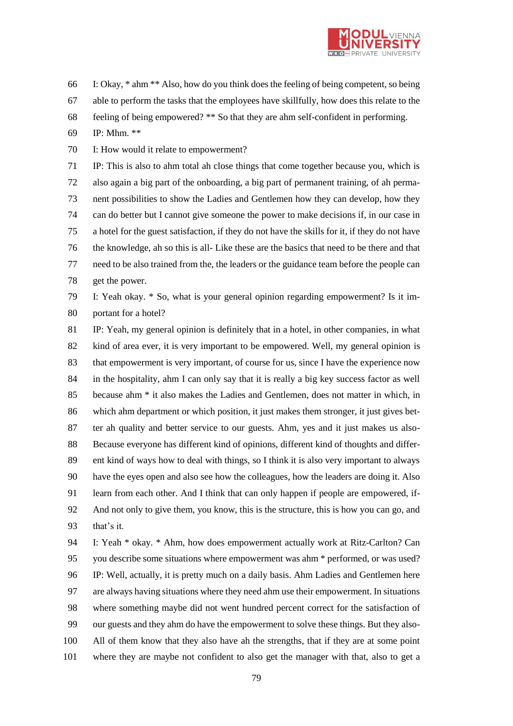

I: Okay, \* ahm \*\* Also, how do you think does the feeling of being competent, so being

- able to perform the tasks that the employees have skillfully, how does this relate to the
- feeling of being empowered? \*\* So that they are ahm self-confident in performing.
- IP: Mhm. \*\*

I: How would it relate to empowerment?

 IP: This is also to ahm total ah close things that come together because you, which is also again a big part of the onboarding, a big part of permanent training, of ah perma- nent possibilities to show the Ladies and Gentlemen how they can develop, how they can do better but I cannot give someone the power to make decisions if, in our case in a hotel for the guest satisfaction, if they do not have the skills for it, if they do not have the knowledge, ah so this is all- Like these are the basics that need to be there and that need to be also trained from the, the leaders or the guidance team before the people can get the power.

 I: Yeah okay. \* So, what is your general opinion regarding empowerment? Is it im-portant for a hotel?

 IP: Yeah, my general opinion is definitely that in a hotel, in other companies, in what kind of area ever, it is very important to be empowered. Well, my general opinion is that empowerment is very important, of course for us, since I have the experience now in the hospitality, ahm I can only say that it is really a big key success factor as well because ahm \* it also makes the Ladies and Gentlemen, does not matter in which, in which ahm department or which position, it just makes them stronger, it just gives bet- ter ah quality and better service to our guests. Ahm, yes and it just makes us also- Because everyone has different kind of opinions, different kind of thoughts and differ- ent kind of ways how to deal with things, so I think it is also very important to always have the eyes open and also see how the colleagues, how the leaders are doing it. Also learn from each other. And I think that can only happen if people are empowered, if- And not only to give them, you know, this is the structure, this is how you can go, and that's it.

 I: Yeah \* okay. \* Ahm, how does empowerment actually work at Ritz-Carlton? Can you describe some situations where empowerment was ahm \* performed, or was used? IP: Well, actually, it is pretty much on a daily basis. Ahm Ladies and Gentlemen here are always having situations where they need ahm use their empowerment. In situations where something maybe did not went hundred percent correct for the satisfaction of our guests and they ahm do have the empowerment to solve these things. But they also- All of them know that they also have ah the strengths, that if they are at some point where they are maybe not confident to also get the manager with that, also to get a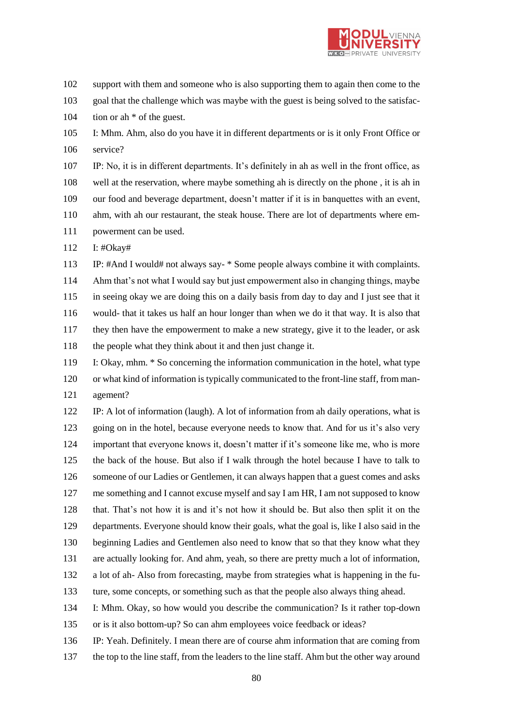

support with them and someone who is also supporting them to again then come to the

goal that the challenge which was maybe with the guest is being solved to the satisfac-

104 tion or ah  $*$  of the guest.

 I: Mhm. Ahm, also do you have it in different departments or is it only Front Office or service?

 IP: No, it is in different departments. It's definitely in ah as well in the front office, as well at the reservation, where maybe something ah is directly on the phone , it is ah in our food and beverage department, doesn't matter if it is in banquettes with an event, ahm, with ah our restaurant, the steak house. There are lot of departments where em-powerment can be used.

I: #Okay#

 IP: #And I would# not always say- \* Some people always combine it with complaints. Ahm that's not what I would say but just empowerment also in changing things, maybe in seeing okay we are doing this on a daily basis from day to day and I just see that it would- that it takes us half an hour longer than when we do it that way. It is also that they then have the empowerment to make a new strategy, give it to the leader, or ask the people what they think about it and then just change it.

 I: Okay, mhm. \* So concerning the information communication in the hotel, what type or what kind of information is typically communicated to the front-line staff, from man-agement?

 IP: A lot of information (laugh). A lot of information from ah daily operations, what is 123 going on in the hotel, because everyone needs to know that. And for us it's also very important that everyone knows it, doesn't matter if it's someone like me, who is more the back of the house. But also if I walk through the hotel because I have to talk to someone of our Ladies or Gentlemen, it can always happen that a guest comes and asks me something and I cannot excuse myself and say I am HR, I am not supposed to know that. That's not how it is and it's not how it should be. But also then split it on the departments. Everyone should know their goals, what the goal is, like I also said in the beginning Ladies and Gentlemen also need to know that so that they know what they are actually looking for. And ahm, yeah, so there are pretty much a lot of information, a lot of ah- Also from forecasting, maybe from strategies what is happening in the fu- ture, some concepts, or something such as that the people also always thing ahead. I: Mhm. Okay, so how would you describe the communication? Is it rather top-down

or is it also bottom-up? So can ahm employees voice feedback or ideas?

 IP: Yeah. Definitely. I mean there are of course ahm information that are coming from the top to the line staff, from the leaders to the line staff. Ahm but the other way around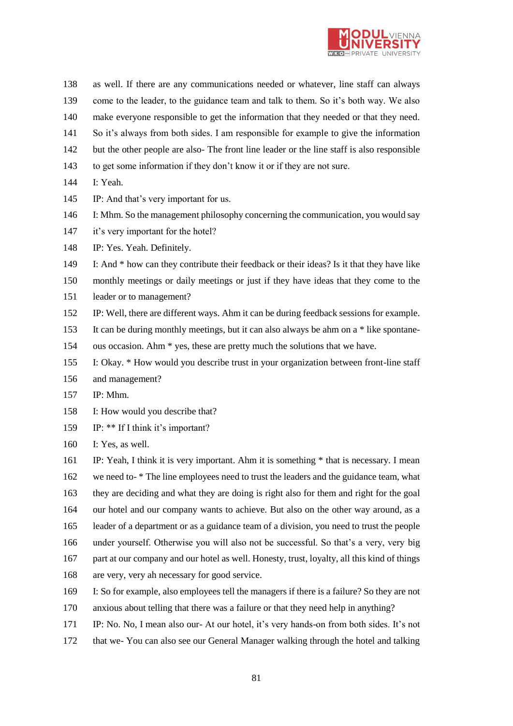

- as well. If there are any communications needed or whatever, line staff can always come to the leader, to the guidance team and talk to them. So it's both way. We also make everyone responsible to get the information that they needed or that they need. So it's always from both sides. I am responsible for example to give the information but the other people are also- The front line leader or the line staff is also responsible
- to get some information if they don't know it or if they are not sure.
- I: Yeah.
- IP: And that's very important for us.
- I: Mhm. So the management philosophy concerning the communication, you would say
- 147 it's very important for the hotel?
- IP: Yes. Yeah. Definitely.
- I: And \* how can they contribute their feedback or their ideas? Is it that they have like
- monthly meetings or daily meetings or just if they have ideas that they come to the
- leader or to management?
- IP: Well, there are different ways. Ahm it can be during feedback sessions for example.
- It can be during monthly meetings, but it can also always be ahm on a \* like spontane-
- ous occasion. Ahm \* yes, these are pretty much the solutions that we have.
- I: Okay. \* How would you describe trust in your organization between front-line staff
- and management?
- IP: Mhm.
- I: How would you describe that?
- IP: \*\* If I think it's important?
- I: Yes, as well.
- IP: Yeah, I think it is very important. Ahm it is something \* that is necessary. I mean we need to- \* The line employees need to trust the leaders and the guidance team, what they are deciding and what they are doing is right also for them and right for the goal our hotel and our company wants to achieve. But also on the other way around, as a leader of a department or as a guidance team of a division, you need to trust the people under yourself. Otherwise you will also not be successful. So that's a very, very big part at our company and our hotel as well. Honesty, trust, loyalty, all this kind of things are very, very ah necessary for good service.
- I: So for example, also employees tell the managers if there is a failure? So they are not
- anxious about telling that there was a failure or that they need help in anything?
- IP: No. No, I mean also our- At our hotel, it's very hands-on from both sides. It's not
- that we- You can also see our General Manager walking through the hotel and talking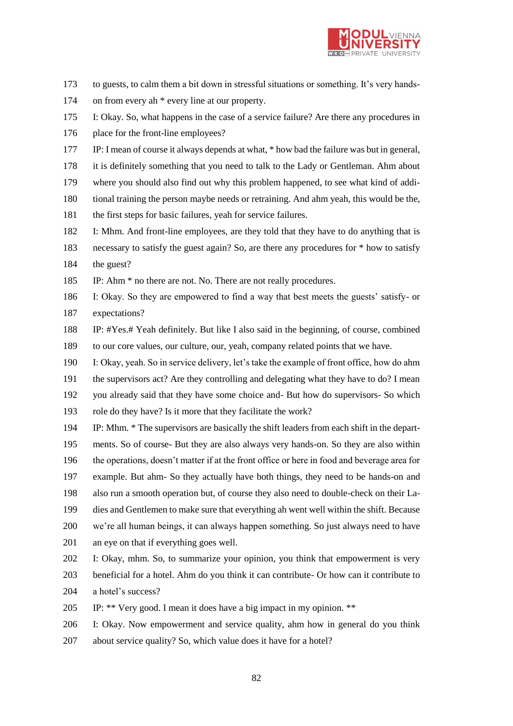

- to guests, to calm them a bit down in stressful situations or something. It's very hands-
- on from every ah \* every line at our property.
- I: Okay. So, what happens in the case of a service failure? Are there any procedures in
- 176 place for the front-line employees?
- IP: I mean of course it always depends at what, \* how bad the failure was but in general,
- it is definitely something that you need to talk to the Lady or Gentleman. Ahm about
- where you should also find out why this problem happened, to see what kind of addi-
- tional training the person maybe needs or retraining. And ahm yeah, this would be the,
- the first steps for basic failures, yeah for service failures.
- I: Mhm. And front-line employees, are they told that they have to do anything that is
- necessary to satisfy the guest again? So, are there any procedures for \* how to satisfy the guest?
- IP: Ahm \* no there are not. No. There are not really procedures.
- I: Okay. So they are empowered to find a way that best meets the guests' satisfy- or expectations?
- IP: #Yes.# Yeah definitely. But like I also said in the beginning, of course, combined to our core values, our culture, our, yeah, company related points that we have.
- I: Okay, yeah. So in service delivery, let's take the example of front office, how do ahm
- the supervisors act? Are they controlling and delegating what they have to do? I mean
- you already said that they have some choice and- But how do supervisors- So which
- role do they have? Is it more that they facilitate the work?
- IP: Mhm. \* The supervisors are basically the shift leaders from each shift in the depart- ments. So of course- But they are also always very hands-on. So they are also within the operations, doesn't matter if at the front office or here in food and beverage area for example. But ahm- So they actually have both things, they need to be hands-on and also run a smooth operation but, of course they also need to double-check on their La- dies and Gentlemen to make sure that everything ah went well within the shift. Because we're all human beings, it can always happen something. So just always need to have an eye on that if everything goes well.
- I: Okay, mhm. So, to summarize your opinion, you think that empowerment is very
- beneficial for a hotel. Ahm do you think it can contribute- Or how can it contribute to
- a hotel's success?
- IP: \*\* Very good. I mean it does have a big impact in my opinion. \*\*
- I: Okay. Now empowerment and service quality, ahm how in general do you think
- about service quality? So, which value does it have for a hotel?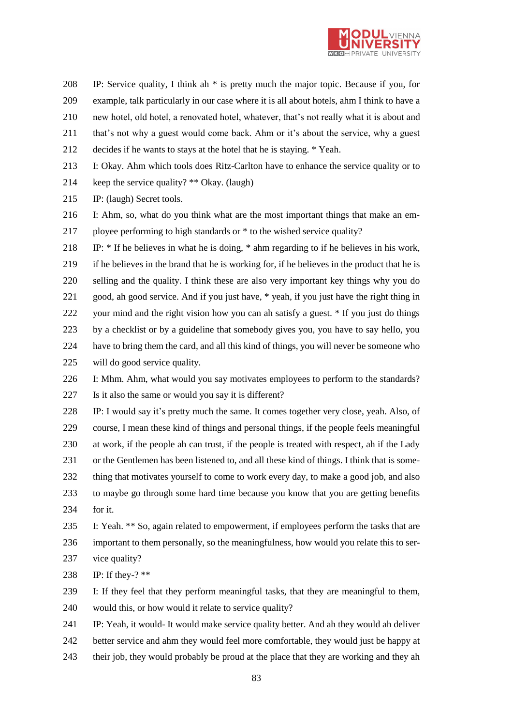

 IP: Service quality, I think ah \* is pretty much the major topic. Because if you, for example, talk particularly in our case where it is all about hotels, ahm I think to have a

new hotel, old hotel, a renovated hotel, whatever, that's not really what it is about and

- that's not why a guest would come back. Ahm or it's about the service, why a guest
- decides if he wants to stays at the hotel that he is staying. \* Yeah.
- I: Okay. Ahm which tools does Ritz-Carlton have to enhance the service quality or to
- keep the service quality? \*\* Okay. (laugh)
- IP: (laugh) Secret tools.
- I: Ahm, so, what do you think what are the most important things that make an em-ployee performing to high standards or \* to the wished service quality?

 IP: \* If he believes in what he is doing, \* ahm regarding to if he believes in his work, if he believes in the brand that he is working for, if he believes in the product that he is selling and the quality. I think these are also very important key things why you do good, ah good service. And if you just have, \* yeah, if you just have the right thing in your mind and the right vision how you can ah satisfy a guest. \* If you just do things by a checklist or by a guideline that somebody gives you, you have to say hello, you have to bring them the card, and all this kind of things, you will never be someone who will do good service quality.

 I: Mhm. Ahm, what would you say motivates employees to perform to the standards? Is it also the same or would you say it is different?

 IP: I would say it's pretty much the same. It comes together very close, yeah. Also, of course, I mean these kind of things and personal things, if the people feels meaningful at work, if the people ah can trust, if the people is treated with respect, ah if the Lady or the Gentlemen has been listened to, and all these kind of things. I think that is some- thing that motivates yourself to come to work every day, to make a good job, and also to maybe go through some hard time because you know that you are getting benefits for it.

 I: Yeah. \*\* So, again related to empowerment, if employees perform the tasks that are important to them personally, so the meaningfulness, how would you relate this to ser-

- vice quality?
- IP: If they-? \*\*
- I: If they feel that they perform meaningful tasks, that they are meaningful to them, would this, or how would it relate to service quality?
- IP: Yeah, it would- It would make service quality better. And ah they would ah deliver
- better service and ahm they would feel more comfortable, they would just be happy at
- their job, they would probably be proud at the place that they are working and they ah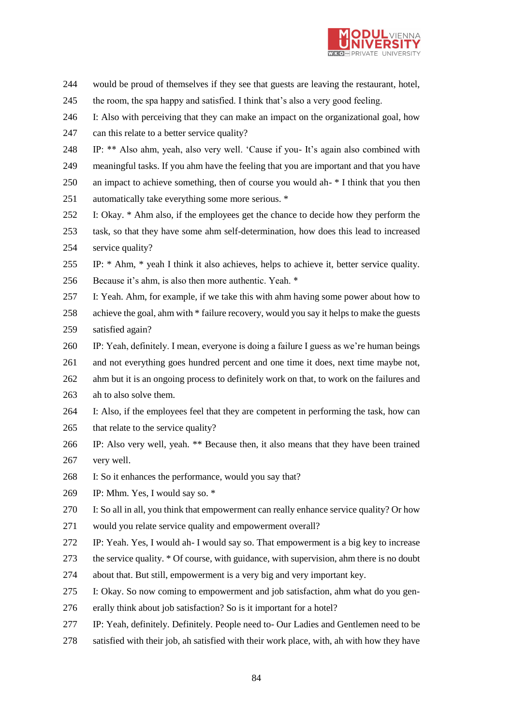

- would be proud of themselves if they see that guests are leaving the restaurant, hotel,
- the room, the spa happy and satisfied. I think that's also a very good feeling.
- I: Also with perceiving that they can make an impact on the organizational goal, how
- can this relate to a better service quality?
- IP: \*\* Also ahm, yeah, also very well. 'Cause if you- It's again also combined with
- meaningful tasks. If you ahm have the feeling that you are important and that you have
- an impact to achieve something, then of course you would ah- \* I think that you then
- automatically take everything some more serious. \*
- I: Okay. \* Ahm also, if the employees get the chance to decide how they perform the
- task, so that they have some ahm self-determination, how does this lead to increased service quality?
- IP: \* Ahm, \* yeah I think it also achieves, helps to achieve it, better service quality. Because it's ahm, is also then more authentic. Yeah. \*
- I: Yeah. Ahm, for example, if we take this with ahm having some power about how to achieve the goal, ahm with \* failure recovery, would you say it helps to make the guests
- satisfied again?
- IP: Yeah, definitely. I mean, everyone is doing a failure I guess as we're human beings
- and not everything goes hundred percent and one time it does, next time maybe not,
- ahm but it is an ongoing process to definitely work on that, to work on the failures and
- ah to also solve them.
- I: Also, if the employees feel that they are competent in performing the task, how can 265 that relate to the service quality?
- IP: Also very well, yeah. \*\* Because then, it also means that they have been trained very well.
- I: So it enhances the performance, would you say that?
- IP: Mhm. Yes, I would say so. \*
- I: So all in all, you think that empowerment can really enhance service quality? Or how
- would you relate service quality and empowerment overall?
- IP: Yeah. Yes, I would ah- I would say so. That empowerment is a big key to increase
- the service quality. \* Of course, with guidance, with supervision, ahm there is no doubt
- about that. But still, empowerment is a very big and very important key.
- I: Okay. So now coming to empowerment and job satisfaction, ahm what do you gen-
- erally think about job satisfaction? So is it important for a hotel?
- IP: Yeah, definitely. Definitely. People need to- Our Ladies and Gentlemen need to be
- satisfied with their job, ah satisfied with their work place, with, ah with how they have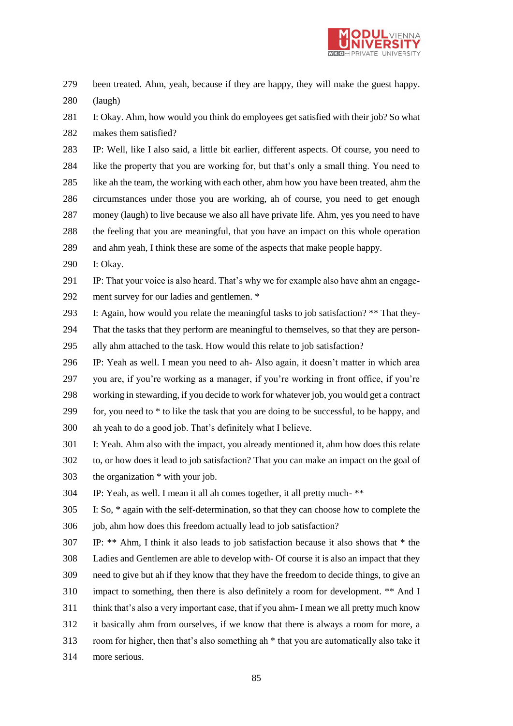

 been treated. Ahm, yeah, because if they are happy, they will make the guest happy. (laugh)

 I: Okay. Ahm, how would you think do employees get satisfied with their job? So what makes them satisfied?

 IP: Well, like I also said, a little bit earlier, different aspects. Of course, you need to like the property that you are working for, but that's only a small thing. You need to like ah the team, the working with each other, ahm how you have been treated, ahm the circumstances under those you are working, ah of course, you need to get enough money (laugh) to live because we also all have private life. Ahm, yes you need to have the feeling that you are meaningful, that you have an impact on this whole operation and ahm yeah, I think these are some of the aspects that make people happy.

I: Okay.

 IP: That your voice is also heard. That's why we for example also have ahm an engage-ment survey for our ladies and gentlemen. \*

I: Again, how would you relate the meaningful tasks to job satisfaction? \*\* That they-

 That the tasks that they perform are meaningful to themselves, so that they are person-ally ahm attached to the task. How would this relate to job satisfaction?

 IP: Yeah as well. I mean you need to ah- Also again, it doesn't matter in which area you are, if you're working as a manager, if you're working in front office, if you're working in stewarding, if you decide to work for whatever job, you would get a contract 299 for, you need to  $*$  to like the task that you are doing to be successful, to be happy, and ah yeah to do a good job. That's definitely what I believe.

 I: Yeah. Ahm also with the impact, you already mentioned it, ahm how does this relate to, or how does it lead to job satisfaction? That you can make an impact on the goal of the organization \* with your job.

IP: Yeah, as well. I mean it all ah comes together, it all pretty much- \*\*

 I: So, \* again with the self-determination, so that they can choose how to complete the 306 job, ahm how does this freedom actually lead to job satisfaction?

 IP: \*\* Ahm, I think it also leads to job satisfaction because it also shows that \* the Ladies and Gentlemen are able to develop with- Of course it is also an impact that they need to give but ah if they know that they have the freedom to decide things, to give an impact to something, then there is also definitely a room for development. \*\* And I think that's also a very important case, that if you ahm- I mean we all pretty much know it basically ahm from ourselves, if we know that there is always a room for more, a room for higher, then that's also something ah \* that you are automatically also take it more serious.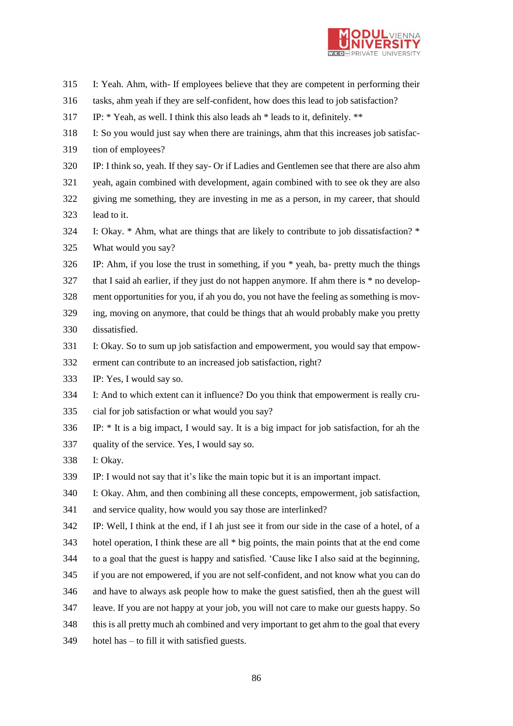

- I: Yeah. Ahm, with- If employees believe that they are competent in performing their
- tasks, ahm yeah if they are self-confident, how does this lead to job satisfaction?
- IP: \* Yeah, as well. I think this also leads ah \* leads to it, definitely. \*\*
- I: So you would just say when there are trainings, ahm that this increases job satisfac-
- tion of employees?
- IP: I think so, yeah. If they say- Or if Ladies and Gentlemen see that there are also ahm
- yeah, again combined with development, again combined with to see ok they are also
- giving me something, they are investing in me as a person, in my career, that should lead to it.
- I: Okay. \* Ahm, what are things that are likely to contribute to job dissatisfaction? \* What would you say?
- IP: Ahm, if you lose the trust in something, if you \* yeah, ba- pretty much the things
- that I said ah earlier, if they just do not happen anymore. If ahm there is \* no develop-
- ment opportunities for you, if ah you do, you not have the feeling as something is mov-
- ing, moving on anymore, that could be things that ah would probably make you pretty dissatisfied.
- I: Okay. So to sum up job satisfaction and empowerment, you would say that empow-
- erment can contribute to an increased job satisfaction, right?
- IP: Yes, I would say so.
- I: And to which extent can it influence? Do you think that empowerment is really cru-
- cial for job satisfaction or what would you say?
- IP: \* It is a big impact, I would say. It is a big impact for job satisfaction, for ah the
- quality of the service. Yes, I would say so.
- I: Okay.
- IP: I would not say that it's like the main topic but it is an important impact.
- I: Okay. Ahm, and then combining all these concepts, empowerment, job satisfaction,
- and service quality, how would you say those are interlinked?
- IP: Well, I think at the end, if I ah just see it from our side in the case of a hotel, of a
- hotel operation, I think these are all \* big points, the main points that at the end come
- to a goal that the guest is happy and satisfied. 'Cause like I also said at the beginning,
- if you are not empowered, if you are not self-confident, and not know what you can do
- and have to always ask people how to make the guest satisfied, then ah the guest will
- leave. If you are not happy at your job, you will not care to make our guests happy. So
- this is all pretty much ah combined and very important to get ahm to the goal that every
- hotel has to fill it with satisfied guests.